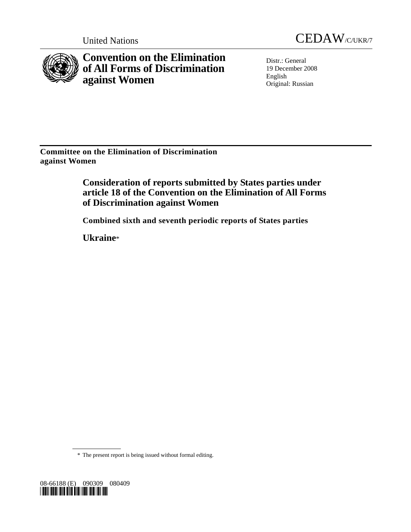

**Convention on the Elimination of All Forms of Discrimination against Women** 



Distr.: General 19 December 2008 English Original: Russian

**Committee on the Elimination of Discrimination against Women** 

> **Consideration of reports submitted by States parties under article 18 of the Convention on the Elimination of All Forms of Discrimination against Women**

 **Combined sixth and seventh periodic reports of States parties** 

 **Ukraine**\*

 <sup>\*</sup> The present report is being issued without formal editing.

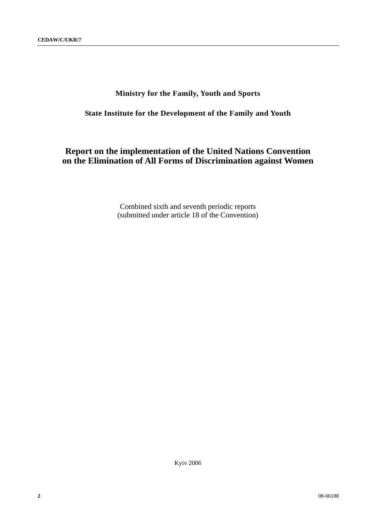## **Ministry for the Family, Youth and Sports**

## **State Institute for the Development of the Family and Youth**

# **Report on the implementation of the United Nations Convention on the Elimination of All Forms of Discrimination against Women**

Combined sixth and seventh periodic reports (submitted under article 18 of the Convention)

Kyiv 2006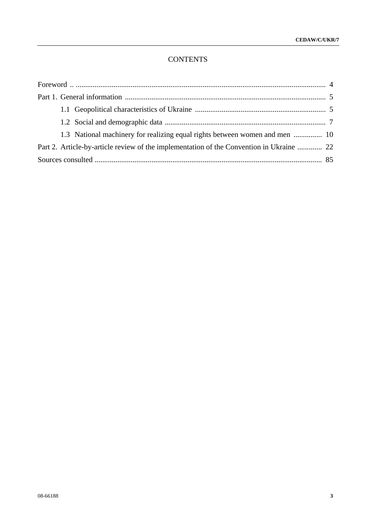# **CONTENTS**

| 1.3 National machinery for realizing equal rights between women and men  10              |  |
|------------------------------------------------------------------------------------------|--|
| Part 2. Article-by-article review of the implementation of the Convention in Ukraine  22 |  |
|                                                                                          |  |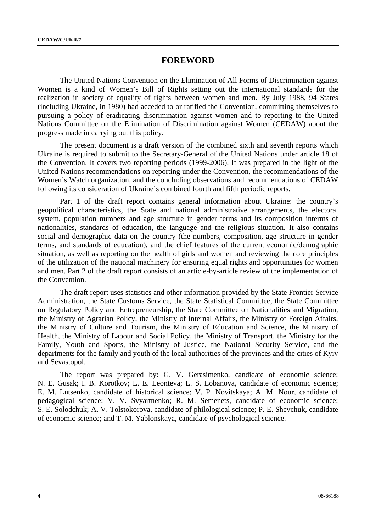## **FOREWORD**

 The United Nations Convention on the Elimination of All Forms of Discrimination against Women is a kind of Women's Bill of Rights setting out the international standards for the realization in society of equality of rights between women and men. By July 1988, 94 States (including Ukraine, in 1980) had acceded to or ratified the Convention, committing themselves to pursuing a policy of eradicating discrimination against women and to reporting to the United Nations Committee on the Elimination of Discrimination against Women (CEDAW) about the progress made in carrying out this policy.

 The present document is a draft version of the combined sixth and seventh reports which Ukraine is required to submit to the Secretary-General of the United Nations under article 18 of the Convention. It covers two reporting periods (1999-2006). It was prepared in the light of the United Nations recommendations on reporting under the Convention, the recommendations of the Women's Watch organization, and the concluding observations and recommendations of CEDAW following its consideration of Ukraine's combined fourth and fifth periodic reports.

 Part 1 of the draft report contains general information about Ukraine: the country's geopolitical characteristics, the State and national administrative arrangements, the electoral system, population numbers and age structure in gender terms and its composition interms of nationalities, standards of education, the language and the religious situation. It also contains social and demographic data on the country (the numbers, composition, age structure in gender terms, and standards of education), and the chief features of the current economic/demographic situation, as well as reporting on the health of girls and women and reviewing the core principles of the utilization of the national machinery for ensuring equal rights and opportunities for women and men. Part 2 of the draft report consists of an article-by-article review of the implementation of the Convention.

 The draft report uses statistics and other information provided by the State Frontier Service Administration, the State Customs Service, the State Statistical Committee, the State Committee on Regulatory Policy and Entrepreneurship, the State Committee on Nationalities and Migration, the Ministry of Agrarian Policy, the Ministry of Internal Affairs, the Ministry of Foreign Affairs, the Ministry of Culture and Tourism, the Ministry of Education and Science, the Ministry of Health, the Ministry of Labour and Social Policy, the Ministry of Transport, the Ministry for the Family, Youth and Sports, the Ministry of Justice, the National Security Service, and the departments for the family and youth of the local authorities of the provinces and the cities of Kyiv and Sevastopol.

 The report was prepared by: G. V. Gerasimenko, candidate of economic science; N. E. Gusak; I. B. Korotkov; L. E. Leonteva; L. S. Lobanova, candidate of economic science; E. M. Lutsenko, candidate of historical science; V. P. Novitskaya; A. M. Nour, candidate of pedagogical science; V. V. Svyartnenko; R. M. Semenets, candidate of economic science; S. E. Solodchuk; A. V. Tolstokorova, candidate of philological science; P. E. Shevchuk, candidate of economic science; and T. M. Yablonskaya, candidate of psychological science.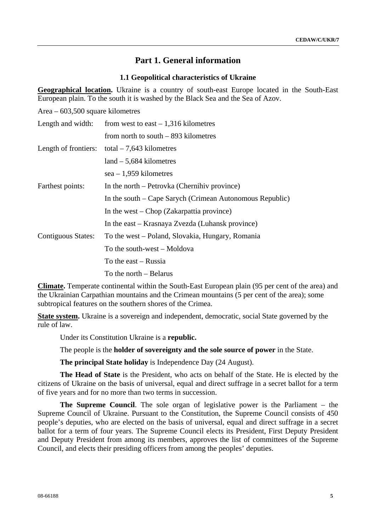# **Part 1. General information**

#### **1.1 Geopolitical characteristics of Ukraine**

**Geographical location.** Ukraine is a country of south-east Europe located in the South-East European plain. To the south it is washed by the Black Sea and the Sea of Azov.

Area – 603,500 square kilometres

| Length and width:         | from west to east $-1,316$ kilometres                    |
|---------------------------|----------------------------------------------------------|
|                           | from north to south $-893$ kilometres                    |
| Length of frontiers:      | total $-7,643$ kilometres                                |
|                           | $land - 5,684$ kilometres                                |
|                           | $sea-1,959$ kilometres                                   |
| Farthest points:          | In the north – Petrovka (Chernihiv province)             |
|                           | In the south – Cape Sarych (Crimean Autonomous Republic) |
|                           | In the west $-$ Chop (Zakarpattia province)              |
|                           | In the east – Krasnaya Zvezda (Luhansk province)         |
| <b>Contiguous States:</b> | To the west – Poland, Slovakia, Hungary, Romania         |
|                           | To the south-west – Moldova                              |
|                           | To the east – Russia                                     |
|                           | To the north – Belarus                                   |

**Climate.** Temperate continental within the South-East European plain (95 per cent of the area) and the Ukrainian Carpathian mountains and the Crimean mountains (5 per cent of the area); some subtropical features on the southern shores of the Crimea.

**State system.** Ukraine is a sovereign and independent, democratic, social State governed by the rule of law.

Under its Constitution Ukraine is a **republic.**

The people is the **holder of sovereignty and the sole source of power** in the State.

**The principal State holiday** is Independence Day (24 August).

**The Head of State** is the President, who acts on behalf of the State. He is elected by the citizens of Ukraine on the basis of universal, equal and direct suffrage in a secret ballot for a term of five years and for no more than two terms in succession.

**The Supreme Council**. The sole organ of legislative power is the Parliament – the Supreme Council of Ukraine. Pursuant to the Constitution, the Supreme Council consists of 450 people's deputies, who are elected on the basis of universal, equal and direct suffrage in a secret ballot for a term of four years. The Supreme Council elects its President, First Deputy President and Deputy President from among its members, approves the list of committees of the Supreme Council, and elects their presiding officers from among the peoples' deputies.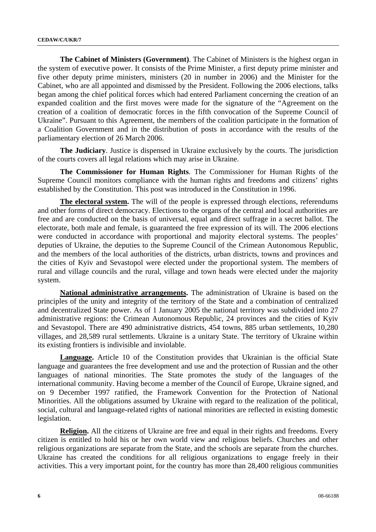**The Cabinet of Ministers (Government)**. The Cabinet of Ministers is the highest organ in the system of executive power. It consists of the Prime Minister, a first deputy prime minister and five other deputy prime ministers, ministers (20 in number in 2006) and the Minister for the Cabinet, who are all appointed and dismissed by the President. Following the 2006 elections, talks began among the chief political forces which had entered Parliament concerning the creation of an expanded coalition and the first moves were made for the signature of the "Agreement on the creation of a coalition of democratic forces in the fifth convocation of the Supreme Council of Ukraine". Pursuant to this Agreement, the members of the coalition participate in the formation of a Coalition Government and in the distribution of posts in accordance with the results of the parliamentary election of 26 March 2006.

**The Judiciary**. Justice is dispensed in Ukraine exclusively by the courts. The jurisdiction of the courts covers all legal relations which may arise in Ukraine.

**The Commissioner for Human Rights**. The Commissioner for Human Rights of the Supreme Council monitors compliance with the human rights and freedoms and citizens' rights established by the Constitution. This post was introduced in the Constitution in 1996.

**The electoral system.** The will of the people is expressed through elections, referendums and other forms of direct democracy. Elections to the organs of the central and local authorities are free and are conducted on the basis of universal, equal and direct suffrage in a secret ballot. The electorate, both male and female, is guaranteed the free expression of its will. The 2006 elections were conducted in accordance with proportional and majority electoral systems. The peoples' deputies of Ukraine, the deputies to the Supreme Council of the Crimean Autonomous Republic, and the members of the local authorities of the districts, urban districts, towns and provinces and the cities of Kyiv and Sevastopol were elected under the proportional system. The members of rural and village councils and the rural, village and town heads were elected under the majority system.

**National administrative arrangements.** The administration of Ukraine is based on the principles of the unity and integrity of the territory of the State and a combination of centralized and decentralized State power. As of 1 January 2005 the national territory was subdivided into 27 administrative regions: the Crimean Autonomous Republic, 24 provinces and the cities of Kyiv and Sevastopol. There are 490 administrative districts, 454 towns, 885 urban settlements, 10,280 villages, and 28,589 rural settlements. Ukraine is a unitary State. The territory of Ukraine within its existing frontiers is indivisible and inviolable.

**Language.** Article 10 of the Constitution provides that Ukrainian is the official State language and guarantees the free development and use and the protection of Russian and the other languages of national minorities. The State promotes the study of the languages of the international community. Having become a member of the Council of Europe, Ukraine signed, and on 9 December 1997 ratified, the Framework Convention for the Protection of National Minorities. All the obligations assumed by Ukraine with regard to the realization of the political, social, cultural and language-related rights of national minorities are reflected in existing domestic legislation.

**Religion.** All the citizens of Ukraine are free and equal in their rights and freedoms. Every citizen is entitled to hold his or her own world view and religious beliefs. Churches and other religious organizations are separate from the State, and the schools are separate from the churches. Ukraine has created the conditions for all religious organizations to engage freely in their activities. This a very important point, for the country has more than 28,400 religious communities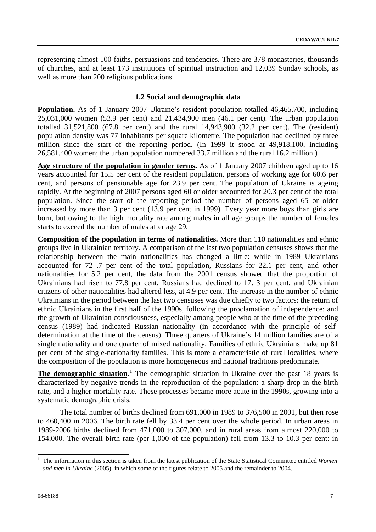<span id="page-6-0"></span>representing almost 100 faiths, persuasions and tendencies. There are 378 monasteries, thousands of churches, and at least 173 institutions of spiritual instruction and 12,039 Sunday schools, as well as more than 200 religious publications.

### **1.2 Social and demographic data**

**Population.** As of 1 January 2007 Ukraine's resident population totalled 46,465,700, including 25,031,000 women (53.9 per cent) and 21,434,900 men (46.1 per cent). The urban population totalled 31,521,800 (67.8 per cent) and the rural 14,943,900 (32.2 per cent). The (resident) population density was 77 inhabitants per square kilometre. The population had declined by three million since the start of the reporting period. (In 1999 it stood at 49,918,100, including 26,581,400 women; the urban population numbered 33.7 million and the rural 16.2 million.)

**Age structure of the population in gender terms.** As of 1 January 2007 children aged up to 16 years accounted for 15.5 per cent of the resident population, persons of working age for 60.6 per cent, and persons of pensionable age for 23.9 per cent. The population of Ukraine is ageing rapidly. At the beginning of 2007 persons aged 60 or older accounted for 20.3 per cent of the total population. Since the start of the reporting period the number of persons aged 65 or older increased by more than 3 per cent (13.9 per cent in 1999). Every year more boys than girls are born, but owing to the high mortality rate among males in all age groups the number of females starts to exceed the number of males after age 29.

**Composition of the population in terms of nationalities.** More than 110 nationalities and ethnic groups live in Ukrainian territory. A comparison of the last two population censuses shows that the relationship between the main nationalities has changed a little: while in 1989 Ukrainians accounted for 72 .7 per cent of the total population, Russians for 22.1 per cent, and other nationalities for 5.2 per cent, the data from the 2001 census showed that the proportion of Ukrainians had risen to 77.8 per cent, Russians had declined to 17. 3 per cent, and Ukrainian citizens of other nationalities had altered less, at 4.9 per cent. The increase in the number of ethnic Ukrainians in the period between the last two censuses was due chiefly to two factors: the return of ethnic Ukrainians in the first half of the 1990s, following the proclamation of independence; and the growth of Ukrainian consciousness, especially among people who at the time of the preceding census (1989) had indicated Russian nationality (in accordance with the principle of selfdetermination at the time of the census). Three quarters of Ukraine's 14 million families are of a single nationality and one quarter of mixed nationality. Families of ethnic Ukrainians make up 81 per cent of the single-nationality families. This is more a characteristic of rural localities, where the composition of the population is more homogeneous and national traditions predominate.

**The demographic situation.**<sup>[1](#page-6-0)</sup> The demographic situation in Ukraine over the past 18 years is characterized by negative trends in the reproduction of the population: a sharp drop in the birth rate, and a higher mortality rate. These processes became more acute in the 1990s, growing into a systematic demographic crisis.

 The total number of births declined from 691,000 in 1989 to 376,500 in 2001, but then rose to 460,400 in 2006. The birth rate fell by 33.4 per cent over the whole period. In urban areas in 1989-2006 births declined from 471,000 to 307,000, and in rural areas from almost 220,000 to 154,000. The overall birth rate (per 1,000 of the population) fell from 13.3 to 10.3 per cent: in

 $\overline{a}$ 

<sup>1</sup> The information in this section is taken from the latest publication of the State Statistical Committee entitled *Women and men in Ukraine* (2005), in which some of the figures relate to 2005 and the remainder to 2004.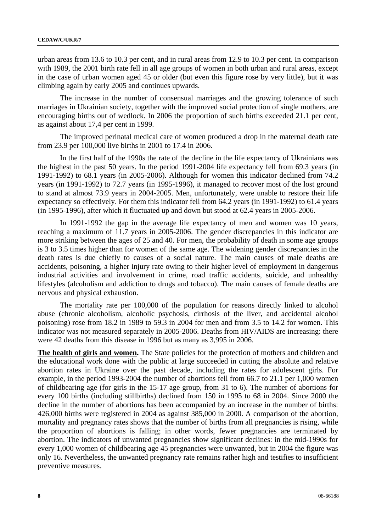urban areas from 13.6 to 10.3 per cent, and in rural areas from 12.9 to 10.3 per cent. In comparison with 1989, the 2001 birth rate fell in all age groups of women in both urban and rural areas, except in the case of urban women aged 45 or older (but even this figure rose by very little), but it was climbing again by early 2005 and continues upwards.

 The increase in the number of consensual marriages and the growing tolerance of such marriages in Ukrainian society, together with the improved social protection of single mothers, are encouraging births out of wedlock. In 2006 the proportion of such births exceeded 21.1 per cent, as against about 17,4 per cent in 1999.

 The improved perinatal medical care of women produced a drop in the maternal death rate from 23.9 per 100,000 live births in 2001 to 17.4 in 2006.

 In the first half of the 1990s the rate of the decline in the life expectancy of Ukrainians was the highest in the past 50 years. In the period 1991-2004 life expectancy fell from 69.3 years (in 1991-1992) to 68.1 years (in 2005-2006). Although for women this indicator declined from 74.2 years (in 1991-1992) to 72.7 years (in 1995-1996), it managed to recover most of the lost ground to stand at almost 73.9 years in 2004-2005. Men, unfortunately, were unable to restore their life expectancy so effectively. For them this indicator fell from 64.2 years (in 1991-1992) to 61.4 years (in 1995-1996), after which it fluctuated up and down but stood at 62.4 years in 2005-2006.

 In 1991-1992 the gap in the average life expectancy of men and women was 10 years, reaching a maximum of 11.7 years in 2005-2006. The gender discrepancies in this indicator are more striking between the ages of 25 and 40. For men, the probability of death in some age groups is 3 to 3.5 times higher than for women of the same age. The widening gender discrepancies in the death rates is due chiefly to causes of a social nature. The main causes of male deaths are accidents, poisoning, a higher injury rate owing to their higher level of employment in dangerous industrial activities and involvement in crime, road traffic accidents, suicide, and unhealthy lifestyles (alcoholism and addiction to drugs and tobacco). The main causes of female deaths are nervous and physical exhaustion.

 The mortality rate per 100,000 of the population for reasons directly linked to alcohol abuse (chronic alcoholism, alcoholic psychosis, cirrhosis of the liver, and accidental alcohol poisoning) rose from 18.2 in 1989 to 59.3 in 2004 for men and from 3.5 to 14.2 for women. This indicator was not measured separately in 2005-2006. Deaths from HIV/AIDS are increasing: there were 42 deaths from this disease in 1996 but as many as 3,995 in 2006.

**The health of girls and women.** The State policies for the protection of mothers and children and the educational work done with the public at large succeeded in cutting the absolute and relative abortion rates in Ukraine over the past decade, including the rates for adolescent girls. For example, in the period 1993-2004 the number of abortions fell from 66.7 to 21.1 per 1,000 women of childbearing age (for girls in the 15-17 age group, from 31 to 6). The number of abortions for every 100 births (including stillbirths) declined from 150 in 1995 to 68 in 2004. Since 2000 the decline in the number of abortions has been accompanied by an increase in the number of births: 426,000 births were registered in 2004 as against 385,000 in 2000. A comparison of the abortion, mortality and pregnancy rates shows that the number of births from all pregnancies is rising, while the proportion of abortions is falling; in other words, fewer pregnancies are terminated by abortion. The indicators of unwanted pregnancies show significant declines: in the mid-1990s for every 1,000 women of childbearing age 45 pregnancies were unwanted, but in 2004 the figure was only 16. Nevertheless, the unwanted pregnancy rate remains rather high and testifies to insufficient preventive measures.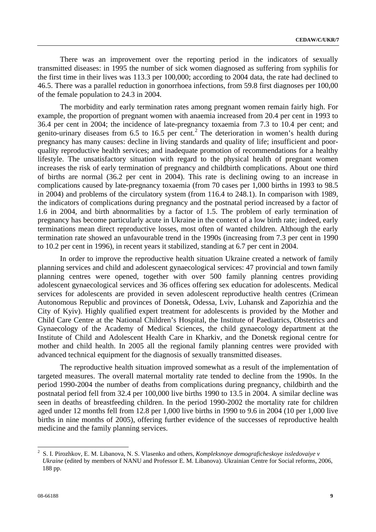<span id="page-8-0"></span> There was an improvement over the reporting period in the indicators of sexually transmitted diseases: in 1995 the number of sick women diagnosed as suffering from syphilis for the first time in their lives was 113.3 per 100,000; according to 2004 data, the rate had declined to 46.5. There was a parallel reduction in gonorrhoea infections, from 59.8 first diagnoses per 100,00 of the female population to 24.3 in 2004.

 The morbidity and early termination rates among pregnant women remain fairly high. For example, the proportion of pregnant women with anaemia increased from 20.4 per cent in 1993 to 36.4 per cent in 2004; the incidence of late-pregnancy toxaemia from 7.3 to 10.4 per cent; and genito-urinary diseases from 6.5 to 16.5 per cent.<sup>[2](#page-8-0)</sup> The deterioration in women's health during pregnancy has many causes: decline in living standards and quality of life; insufficient and poorquality reproductive health services; and inadequate promotion of recommendations for a healthy lifestyle. The unsatisfactory situation with regard to the physical health of pregnant women increases the risk of early termination of pregnancy and childbirth complications. About one third of births are normal (36.2 per cent in 2004). This rate is declining owing to an increase in complications caused by late-pregnancy toxaemia (from 70 cases per 1,000 births in 1993 to 98.5 in 2004) and problems of the circulatory system (from 116.4 to 248.1). In comparison with 1989, the indicators of complications during pregnancy and the postnatal period increased by a factor of 1.6 in 2004, and birth abnormalities by a factor of 1.5. The problem of early termination of pregnancy has become particularly acute in Ukraine in the context of a low birth rate; indeed, early terminations mean direct reproductive losses, most often of wanted children. Although the early termination rate showed an unfavourable trend in the 1990s (increasing from 7.3 per cent in 1990 to 10.2 per cent in 1996), in recent years it stabilized, standing at 6.7 per cent in 2004.

 In order to improve the reproductive health situation Ukraine created a network of family planning services and child and adolescent gynaecological services: 47 provincial and town family planning centres were opened, together with over 500 family planning centres providing adolescent gynaecological services and 36 offices offering sex education for adolescents. Medical services for adolescents are provided in seven adolescent reproductive health centres (Crimean Autonomous Republic and provinces of Donetsk, Odessa, Lviv, Luhansk and Zaporizhia and the City of Kyiv). Highly qualified expert treatment for adolescents is provided by the Mother and Child Care Centre at the National Children's Hospital, the Institute of Paediatrics, Obstetrics and Gynaecology of the Academy of Medical Sciences, the child gynaecology department at the Institute of Child and Adolescent Health Care in Kharkiv, and the Donetsk regional centre for mother and child health. In 2005 all the regional family planning centres were provided with advanced technical equipment for the diagnosis of sexually transmitted diseases.

 The reproductive health situation improved somewhat as a result of the implementation of targeted measures. The overall maternal mortality rate tended to decline from the 1990s. In the period 1990-2004 the number of deaths from complications during pregnancy, childbirth and the postnatal period fell from 32.4 per 100,000 live births 1990 to 13.5 in 2004. A similar decline was seen in deaths of breastfeeding children. In the period 1990-2002 the mortality rate for children aged under 12 months fell from 12.8 per 1,000 live births in 1990 to 9.6 in 2004 (10 per 1,000 live births in nine months of 2005), offering further evidence of the successes of reproductive health medicine and the family planning services.

 $\overline{\phantom{a}}$ 

<sup>2</sup> S. I. Pirozhkov, E. M. Libanova, N. S. Vlasenko and others, *Kompleksnoye demograficheskoye issledovaiye v Ukraine* (edited by members of NANU and Professor E. M. Libanova). Ukrainian Centre for Social reforms, 2006, 188 pp.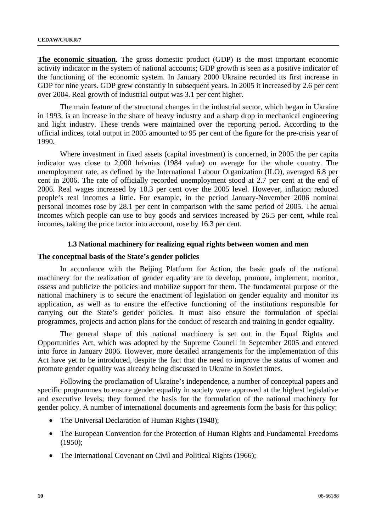**The economic situation.** The gross domestic product (GDP) is the most important economic activity indicator in the system of national accounts; GDP growth is seen as a positive indicator of the functioning of the economic system. In January 2000 Ukraine recorded its first increase in GDP for nine years. GDP grew constantly in subsequent years. In 2005 it increased by 2.6 per cent over 2004. Real growth of industrial output was 3.1 per cent higher.

 The main feature of the structural changes in the industrial sector, which began in Ukraine in 1993, is an increase in the share of heavy industry and a sharp drop in mechanical engineering and light industry. These trends were maintained over the reporting period. According to the official indices, total output in 2005 amounted to 95 per cent of the figure for the pre-crisis year of 1990.

 Where investment in fixed assets (capital investment) is concerned, in 2005 the per capita indicator was close to 2,000 hrivnias (1984 value) on average for the whole country. The unemployment rate, as defined by the International Labour Organization (ILO), averaged 6.8 per cent in 2006. The rate of officially recorded unemployment stood at 2.7 per cent at the end of 2006. Real wages increased by 18.3 per cent over the 2005 level. However, inflation reduced people's real incomes a little. For example, in the period January-November 2006 nominal personal incomes rose by 28.1 per cent in comparison with the same period of 2005. The actual incomes which people can use to buy goods and services increased by 26.5 per cent, while real incomes, taking the price factor into account, rose by 16.3 per cent.

## **1.3 National machinery for realizing equal rights between women and men**

## **The conceptual basis of the State's gender policies**

 In accordance with the Beijing Platform for Action, the basic goals of the national machinery for the realization of gender equality are to develop, promote, implement, monitor, assess and publicize the policies and mobilize support for them. The fundamental purpose of the national machinery is to secure the enactment of legislation on gender equality and monitor its application, as well as to ensure the effective functioning of the institutions responsible for carrying out the State's gender policies. It must also ensure the formulation of special programmes, projects and action plans for the conduct of research and training in gender equality.

 The general shape of this national machinery is set out in the Equal Rights and Opportunities Act, which was adopted by the Supreme Council in September 2005 and entered into force in January 2006. However, more detailed arrangements for the implementation of this Act have yet to be introduced, despite the fact that the need to improve the status of women and promote gender equality was already being discussed in Ukraine in Soviet times.

 Following the proclamation of Ukraine's independence, a number of conceptual papers and specific programmes to ensure gender equality in society were approved at the highest legislative and executive levels; they formed the basis for the formulation of the national machinery for gender policy. A number of international documents and agreements form the basis for this policy:

- The Universal Declaration of Human Rights (1948);
- The European Convention for the Protection of Human Rights and Fundamental Freedoms (1950);
- The International Covenant on Civil and Political Rights (1966);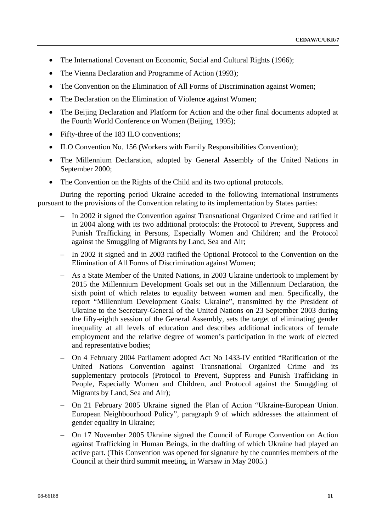- The International Covenant on Economic, Social and Cultural Rights (1966);
- The Vienna Declaration and Programme of Action (1993);
- The Convention on the Elimination of All Forms of Discrimination against Women;
- The Declaration on the Elimination of Violence against Women;
- The Beijing Declaration and Platform for Action and the other final documents adopted at the Fourth World Conference on Women (Beijing, 1995);
- Fifty-three of the 183 ILO conventions;
- ILO Convention No. 156 (Workers with Family Responsibilities Convention);
- The Millennium Declaration, adopted by General Assembly of the United Nations in September 2000;
- The Convention on the Rights of the Child and its two optional protocols.

 During the reporting period Ukraine acceded to the following international instruments pursuant to the provisions of the Convention relating to its implementation by States parties:

- In 2002 it signed the Convention against Transnational Organized Crime and ratified it in 2004 along with its two additional protocols: the Protocol to Prevent, Suppress and Punish Trafficking in Persons, Especially Women and Children; and the Protocol against the Smuggling of Migrants by Land, Sea and Air;
- In 2002 it signed and in 2003 ratified the Optional Protocol to the Convention on the Elimination of All Forms of Discrimination against Women;
- As a State Member of the United Nations, in 2003 Ukraine undertook to implement by 2015 the Millennium Development Goals set out in the Millennium Declaration, the sixth point of which relates to equality between women and men. Specifically, the report "Millennium Development Goals: Ukraine", transmitted by the President of Ukraine to the Secretary-General of the United Nations on 23 September 2003 during the fifty-eighth session of the General Assembly, sets the target of eliminating gender inequality at all levels of education and describes additional indicators of female employment and the relative degree of women's participation in the work of elected and representative bodies;
- On 4 February 2004 Parliament adopted Act No 1433-IV entitled "Ratification of the United Nations Convention against Transnational Organized Crime and its supplementary protocols (Protocol to Prevent, Suppress and Punish Trafficking in People, Especially Women and Children, and Protocol against the Smuggling of Migrants by Land, Sea and Air);
- On 21 February 2005 Ukraine signed the Plan of Action "Ukraine-European Union. European Neighbourhood Policy", paragraph 9 of which addresses the attainment of gender equality in Ukraine;
- On 17 November 2005 Ukraine signed the Council of Europe Convention on Action against Trafficking in Human Beings, in the drafting of which Ukraine had played an active part. (This Convention was opened for signature by the countries members of the Council at their third summit meeting, in Warsaw in May 2005.)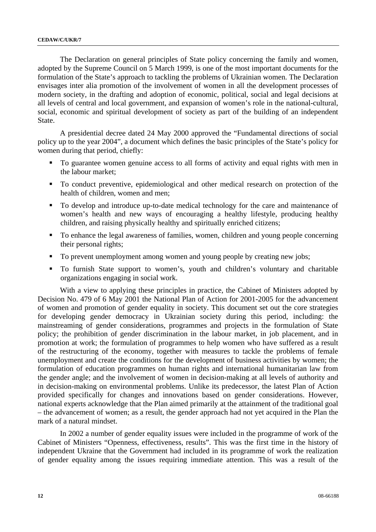The Declaration on general principles of State policy concerning the family and women, adopted by the Supreme Council on 5 March 1999, is one of the most important documents for the formulation of the State's approach to tackling the problems of Ukrainian women. The Declaration envisages inter alia promotion of the involvement of women in all the development processes of modern society, in the drafting and adoption of economic, political, social and legal decisions at all levels of central and local government, and expansion of women's role in the national-cultural, social, economic and spiritual development of society as part of the building of an independent State.

 A presidential decree dated 24 May 2000 approved the "Fundamental directions of social policy up to the year 2004", a document which defines the basic principles of the State's policy for women during that period, chiefly:

- To guarantee women genuine access to all forms of activity and equal rights with men in the labour market;
- To conduct preventive, epidemiological and other medical research on protection of the health of children, women and men;
- To develop and introduce up-to-date medical technology for the care and maintenance of women's health and new ways of encouraging a healthy lifestyle, producing healthy children, and raising physically healthy and spiritually enriched citizens;
- To enhance the legal awareness of families, women, children and young people concerning their personal rights;
- To prevent unemployment among women and young people by creating new jobs;
- To furnish State support to women's, youth and children's voluntary and charitable organizations engaging in social work.

 With a view to applying these principles in practice, the Cabinet of Ministers adopted by Decision No. 479 of 6 May 2001 the National Plan of Action for 2001-2005 for the advancement of women and promotion of gender equality in society. This document set out the core strategies for developing gender democracy in Ukrainian society during this period, including: the mainstreaming of gender considerations, programmes and projects in the formulation of State policy; the prohibition of gender discrimination in the labour market, in job placement, and in promotion at work; the formulation of programmes to help women who have suffered as a result of the restructuring of the economy, together with measures to tackle the problems of female unemployment and create the conditions for the development of business activities by women; the formulation of education programmes on human rights and international humanitarian law from the gender angle; and the involvement of women in decision-making at all levels of authority and in decision-making on environmental problems. Unlike its predecessor, the latest Plan of Action provided specifically for changes and innovations based on gender considerations. However, national experts acknowledge that the Plan aimed primarily at the attainment of the traditional goal – the advancement of women; as a result, the gender approach had not yet acquired in the Plan the mark of a natural mindset.

 In 2002 a number of gender equality issues were included in the programme of work of the Cabinet of Ministers "Openness, effectiveness, results". This was the first time in the history of independent Ukraine that the Government had included in its programme of work the realization of gender equality among the issues requiring immediate attention. This was a result of the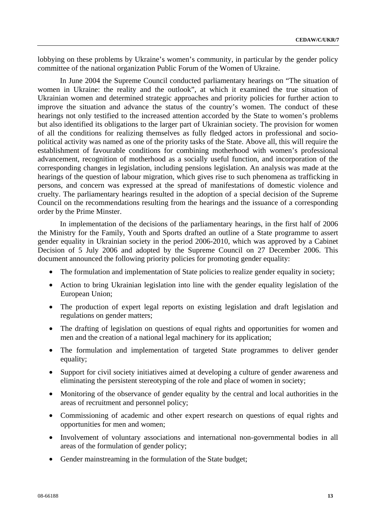lobbying on these problems by Ukraine's women's community, in particular by the gender policy committee of the national organization Public Forum of the Women of Ukraine.

 In June 2004 the Supreme Council conducted parliamentary hearings on "The situation of women in Ukraine: the reality and the outlook", at which it examined the true situation of Ukrainian women and determined strategic approaches and priority policies for further action to improve the situation and advance the status of the country's women. The conduct of these hearings not only testified to the increased attention accorded by the State to women's problems but also identified its obligations to the larger part of Ukrainian society. The provision for women of all the conditions for realizing themselves as fully fledged actors in professional and sociopolitical activity was named as one of the priority tasks of the State. Above all, this will require the establishment of favourable conditions for combining motherhood with women's professional advancement, recognition of motherhood as a socially useful function, and incorporation of the corresponding changes in legislation, including pensions legislation. An analysis was made at the hearings of the question of labour migration, which gives rise to such phenomena as trafficking in persons, and concern was expressed at the spread of manifestations of domestic violence and cruelty. The parliamentary hearings resulted in the adoption of a special decision of the Supreme Council on the recommendations resulting from the hearings and the issuance of a corresponding order by the Prime Minster.

 In implementation of the decisions of the parliamentary hearings, in the first half of 2006 the Ministry for the Family, Youth and Sports drafted an outline of a State programme to assert gender equality in Ukrainian society in the period 2006-2010, which was approved by a Cabinet Decision of 5 July 2006 and adopted by the Supreme Council on 27 December 2006. This document announced the following priority policies for promoting gender equality:

- The formulation and implementation of State policies to realize gender equality in society;
- Action to bring Ukrainian legislation into line with the gender equality legislation of the European Union;
- The production of expert legal reports on existing legislation and draft legislation and regulations on gender matters;
- The drafting of legislation on questions of equal rights and opportunities for women and men and the creation of a national legal machinery for its application;
- The formulation and implementation of targeted State programmes to deliver gender equality;
- Support for civil society initiatives aimed at developing a culture of gender awareness and eliminating the persistent stereotyping of the role and place of women in society;
- Monitoring of the observance of gender equality by the central and local authorities in the areas of recruitment and personnel policy;
- Commissioning of academic and other expert research on questions of equal rights and opportunities for men and women;
- Involvement of voluntary associations and international non-governmental bodies in all areas of the formulation of gender policy;
- Gender mainstreaming in the formulation of the State budget;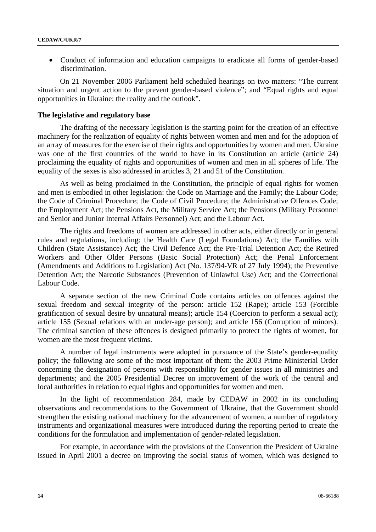• Conduct of information and education campaigns to eradicate all forms of gender-based discrimination.

 On 21 November 2006 Parliament held scheduled hearings on two matters: "The current situation and urgent action to the prevent gender-based violence"; and "Equal rights and equal opportunities in Ukraine: the reality and the outlook".

#### **The legislative and regulatory base**

 The drafting of the necessary legislation is the starting point for the creation of an effective machinery for the realization of equality of rights between women and men and for the adoption of an array of measures for the exercise of their rights and opportunities by women and men. Ukraine was one of the first countries of the world to have in its Constitution an article (article 24) proclaiming the equality of rights and opportunities of women and men in all spheres of life. The equality of the sexes is also addressed in articles 3, 21 and 51 of the Constitution.

 As well as being proclaimed in the Constitution, the principle of equal rights for women and men is embodied in other legislation: the Code on Marriage and the Family; the Labour Code; the Code of Criminal Procedure; the Code of Civil Procedure; the Administrative Offences Code; the Employment Act; the Pensions Act, the Military Service Act; the Pensions (Military Personnel and Senior and Junior Internal Affairs Personnel) Act; and the Labour Act.

 The rights and freedoms of women are addressed in other acts, either directly or in general rules and regulations, including: the Health Care (Legal Foundations) Act; the Families with Children (State Assistance) Act; the Civil Defence Act; the Pre-Trial Detention Act; the Retired Workers and Other Older Persons (Basic Social Protection) Act; the Penal Enforcement (Amendments and Additions to Legislation) Act (No. 137/94-VR of 27 July 1994); the Preventive Detention Act; the Narcotic Substances (Prevention of Unlawful Use) Act; and the Correctional Labour Code.

 A separate section of the new Criminal Code contains articles on offences against the sexual freedom and sexual integrity of the person: article 152 (Rape); article 153 (Forcible gratification of sexual desire by unnatural means); article 154 (Coercion to perform a sexual act); article 155 (Sexual relations with an under-age person); and article 156 (Corruption of minors). The criminal sanction of these offences is designed primarily to protect the rights of women, for women are the most frequent victims.

 A number of legal instruments were adopted in pursuance of the State's gender-equality policy; the following are some of the most important of them: the 2003 Prime Ministerial Order concerning the designation of persons with responsibility for gender issues in all ministries and departments; and the 2005 Presidential Decree on improvement of the work of the central and local authorities in relation to equal rights and opportunities for women and men.

 In the light of recommendation 284, made by CEDAW in 2002 in its concluding observations and recommendations to the Government of Ukraine, that the Government should strengthen the existing national machinery for the advancement of women, a number of regulatory instruments and organizational measures were introduced during the reporting period to create the conditions for the formulation and implementation of gender-related legislation.

 For example, in accordance with the provisions of the Convention the President of Ukraine issued in April 2001 a decree on improving the social status of women, which was designed to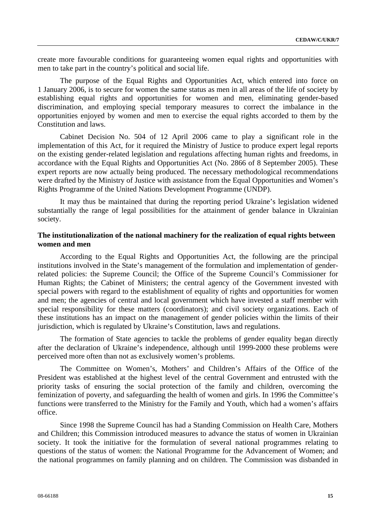create more favourable conditions for guaranteeing women equal rights and opportunities with men to take part in the country's political and social life.

 The purpose of the Equal Rights and Opportunities Act, which entered into force on 1 January 2006, is to secure for women the same status as men in all areas of the life of society by establishing equal rights and opportunities for women and men, eliminating gender-based discrimination, and employing special temporary measures to correct the imbalance in the opportunities enjoyed by women and men to exercise the equal rights accorded to them by the Constitution and laws.

 Cabinet Decision No. 504 of 12 April 2006 came to play a significant role in the implementation of this Act, for it required the Ministry of Justice to produce expert legal reports on the existing gender-related legislation and regulations affecting human rights and freedoms, in accordance with the Equal Rights and Opportunities Act (No. 2866 of 8 September 2005). These expert reports are now actually being produced. The necessary methodological recommendations were drafted by the Ministry of Justice with assistance from the Equal Opportunities and Women's Rights Programme of the United Nations Development Programme (UNDP).

 It may thus be maintained that during the reporting period Ukraine's legislation widened substantially the range of legal possibilities for the attainment of gender balance in Ukrainian society.

## **The institutionalization of the national machinery for the realization of equal rights between women and men**

 According to the Equal Rights and Opportunities Act, the following are the principal institutions involved in the State's management of the formulation and implementation of genderrelated policies: the Supreme Council; the Office of the Supreme Council's Commissioner for Human Rights; the Cabinet of Ministers; the central agency of the Government invested with special powers with regard to the establishment of equality of rights and opportunities for women and men; the agencies of central and local government which have invested a staff member with special responsibility for these matters (coordinators); and civil society organizations. Each of these institutions has an impact on the management of gender policies within the limits of their jurisdiction, which is regulated by Ukraine's Constitution, laws and regulations.

 The formation of State agencies to tackle the problems of gender equality began directly after the declaration of Ukraine's independence, although until 1999-2000 these problems were perceived more often than not as exclusively women's problems.

 The Committee on Women's, Mothers' and Children's Affairs of the Office of the President was established at the highest level of the central Government and entrusted with the priority tasks of ensuring the social protection of the family and children, overcoming the feminization of poverty, and safeguarding the health of women and girls. In 1996 the Committee's functions were transferred to the Ministry for the Family and Youth, which had a women's affairs office.

 Since 1998 the Supreme Council has had a Standing Commission on Health Care, Mothers and Children; this Commission introduced measures to advance the status of women in Ukrainian society. It took the initiative for the formulation of several national programmes relating to questions of the status of women: the National Programme for the Advancement of Women; and the national programmes on family planning and on children. The Commission was disbanded in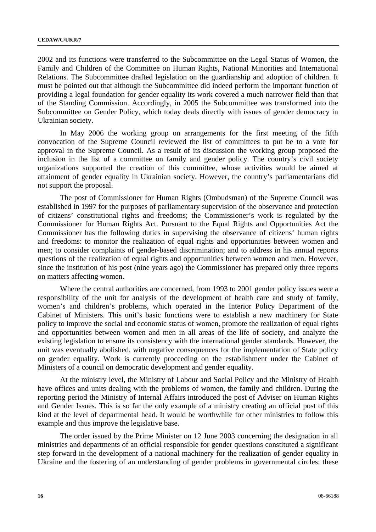2002 and its functions were transferred to the Subcommittee on the Legal Status of Women, the Family and Children of the Committee on Human Rights, National Minorities and International Relations. The Subcommittee drafted legislation on the guardianship and adoption of children. It must be pointed out that although the Subcommittee did indeed perform the important function of providing a legal foundation for gender equality its work covered a much narrower field than that of the Standing Commission. Accordingly, in 2005 the Subcommittee was transformed into the Subcommittee on Gender Policy, which today deals directly with issues of gender democracy in Ukrainian society.

 In May 2006 the working group on arrangements for the first meeting of the fifth convocation of the Supreme Council reviewed the list of committees to put be to a vote for approval in the Supreme Council. As a result of its discussion the working group proposed the inclusion in the list of a committee on family and gender policy. The country's civil society organizations supported the creation of this committee, whose activities would be aimed at attainment of gender equality in Ukrainian society. However, the country's parliamentarians did not support the proposal.

 The post of Commissioner for Human Rights (Ombudsman) of the Supreme Council was established in 1997 for the purposes of parliamentary supervision of the observance and protection of citizens' constitutional rights and freedoms; the Commissioner's work is regulated by the Commissioner for Human Rights Act. Pursuant to the Equal Rights and Opportunities Act the Commissioner has the following duties in supervising the observance of citizens' human rights and freedoms: to monitor the realization of equal rights and opportunities between women and men; to consider complaints of gender-based discrimination; and to address in his annual reports questions of the realization of equal rights and opportunities between women and men. However, since the institution of his post (nine years ago) the Commissioner has prepared only three reports on matters affecting women.

 Where the central authorities are concerned, from 1993 to 2001 gender policy issues were a responsibility of the unit for analysis of the development of health care and study of family, women's and children's problems, which operated in the Interior Policy Department of the Cabinet of Ministers. This unit's basic functions were to establish a new machinery for State policy to improve the social and economic status of women, promote the realization of equal rights and opportunities between women and men in all areas of the life of society, and analyze the existing legislation to ensure its consistency with the international gender standards. However, the unit was eventually abolished, with negative consequences for the implementation of State policy on gender equality. Work is currently proceeding on the establishment under the Cabinet of Ministers of a council on democratic development and gender equality.

 At the ministry level, the Ministry of Labour and Social Policy and the Ministry of Health have offices and units dealing with the problems of women, the family and children. During the reporting period the Ministry of Internal Affairs introduced the post of Adviser on Human Rights and Gender Issues. This is so far the only example of a ministry creating an official post of this kind at the level of departmental head. It would be worthwhile for other ministries to follow this example and thus improve the legislative base.

 The order issued by the Prime Minister on 12 June 2003 concerning the designation in all ministries and departments of an official responsible for gender questions constituted a significant step forward in the development of a national machinery for the realization of gender equality in Ukraine and the fostering of an understanding of gender problems in governmental circles; these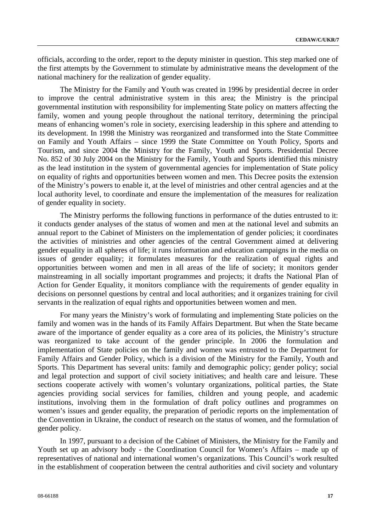officials, according to the order, report to the deputy minister in question. This step marked one of the first attempts by the Government to stimulate by administrative means the development of the national machinery for the realization of gender equality.

 The Ministry for the Family and Youth was created in 1996 by presidential decree in order to improve the central administrative system in this area; the Ministry is the principal governmental institution with responsibility for implementing State policy on matters affecting the family, women and young people throughout the national territory, determining the principal means of enhancing women's role in society, exercising leadership in this sphere and attending to its development. In 1998 the Ministry was reorganized and transformed into the State Committee on Family and Youth Affairs – since 1999 the State Committee on Youth Policy, Sports and Tourism, and since 2004 the Ministry for the Family, Youth and Sports. Presidential Decree No. 852 of 30 July 2004 on the Ministry for the Family, Youth and Sports identified this ministry as the lead institution in the system of governmental agencies for implementation of State policy on equality of rights and opportunities between women and men. This Decree posits the extension of the Ministry's powers to enable it, at the level of ministries and other central agencies and at the local authority level, to coordinate and ensure the implementation of the measures for realization of gender equality in society.

 The Ministry performs the following functions in performance of the duties entrusted to it: it conducts gender analyses of the status of women and men at the national level and submits an annual report to the Cabinet of Ministers on the implementation of gender policies; it coordinates the activities of ministries and other agencies of the central Government aimed at delivering gender equality in all spheres of life; it runs information and education campaigns in the media on issues of gender equality; it formulates measures for the realization of equal rights and opportunities between women and men in all areas of the life of society; it monitors gender mainstreaming in all socially important programmes and projects; it drafts the National Plan of Action for Gender Equality, it monitors compliance with the requirements of gender equality in decisions on personnel questions by central and local authorities; and it organizes training for civil servants in the realization of equal rights and opportunities between women and men.

 For many years the Ministry's work of formulating and implementing State policies on the family and women was in the hands of its Family Affairs Department. But when the State became aware of the importance of gender equality as a core area of its policies, the Ministry's structure was reorganized to take account of the gender principle. In 2006 the formulation and implementation of State policies on the family and women was entrusted to the Department for Family Affairs and Gender Policy, which is a division of the Ministry for the Family, Youth and Sports. This Department has several units: family and demographic policy; gender policy; social and legal protection and support of civil society initiatives; and health care and leisure. These sections cooperate actively with women's voluntary organizations, political parties, the State agencies providing social services for families, children and young people, and academic institutions, involving them in the formulation of draft policy outlines and programmes on women's issues and gender equality, the preparation of periodic reports on the implementation of the Convention in Ukraine, the conduct of research on the status of women, and the formulation of gender policy.

 In 1997, pursuant to a decision of the Cabinet of Ministers, the Ministry for the Family and Youth set up an advisory body - the Coordination Council for Women's Affairs – made up of representatives of national and international women's organizations. This Council's work resulted in the establishment of cooperation between the central authorities and civil society and voluntary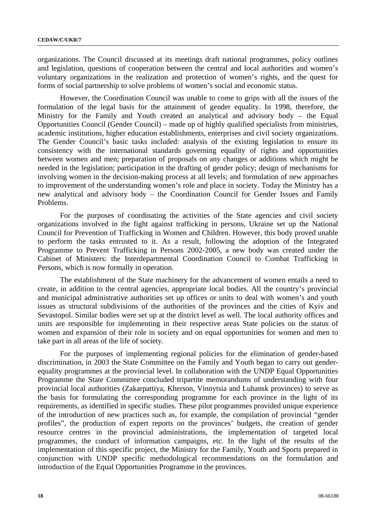organizations. The Council discussed at its meetings draft national programmes, policy outlines and legislation, questions of cooperation between the central and local authorities and women's voluntary organizations in the realization and protection of women's rights, and the quest for forms of social partnership to solve problems of women's social and economic status.

 However, the Coordination Council was unable to come to grips with all the issues of the formulation of the legal basis for the attainment of gender equality. In 1998, therefore, the Ministry for the Family and Youth created an analytical and advisory body – the Equal Opportunities Council (Gender Council) – made up of highly qualified specialists from ministries, academic institutions, higher education establishments, enterprises and civil society organizations. The Gender Council's basic tasks included: analysis of the existing legislation to ensure its consistency with the international standards governing equality of rights and opportunities between women and men; preparation of proposals on any changes or additions which might be needed in the legislation; participation in the drafting of gender policy; design of mechanisms for involving women in the decision-making process at all levels; and formulation of new approaches to improvement of the understanding women's role and place in society. Today the Ministry has a new analytical and advisory body – the Coordination Council for Gender Issues and Family Problems.

 For the purposes of coordinating the activities of the State agencies and civil society organizations involved in the fight against trafficking in persons, Ukraine set up the National Council for Prevention of Trafficking in Women and Children. However, this body proved unable to perform the tasks entrusted to it. As a result, following the adoption of the Integrated Programme to Prevent Trafficking in Persons 2002-2005, a new body was created under the Cabinet of Ministers: the Interdepartmental Coordination Council to Combat Trafficking in Persons, which is now formally in operation.

 The establishment of the State machinery for the advancement of women entails a need to create, in addition to the central agencies, appropriate local bodies. All the country's provincial and municipal administrative authorities set up offices or units to deal with women's and youth issues as structural subdivisions of the authorities of the provinces and the cities of Kyiv and Sevastopol. Similar bodies were set up at the district level as well. The local authority offices and units are responsible for implementing in their respective areas State policies on the status of women and expansion of their role in society and on equal opportunities for women and men to take part in all areas of the life of society.

 For the purposes of implementing regional policies for the elimination of gender-based discrimination, in 2003 the State Committee on the Family and Youth began to carry out genderequality programmes at the provincial level. In collaboration with the UNDP Equal Opportunities Programme the State Committee concluded tripartite memorandums of understanding with four provincial local authorities (Zakarpattiya, Kherson, Vinnytsia and Luhansk provinces) to serve as the basis for formulating the corresponding programme for each province in the light of its requirements, as identified in specific studies. These pilot programmes provided unique experience of the introduction of new practices such as, for example, the compilation of provincial "gender profiles", the production of expert reports on the provinces' budgets, the creation of gender resource centres in the provincial administrations, the implementation of targeted local programmes, the conduct of information campaigns, etc. In the light of the results of the implementation of this specific project, the Ministry for the Family, Youth and Sports prepared in conjunction with UNDP specific methodological recommendations on the formulation and introduction of the Equal Opportunities Programme in the provinces.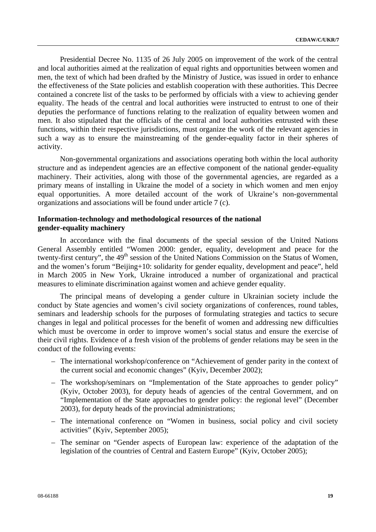Presidential Decree No. 1135 of 26 July 2005 on improvement of the work of the central and local authorities aimed at the realization of equal rights and opportunities between women and men, the text of which had been drafted by the Ministry of Justice, was issued in order to enhance the effectiveness of the State policies and establish cooperation with these authorities. This Decree contained a concrete list of the tasks to be performed by officials with a view to achieving gender equality. The heads of the central and local authorities were instructed to entrust to one of their deputies the performance of functions relating to the realization of equality between women and men. It also stipulated that the officials of the central and local authorities entrusted with these functions, within their respective jurisdictions, must organize the work of the relevant agencies in such a way as to ensure the mainstreaming of the gender-equality factor in their spheres of activity.

 Non-governmental organizations and associations operating both within the local authority structure and as independent agencies are an effective component of the national gender-equality machinery. Their activities, along with those of the governmental agencies, are regarded as a primary means of installing in Ukraine the model of a society in which women and men enjoy equal opportunities. A more detailed account of the work of Ukraine's non-governmental organizations and associations will be found under article 7 (c).

## **Information-technology and methodological resources of the national gender-equality machinery**

 In accordance with the final documents of the special session of the United Nations General Assembly entitled "Women 2000: gender, equality, development and peace for the twenty-first century", the  $49<sup>th</sup>$  session of the United Nations Commission on the Status of Women, and the women's forum "Beijing+10: solidarity for gender equality, development and peace", held in March 2005 in New York, Ukraine introduced a number of organizational and practical measures to eliminate discrimination against women and achieve gender equality.

 The principal means of developing a gender culture in Ukrainian society include the conduct by State agencies and women's civil society organizations of conferences, round tables, seminars and leadership schools for the purposes of formulating strategies and tactics to secure changes in legal and political processes for the benefit of women and addressing new difficulties which must be overcome in order to improve women's social status and ensure the exercise of their civil rights. Evidence of a fresh vision of the problems of gender relations may be seen in the conduct of the following events:

- The international workshop/conference on "Achievement of gender parity in the context of the current social and economic changes" (Kyiv, December 2002);
- The workshop/seminars on "Implementation of the State approaches to gender policy" (Kyiv, October 2003), for deputy heads of agencies of the central Government, and on "Implementation of the State approaches to gender policy: the regional level" (December 2003), for deputy heads of the provincial administrations;
- The international conference on "Women in business, social policy and civil society activities" (Kyiv, September 2005);
- The seminar on "Gender aspects of European law: experience of the adaptation of the legislation of the countries of Central and Eastern Europe" (Kyiv, October 2005);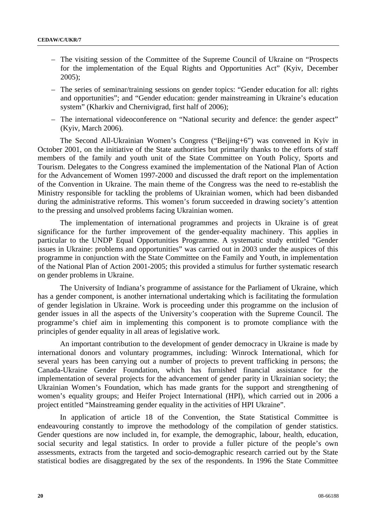- The visiting session of the Committee of the Supreme Council of Ukraine on "Prospects for the implementation of the Equal Rights and Opportunities Act" (Kyiv, December 2005);
- The series of seminar/training sessions on gender topics: "Gender education for all: rights and opportunities"; and "Gender education: gender mainstreaming in Ukraine's education system" (Kharkiv and Chernivigrad, first half of 2006);
- The international videoconference on "National security and defence: the gender aspect" (Kyiv, March 2006).

 The Second All-Ukrainian Women's Congress ("Beijing+6") was convened in Kyiv in October 2001, on the initiative of the State authorities but primarily thanks to the efforts of staff members of the family and youth unit of the State Committee on Youth Policy, Sports and Tourism. Delegates to the Congress examined the implementation of the National Plan of Action for the Advancement of Women 1997-2000 and discussed the draft report on the implementation of the Convention in Ukraine. The main theme of the Congress was the need to re-establish the Ministry responsible for tackling the problems of Ukrainian women, which had been disbanded during the administrative reforms. This women's forum succeeded in drawing society's attention to the pressing and unsolved problems facing Ukrainian women.

 The implementation of international programmes and projects in Ukraine is of great significance for the further improvement of the gender-equality machinery. This applies in particular to the UNDP Equal Opportunities Programme. A systematic study entitled "Gender issues in Ukraine: problems and opportunities" was carried out in 2003 under the auspices of this programme in conjunction with the State Committee on the Family and Youth, in implementation of the National Plan of Action 2001-2005; this provided a stimulus for further systematic research on gender problems in Ukraine.

 The University of Indiana's programme of assistance for the Parliament of Ukraine, which has a gender component, is another international undertaking which is facilitating the formulation of gender legislation in Ukraine. Work is proceeding under this programme on the inclusion of gender issues in all the aspects of the University's cooperation with the Supreme Council. The programme's chief aim in implementing this component is to promote compliance with the principles of gender equality in all areas of legislative work.

 An important contribution to the development of gender democracy in Ukraine is made by international donors and voluntary programmes, including: Winrock International, which for several years has been carrying out a number of projects to prevent trafficking in persons; the Canada-Ukraine Gender Foundation, which has furnished financial assistance for the implementation of several projects for the advancement of gender parity in Ukrainian society; the Ukrainian Women's Foundation, which has made grants for the support and strengthening of women's equality groups; and Heifer Project International (HPI), which carried out in 2006 a project entitled "Mainstreaming gender equality in the activities of HPI Ukraine".

 In application of article 18 of the Convention, the State Statistical Committee is endeavouring constantly to improve the methodology of the compilation of gender statistics. Gender questions are now included in, for example, the demographic, labour, health, education, social security and legal statistics. In order to provide a fuller picture of the people's own assessments, extracts from the targeted and socio-demographic research carried out by the State statistical bodies are disaggregated by the sex of the respondents. In 1996 the State Committee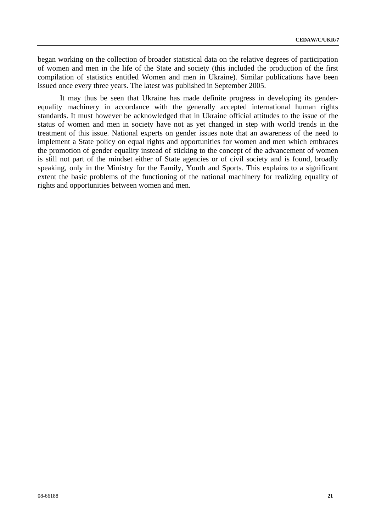began working on the collection of broader statistical data on the relative degrees of participation of women and men in the life of the State and society (this included the production of the first compilation of statistics entitled Women and men in Ukraine). Similar publications have been issued once every three years. The latest was published in September 2005.

 It may thus be seen that Ukraine has made definite progress in developing its genderequality machinery in accordance with the generally accepted international human rights standards. It must however be acknowledged that in Ukraine official attitudes to the issue of the status of women and men in society have not as yet changed in step with world trends in the treatment of this issue. National experts on gender issues note that an awareness of the need to implement a State policy on equal rights and opportunities for women and men which embraces the promotion of gender equality instead of sticking to the concept of the advancement of women is still not part of the mindset either of State agencies or of civil society and is found, broadly speaking, only in the Ministry for the Family, Youth and Sports. This explains to a significant extent the basic problems of the functioning of the national machinery for realizing equality of rights and opportunities between women and men.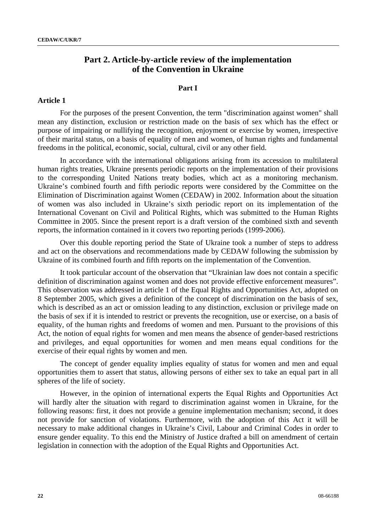## **Part 2. Article-by-article review of the implementation of the Convention in Ukraine**

## **Part I**

#### **Article 1**

 For the purposes of the present Convention, the term "discrimination against women" shall mean any distinction, exclusion or restriction made on the basis of sex which has the effect or purpose of impairing or nullifying the recognition, enjoyment or exercise by women, irrespective of their marital status, on a basis of equality of men and women, of human rights and fundamental freedoms in the political, economic, social, cultural, civil or any other field.

 In accordance with the international obligations arising from its accession to multilateral human rights treaties, Ukraine presents periodic reports on the implementation of their provisions to the corresponding United Nations treaty bodies, which act as a monitoring mechanism. Ukraine's combined fourth and fifth periodic reports were considered by the Committee on the Elimination of Discrimination against Women (CEDAW) in 2002. Information about the situation of women was also included in Ukraine's sixth periodic report on its implementation of the International Covenant on Civil and Political Rights, which was submitted to the Human Rights Committee in 2005. Since the present report is a draft version of the combined sixth and seventh reports, the information contained in it covers two reporting periods (1999-2006).

 Over this double reporting period the State of Ukraine took a number of steps to address and act on the observations and recommendations made by CEDAW following the submission by Ukraine of its combined fourth and fifth reports on the implementation of the Convention.

 It took particular account of the observation that "Ukrainian law does not contain a specific definition of discrimination against women and does not provide effective enforcement measures". This observation was addressed in article 1 of the Equal Rights and Opportunities Act, adopted on 8 September 2005, which gives a definition of the concept of discrimination on the basis of sex, which is described as an act or omission leading to any distinction, exclusion or privilege made on the basis of sex if it is intended to restrict or prevents the recognition, use or exercise, on a basis of equality, of the human rights and freedoms of women and men. Pursuant to the provisions of this Act, the notion of equal rights for women and men means the absence of gender-based restrictions and privileges, and equal opportunities for women and men means equal conditions for the exercise of their equal rights by women and men.

 The concept of gender equality implies equality of status for women and men and equal opportunities them to assert that status, allowing persons of either sex to take an equal part in all spheres of the life of society.

 However, in the opinion of international experts the Equal Rights and Opportunities Act will hardly alter the situation with regard to discrimination against women in Ukraine, for the following reasons: first, it does not provide a genuine implementation mechanism; second, it does not provide for sanction of violations. Furthermore, with the adoption of this Act it will be necessary to make additional changes in Ukraine's Civil, Labour and Criminal Codes in order to ensure gender equality. To this end the Ministry of Justice drafted a bill on amendment of certain legislation in connection with the adoption of the Equal Rights and Opportunities Act.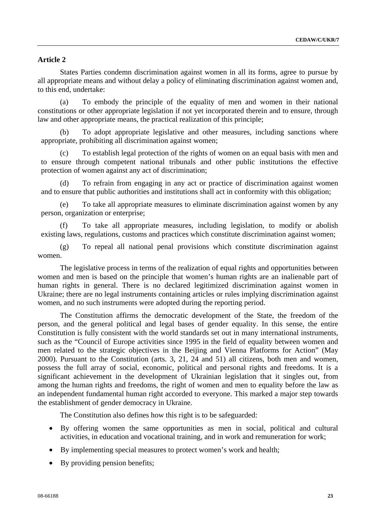## **Article 2**

 States Parties condemn discrimination against women in all its forms, agree to pursue by all appropriate means and without delay a policy of eliminating discrimination against women and, to this end, undertake:

 (a) To embody the principle of the equality of men and women in their national constitutions or other appropriate legislation if not yet incorporated therein and to ensure, through law and other appropriate means, the practical realization of this principle;

 (b) To adopt appropriate legislative and other measures, including sanctions where appropriate, prohibiting all discrimination against women;

 (c) To establish legal protection of the rights of women on an equal basis with men and to ensure through competent national tribunals and other public institutions the effective protection of women against any act of discrimination;

 (d) To refrain from engaging in any act or practice of discrimination against women and to ensure that public authorities and institutions shall act in conformity with this obligation;

 (e) To take all appropriate measures to eliminate discrimination against women by any person, organization or enterprise;

 (f) To take all appropriate measures, including legislation, to modify or abolish existing laws, regulations, customs and practices which constitute discrimination against women;

 (g) To repeal all national penal provisions which constitute discrimination against women.

 The legislative process in terms of the realization of equal rights and opportunities between women and men is based on the principle that women's human rights are an inalienable part of human rights in general. There is no declared legitimized discrimination against women in Ukraine; there are no legal instruments containing articles or rules implying discrimination against women, and no such instruments were adopted during the reporting period.

 The Constitution affirms the democratic development of the State, the freedom of the person, and the general political and legal bases of gender equality. In this sense, the entire Constitution is fully consistent with the world standards set out in many international instruments, such as the "Council of Europe activities since 1995 in the field of equality between women and men related to the strategic objectives in the Beijing and Vienna Platforms for Action" (May 2000). Pursuant to the Constitution (arts. 3, 21, 24 and 51) all citizens, both men and women, possess the full array of social, economic, political and personal rights and freedoms. It is a significant achievement in the development of Ukrainian legislation that it singles out, from among the human rights and freedoms, the right of women and men to equality before the law as an independent fundamental human right accorded to everyone. This marked a major step towards the establishment of gender democracy in Ukraine.

The Constitution also defines how this right is to be safeguarded:

- By offering women the same opportunities as men in social, political and cultural activities, in education and vocational training, and in work and remuneration for work;
- By implementing special measures to protect women's work and health;
- By providing pension benefits;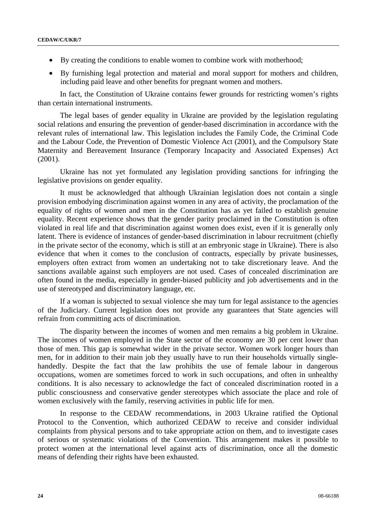- By creating the conditions to enable women to combine work with motherhood;
- By furnishing legal protection and material and moral support for mothers and children, including paid leave and other benefits for pregnant women and mothers.

 In fact, the Constitution of Ukraine contains fewer grounds for restricting women's rights than certain international instruments.

 The legal bases of gender equality in Ukraine are provided by the legislation regulating social relations and ensuring the prevention of gender-based discrimination in accordance with the relevant rules of international law. This legislation includes the Family Code, the Criminal Code and the Labour Code, the Prevention of Domestic Violence Act (2001), and the Compulsory State Maternity and Bereavement Insurance (Temporary Incapacity and Associated Expenses) Act (2001).

 Ukraine has not yet formulated any legislation providing sanctions for infringing the legislative provisions on gender equality.

 It must be acknowledged that although Ukrainian legislation does not contain a single provision embodying discrimination against women in any area of activity, the proclamation of the equality of rights of women and men in the Constitution has as yet failed to establish genuine equality. Recent experience shows that the gender parity proclaimed in the Constitution is often violated in real life and that discrimination against women does exist, even if it is generally only latent. There is evidence of instances of gender-based discrimination in labour recruitment (chiefly in the private sector of the economy, which is still at an embryonic stage in Ukraine). There is also evidence that when it comes to the conclusion of contracts, especially by private businesses, employers often extract from women an undertaking not to take discretionary leave. And the sanctions available against such employers are not used. Cases of concealed discrimination are often found in the media, especially in gender-biased publicity and job advertisements and in the use of stereotyped and discriminatory language, etc.

 If a woman is subjected to sexual violence she may turn for legal assistance to the agencies of the Judiciary. Current legislation does not provide any guarantees that State agencies will refrain from committing acts of discrimination.

 The disparity between the incomes of women and men remains a big problem in Ukraine. The incomes of women employed in the State sector of the economy are 30 per cent lower than those of men. This gap is somewhat wider in the private sector. Women work longer hours than men, for in addition to their main job they usually have to run their households virtually singlehandedly. Despite the fact that the law prohibits the use of female labour in dangerous occupations, women are sometimes forced to work in such occupations, and often in unhealthy conditions. It is also necessary to acknowledge the fact of concealed discrimination rooted in a public consciousness and conservative gender stereotypes which associate the place and role of women exclusively with the family, reserving activities in public life for men.

 In response to the CEDAW recommendations, in 2003 Ukraine ratified the Optional Protocol to the Convention, which authorized CEDAW to receive and consider individual complaints from physical persons and to take appropriate action on them, and to investigate cases of serious or systematic violations of the Convention. This arrangement makes it possible to protect women at the international level against acts of discrimination, once all the domestic means of defending their rights have been exhausted.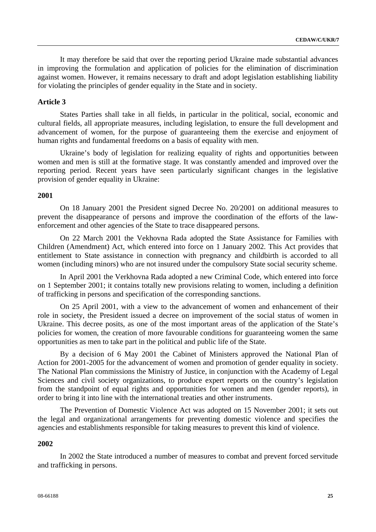It may therefore be said that over the reporting period Ukraine made substantial advances in improving the formulation and application of policies for the elimination of discrimination against women. However, it remains necessary to draft and adopt legislation establishing liability for violating the principles of gender equality in the State and in society.

## **Article 3**

 States Parties shall take in all fields, in particular in the political, social, economic and cultural fields, all appropriate measures, including legislation, to ensure the full development and advancement of women, for the purpose of guaranteeing them the exercise and enjoyment of human rights and fundamental freedoms on a basis of equality with men.

 Ukraine's body of legislation for realizing equality of rights and opportunities between women and men is still at the formative stage. It was constantly amended and improved over the reporting period. Recent years have seen particularly significant changes in the legislative provision of gender equality in Ukraine:

#### **2001**

 On 18 January 2001 the President signed Decree No. 20/2001 on additional measures to prevent the disappearance of persons and improve the coordination of the efforts of the lawenforcement and other agencies of the State to trace disappeared persons.

 On 22 March 2001 the Vekhovna Rada adopted the State Assistance for Families with Children (Amendment) Act, which entered into force on 1 January 2002. This Act provides that entitlement to State assistance in connection with pregnancy and childbirth is accorded to all women (including minors) who are not insured under the compulsory State social security scheme.

 In April 2001 the Verkhovna Rada adopted a new Criminal Code, which entered into force on 1 September 2001; it contains totally new provisions relating to women, including a definition of trafficking in persons and specification of the corresponding sanctions.

 On 25 April 2001, with a view to the advancement of women and enhancement of their role in society, the President issued a decree on improvement of the social status of women in Ukraine. This decree posits, as one of the most important areas of the application of the State's policies for women, the creation of more favourable conditions for guaranteeing women the same opportunities as men to take part in the political and public life of the State.

 By a decision of 6 May 2001 the Cabinet of Ministers approved the National Plan of Action for 2001-2005 for the advancement of women and promotion of gender equality in society. The National Plan commissions the Ministry of Justice, in conjunction with the Academy of Legal Sciences and civil society organizations, to produce expert reports on the country's legislation from the standpoint of equal rights and opportunities for women and men (gender reports), in order to bring it into line with the international treaties and other instruments.

 The Prevention of Domestic Violence Act was adopted on 15 November 2001; it sets out the legal and organizational arrangements for preventing domestic violence and specifies the agencies and establishments responsible for taking measures to prevent this kind of violence.

#### **2002**

 In 2002 the State introduced a number of measures to combat and prevent forced servitude and trafficking in persons.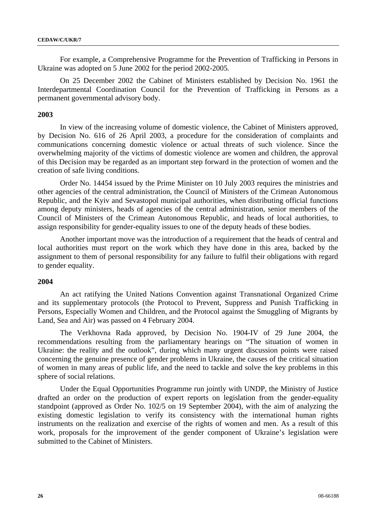For example, a Comprehensive Programme for the Prevention of Trafficking in Persons in Ukraine was adopted on 5 June 2002 for the period 2002-2005.

 On 25 December 2002 the Cabinet of Ministers established by Decision No. 1961 the Interdepartmental Coordination Council for the Prevention of Trafficking in Persons as a permanent governmental advisory body.

#### **2003**

In view of the increasing volume of domestic violence, the Cabinet of Ministers approved, by Decision No. 616 of 26 April 2003, a procedure for the consideration of complaints and communications concerning domestic violence or actual threats of such violence. Since the overwhelming majority of the victims of domestic violence are women and children, the approval of this Decision may be regarded as an important step forward in the protection of women and the creation of safe living conditions.

 Order No. 14454 issued by the Prime Minister on 10 July 2003 requires the ministries and other agencies of the central administration, the Council of Ministers of the Crimean Autonomous Republic, and the Kyiv and Sevastopol municipal authorities, when distributing official functions among deputy ministers, heads of agencies of the central administration, senior members of the Council of Ministers of the Crimean Autonomous Republic, and heads of local authorities, to assign responsibility for gender-equality issues to one of the deputy heads of these bodies.

 Another important move was the introduction of a requirement that the heads of central and local authorities must report on the work which they have done in this area, backed by the assignment to them of personal responsibility for any failure to fulfil their obligations with regard to gender equality.

### **2004**

 An act ratifying the United Nations Convention against Transnational Organized Crime and its supplementary protocols (the Protocol to Prevent, Suppress and Punish Trafficking in Persons, Especially Women and Children, and the Protocol against the Smuggling of Migrants by Land, Sea and Air) was passed on 4 February 2004.

 The Verkhovna Rada approved, by Decision No. 1904-IV of 29 June 2004, the recommendations resulting from the parliamentary hearings on "The situation of women in Ukraine: the reality and the outlook", during which many urgent discussion points were raised concerning the genuine presence of gender problems in Ukraine, the causes of the critical situation of women in many areas of public life, and the need to tackle and solve the key problems in this sphere of social relations.

 Under the Equal Opportunities Programme run jointly with UNDP, the Ministry of Justice drafted an order on the production of expert reports on legislation from the gender-equality standpoint (approved as Order No. 102/5 on 19 September 2004), with the aim of analyzing the existing domestic legislation to verify its consistency with the international human rights instruments on the realization and exercise of the rights of women and men. As a result of this work, proposals for the improvement of the gender component of Ukraine's legislation were submitted to the Cabinet of Ministers.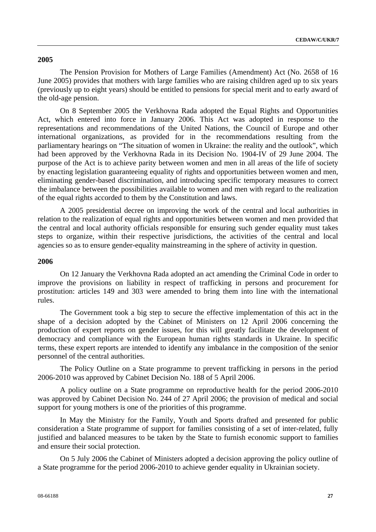## **2005**

 The Pension Provision for Mothers of Large Families (Amendment) Act (No. 2658 of 16 June 2005) provides that mothers with large families who are raising children aged up to six years (previously up to eight years) should be entitled to pensions for special merit and to early award of the old-age pension.

 On 8 September 2005 the Verkhovna Rada adopted the Equal Rights and Opportunities Act, which entered into force in January 2006. This Act was adopted in response to the representations and recommendations of the United Nations, the Council of Europe and other international organizations, as provided for in the recommendations resulting from the parliamentary hearings on "The situation of women in Ukraine: the reality and the outlook", which had been approved by the Verkhovna Rada in its Decision No. 1904-IV of 29 June 2004. The purpose of the Act is to achieve parity between women and men in all areas of the life of society by enacting legislation guaranteeing equality of rights and opportunities between women and men, eliminating gender-based discrimination, and introducing specific temporary measures to correct the imbalance between the possibilities available to women and men with regard to the realization of the equal rights accorded to them by the Constitution and laws.

 A 2005 presidential decree on improving the work of the central and local authorities in relation to the realization of equal rights and opportunities between women and men provided that the central and local authority officials responsible for ensuring such gender equality must takes steps to organize, within their respective jurisdictions, the activities of the central and local agencies so as to ensure gender-equality mainstreaming in the sphere of activity in question.

#### **2006**

 On 12 January the Verkhovna Rada adopted an act amending the Criminal Code in order to improve the provisions on liability in respect of trafficking in persons and procurement for prostitution: articles 149 and 303 were amended to bring them into line with the international rules.

 The Government took a big step to secure the effective implementation of this act in the shape of a decision adopted by the Cabinet of Ministers on 12 April 2006 concerning the production of expert reports on gender issues, for this will greatly facilitate the development of democracy and compliance with the European human rights standards in Ukraine. In specific terms, these expert reports are intended to identify any imbalance in the composition of the senior personnel of the central authorities.

 The Policy Outline on a State programme to prevent trafficking in persons in the period 2006-2010 was approved by Cabinet Decision No. 188 of 5 April 2006.

 A policy outline on a State programme on reproductive health for the period 2006-2010 was approved by Cabinet Decision No. 244 of 27 April 2006; the provision of medical and social support for young mothers is one of the priorities of this programme.

 In May the Ministry for the Family, Youth and Sports drafted and presented for public consideration a State programme of support for families consisting of a set of inter-related, fully justified and balanced measures to be taken by the State to furnish economic support to families and ensure their social protection.

 On 5 July 2006 the Cabinet of Ministers adopted a decision approving the policy outline of a State programme for the period 2006-2010 to achieve gender equality in Ukrainian society.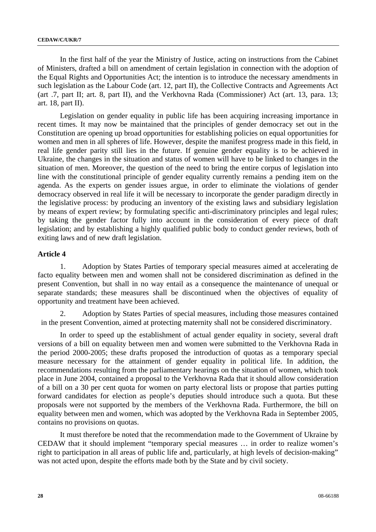In the first half of the year the Ministry of Justice, acting on instructions from the Cabinet of Ministers, drafted a bill on amendment of certain legislation in connection with the adoption of the Equal Rights and Opportunities Act; the intention is to introduce the necessary amendments in such legislation as the Labour Code (art. 12, part II), the Collective Contracts and Agreements Act (art .7, part II; art. 8, part II), and the Verkhovna Rada (Commissioner) Act (art. 13, para. 13; art. 18, part II).

 Legislation on gender equality in public life has been acquiring increasing importance in recent times. It may now be maintained that the principles of gender democracy set out in the Constitution are opening up broad opportunities for establishing policies on equal opportunities for women and men in all spheres of life. However, despite the manifest progress made in this field, in real life gender parity still lies in the future. If genuine gender equality is to be achieved in Ukraine, the changes in the situation and status of women will have to be linked to changes in the situation of men. Moreover, the question of the need to bring the entire corpus of legislation into line with the constitutional principle of gender equality currently remains a pending item on the agenda. As the experts on gender issues argue, in order to eliminate the violations of gender democracy observed in real life it will be necessary to incorporate the gender paradigm directly in the legislative process: by producing an inventory of the existing laws and subsidiary legislation by means of expert review; by formulating specific anti-discriminatory principles and legal rules; by taking the gender factor fully into account in the consideration of every piece of draft legislation; and by establishing a highly qualified public body to conduct gender reviews, both of exiting laws and of new draft legislation.

## **Article 4**

 1. Adoption by States Parties of temporary special measures aimed at accelerating de facto equality between men and women shall not be considered discrimination as defined in the present Convention, but shall in no way entail as a consequence the maintenance of unequal or separate standards; these measures shall be discontinued when the objectives of equality of opportunity and treatment have been achieved.

 2. Adoption by States Parties of special measures, including those measures contained in the present Convention, aimed at protecting maternity shall not be considered discriminatory.

 In order to speed up the establishment of actual gender equality in society, several draft versions of a bill on equality between men and women were submitted to the Verkhovna Rada in the period 2000-2005; these drafts proposed the introduction of quotas as a temporary special measure necessary for the attainment of gender equality in political life. In addition, the recommendations resulting from the parliamentary hearings on the situation of women, which took place in June 2004, contained a proposal to the Verkhovna Rada that it should allow consideration of a bill on a 30 per cent quota for women on party electoral lists or propose that parties putting forward candidates for election as people's deputies should introduce such a quota. But these proposals were not supported by the members of the Verkhovna Rada. Furthermore, the bill on equality between men and women, which was adopted by the Verkhovna Rada in September 2005, contains no provisions on quotas.

 It must therefore be noted that the recommendation made to the Government of Ukraine by CEDAW that it should implement "temporary special measures … in order to realize women's right to participation in all areas of public life and, particularly, at high levels of decision-making" was not acted upon, despite the efforts made both by the State and by civil society.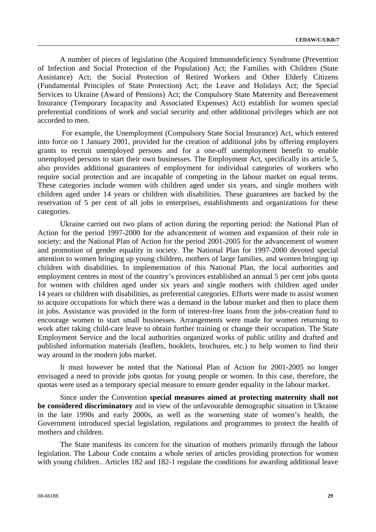A number of pieces of legislation (the Acquired Immunodeficiency Syndrome (Prevention of Infection and Social Protection of the Population) Act; the Families with Children (State Assistance) Act; the Social Protection of Retired Workers and Other Elderly Citizens (Fundamental Principles of State Protection) Act; the Leave and Holidays Act; the Special Services to Ukraine (Award of Pensions) Act; the Compulsory State Maternity and Bereavement Insurance (Temporary Incapacity and Associated Expenses) Act) establish for women special preferential conditions of work and social security and other additional privileges which are not accorded to men.

 For example, the Unemployment (Compulsory State Social Insurance) Act, which entered into force on 1 January 2001, provided for the creation of additional jobs by offering employers grants to recruit unemployed persons and for a one-off unemployment benefit to enable unemployed persons to start their own businesses. The Employment Act, specifically its article 5, also provides additional guarantees of employment for individual categories of workers who require social protection and are incapable of competing in the labour market on equal terms. These categories include women with children aged under six years, and single mothers with children aged under 14 years or children with disabilities. These guarantees are backed by the reservation of 5 per cent of all jobs in enterprises, establishments and organizations for these categories.

 Ukraine carried out two plans of action during the reporting period: the National Plan of Action for the period 1997-2000 for the advancement of women and expansion of their role in society; and the National Plan of Action for the period 2001-2005 for the advancement of women and promotion of gender equality in society. The National Plan for 1997-2000 devoted special attention to women bringing up young children, mothers of large families, and women bringing up children with disabilities. In implementation of this National Plan, the local authorities and employment centres in most of the country's provinces established an annual 5 per cent jobs quota for women with children aged under six years and single mothers with children aged under 14 years or children with disabilities, as preferential categories. Efforts were made to assist women to acquire occupations for which there was a demand in the labour market and then to place them in jobs. Assistance was provided in the form of interest-free loans from the jobs-creation fund to encourage women to start small businesses. Arrangements were made for women returning to work after taking child-care leave to obtain further training or change their occupation. The State Employment Service and the local authorities organized works of public utility and drafted and published information materials (leaflets, booklets, brochures, etc.) to help women to find their way around in the modern jobs market.

 It must however be noted that the National Plan of Action for 2001-2005 no longer envisaged a need to provide jobs quotas for young people or women. In this case, therefore, the quotas were used as a temporary special measure to ensure gender equality in the labour market.

 Since under the Convention **special measures aimed at protecting maternity shall not be considered discriminatory** and in view of the unfavourable demographic situation in Ukraine in the late 1990s and early 2000s, as well as the worsening state of women's health, the Government introduced special legislation, regulations and programmes to protect the health of mothers and children.

 The State manifests its concern for the situation of mothers primarily through the labour legislation. The Labour Code contains a whole series of articles providing protection for women with young children.. Articles 182 and 182-1 regulate the conditions for awarding additional leave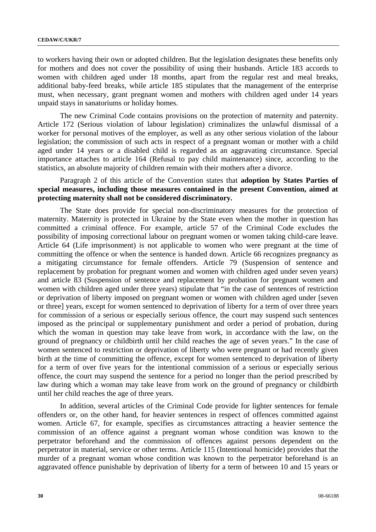to workers having their own or adopted children. But the legislation designates these benefits only for mothers and does not cover the possibility of using their husbands. Article 183 accords to women with children aged under 18 months, apart from the regular rest and meal breaks, additional baby-feed breaks, while article 185 stipulates that the management of the enterprise must, when necessary, grant pregnant women and mothers with children aged under 14 years unpaid stays in sanatoriums or holiday homes.

 The new Criminal Code contains provisions on the protection of maternity and paternity. Article 172 (Serious violation of labour legislation) criminalizes the unlawful dismissal of a worker for personal motives of the employer, as well as any other serious violation of the labour legislation; the commission of such acts in respect of a pregnant woman or mother with a child aged under 14 years or a disabled child is regarded as an aggravating circumstance. Special importance attaches to article 164 (Refusal to pay child maintenance) since, according to the statistics, an absolute majority of children remain with their mothers after a divorce.

## Paragraph 2 of this article of the Convention states that **adoption by States Parties of special measures, including those measures contained in the present Convention, aimed at protecting maternity shall not be considered discriminatory.**

 The State does provide for special non-discriminatory measures for the protection of maternity. Maternity is protected in Ukraine by the State even when the mother in question has committed a criminal offence. For example, article 57 of the Criminal Code excludes the possibility of imposing correctional labour on pregnant women or women taking child-care leave. Article 64 (Life imprisonment) is not applicable to women who were pregnant at the time of committing the offence or when the sentence is handed down. Article 66 recognizes pregnancy as a mitigating circumstance for female offenders. Article 79 (Suspension of sentence and replacement by probation for pregnant women and women with children aged under seven years) and article 83 (Suspension of sentence and replacement by probation for pregnant women and women with children aged under three years) stipulate that "in the case of sentences of restriction or deprivation of liberty imposed on pregnant women or women with children aged under [seven or three] years, except for women sentenced to deprivation of liberty for a term of over three years for commission of a serious or especially serious offence, the court may suspend such sentences imposed as the principal or supplementary punishment and order a period of probation, during which the woman in question may take leave from work, in accordance with the law, on the ground of pregnancy or childbirth until her child reaches the age of seven years." In the case of women sentenced to restriction or deprivation of liberty who were pregnant or had recently given birth at the time of committing the offence, except for women sentenced to deprivation of liberty for a term of over five years for the intentional commission of a serious or especially serious offence, the court may suspend the sentence for a period no longer than the period prescribed by law during which a woman may take leave from work on the ground of pregnancy or childbirth until her child reaches the age of three years.

 In addition, several articles of the Criminal Code provide for lighter sentences for female offenders or, on the other hand, for heavier sentences in respect of offences committed against women. Article 67, for example, specifies as circumstances attracting a heavier sentence the commission of an offence against a pregnant woman whose condition was known to the perpetrator beforehand and the commission of offences against persons dependent on the perpetrator in material, service or other terms. Article 115 (Intentional homicide) provides that the murder of a pregnant woman whose condition was known to the perpetrator beforehand is an aggravated offence punishable by deprivation of liberty for a term of between 10 and 15 years or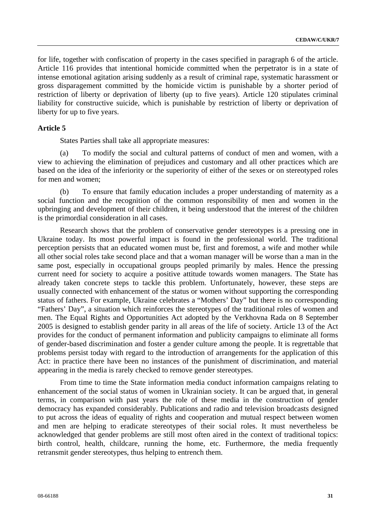for life, together with confiscation of property in the cases specified in paragraph 6 of the article. Article 116 provides that intentional homicide committed when the perpetrator is in a state of intense emotional agitation arising suddenly as a result of criminal rape, systematic harassment or gross disparagement committed by the homicide victim is punishable by a shorter period of restriction of liberty or deprivation of liberty (up to five years). Article 120 stipulates criminal liability for constructive suicide, which is punishable by restriction of liberty or deprivation of liberty for up to five years.

## **Article 5**

States Parties shall take all appropriate measures:

 (a) To modify the social and cultural patterns of conduct of men and women, with a view to achieving the elimination of prejudices and customary and all other practices which are based on the idea of the inferiority or the superiority of either of the sexes or on stereotyped roles for men and women;

 (b) To ensure that family education includes a proper understanding of maternity as a social function and the recognition of the common responsibility of men and women in the upbringing and development of their children, it being understood that the interest of the children is the primordial consideration in all cases.

 Research shows that the problem of conservative gender stereotypes is a pressing one in Ukraine today. Its most powerful impact is found in the professional world. The traditional perception persists that an educated women must be, first and foremost, a wife and mother while all other social roles take second place and that a woman manager will be worse than a man in the same post, especially in occupational groups peopled primarily by males. Hence the pressing current need for society to acquire a positive attitude towards women managers. The State has already taken concrete steps to tackle this problem. Unfortunately, however, these steps are usually connected with enhancement of the status or women without supporting the corresponding status of fathers. For example, Ukraine celebrates a "Mothers' Day" but there is no corresponding "Fathers' Day", a situation which reinforces the stereotypes of the traditional roles of women and men. The Equal Rights and Opportunities Act adopted by the Verkhovna Rada on 8 September 2005 is designed to establish gender parity in all areas of the life of society. Article 13 of the Act provides for the conduct of permanent information and publicity campaigns to eliminate all forms of gender-based discrimination and foster a gender culture among the people. It is regrettable that problems persist today with regard to the introduction of arrangements for the application of this Act: in practice there have been no instances of the punishment of discrimination, and material appearing in the media is rarely checked to remove gender stereotypes.

 From time to time the State information media conduct information campaigns relating to enhancement of the social status of women in Ukrainian society. It can be argued that, in general terms, in comparison with past years the role of these media in the construction of gender democracy has expanded considerably. Publications and radio and television broadcasts designed to put across the ideas of equality of rights and cooperation and mutual respect between women and men are helping to eradicate stereotypes of their social roles. It must nevertheless be acknowledged that gender problems are still most often aired in the context of traditional topics: birth control, health, childcare, running the home, etc. Furthermore, the media frequently retransmit gender stereotypes, thus helping to entrench them.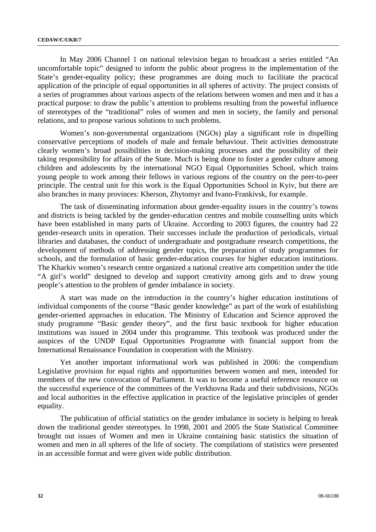In May 2006 Channel 1 on national television began to broadcast a series entitled "An uncomfortable topic" designed to inform the public about progress in the implementation of the State's gender-equality policy; these programmes are doing much to facilitate the practical application of the principle of equal opportunities in all spheres of activity. The project consists of a series of programmes about various aspects of the relations between women and men and it has a practical purpose: to draw the public's attention to problems resulting from the powerful influence of stereotypes of the "traditional" roles of women and men in society, the family and personal relations, and to propose various solutions to such problems.

 Women's non-governmental organizations (NGOs) play a significant role in dispelling conservative perceptions of models of male and female behaviour. Their activities demonstrate clearly women's broad possibilities in decision-making processes and the possibility of their taking responsibility for affairs of the State. Much is being done to foster a gender culture among children and adolescents by the international NGO Equal Opportunities School, which trains young people to work among their fellows in various regions of the country on the peer-to-peer principle. The central unit for this work is the Equal Opportunities School in Kyiv, but there are also branches in many provinces: Kherson, Zhytomyr and Ivano-Frankivsk, for example.

 The task of disseminating information about gender-equality issues in the country's towns and districts is being tackled by the gender-education centres and mobile counselling units which have been established in many parts of Ukraine. According to 2003 figures, the country had 22 gender-research units in operation. Their successes include the production of periodicals, virtual libraries and databases, the conduct of undergraduate and postgraduate research competitions, the development of methods of addressing gender topics, the preparation of study programmes for schools, and the formulation of basic gender-education courses for higher education institutions. The Kharkiv women's research centre organized a national creative arts competition under the title "A girl's world" designed to develop and support creativity among girls and to draw young people's attention to the problem of gender imbalance in society.

 A start was made on the introduction in the country's higher education institutions of individual components of the course "Basic gender knowledge" as part of the work of establishing gender-oriented approaches in education. The Ministry of Education and Science approved the study programme "Basic gender theory", and the first basic textbook for higher education institutions was issued in 2004 under this programme. This textbook was produced under the auspices of the UNDP Equal Opportunities Programme with financial support from the International Renaissance Foundation in cooperation with the Ministry.

 Yet another important informational work was published in 2006: the compendium Legislative provision for equal rights and opportunities between women and men, intended for members of the new convocation of Parliament. It was to become a useful reference resource on the successful experience of the committees of the Verkhovna Rada and their subdivisions, NGOs and local authorities in the effective application in practice of the legislative principles of gender equality.

 The publication of official statistics on the gender imbalance in society is helping to break down the traditional gender stereotypes. In 1998, 2001 and 2005 the State Statistical Committee brought out issues of Women and men in Ukraine containing basic statistics the situation of women and men in all spheres of the life of society. The compilations of statistics were presented in an accessible format and were given wide public distribution.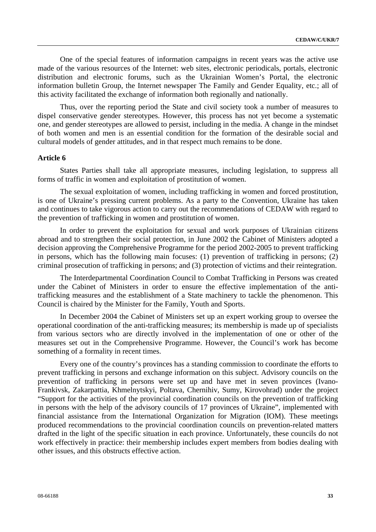One of the special features of information campaigns in recent years was the active use made of the various resources of the Internet: web sites, electronic periodicals, portals, electronic distribution and electronic forums, such as the Ukrainian Women's Portal, the electronic information bulletin Group, the Internet newspaper The Family and Gender Equality, etc.; all of this activity facilitated the exchange of information both regionally and nationally.

 Thus, over the reporting period the State and civil society took a number of measures to dispel conservative gender stereotypes. However, this process has not yet become a systematic one, and gender stereotypes are allowed to persist, including in the media. A change in the mindset of both women and men is an essential condition for the formation of the desirable social and cultural models of gender attitudes, and in that respect much remains to be done.

#### **Article 6**

 States Parties shall take all appropriate measures, including legislation, to suppress all forms of traffic in women and exploitation of prostitution of women.

 The sexual exploitation of women, including trafficking in women and forced prostitution, is one of Ukraine's pressing current problems. As a party to the Convention, Ukraine has taken and continues to take vigorous action to carry out the recommendations of CEDAW with regard to the prevention of trafficking in women and prostitution of women.

 In order to prevent the exploitation for sexual and work purposes of Ukrainian citizens abroad and to strengthen their social protection, in June 2002 the Cabinet of Ministers adopted a decision approving the Comprehensive Programme for the period 2002-2005 to prevent trafficking in persons, which has the following main focuses: (1) prevention of trafficking in persons; (2) criminal prosecution of trafficking in persons; and (3) protection of victims and their reintegration.

 The Interdepartmental Coordination Council to Combat Trafficking in Persons was created under the Cabinet of Ministers in order to ensure the effective implementation of the antitrafficking measures and the establishment of a State machinery to tackle the phenomenon. This Council is chaired by the Minister for the Family, Youth and Sports.

 In December 2004 the Cabinet of Ministers set up an expert working group to oversee the operational coordination of the anti-trafficking measures; its membership is made up of specialists from various sectors who are directly involved in the implementation of one or other of the measures set out in the Comprehensive Programme. However, the Council's work has become something of a formality in recent times.

 Every one of the country's provinces has a standing commission to coordinate the efforts to prevent trafficking in persons and exchange information on this subject. Advisory councils on the prevention of trafficking in persons were set up and have met in seven provinces (Ivano-Frankivsk, Zakarpattia, Khmelnytskyi, Poltava, Chernihiv, Sumy, Kirovohrad) under the project "Support for the activities of the provincial coordination councils on the prevention of trafficking in persons with the help of the advisory councils of 17 provinces of Ukraine", implemented with financial assistance from the International Organization for Migration (IOM). These meetings produced recommendations to the provincial coordination councils on prevention-related matters drafted in the light of the specific situation in each province. Unfortunately, these councils do not work effectively in practice: their membership includes expert members from bodies dealing with other issues, and this obstructs effective action.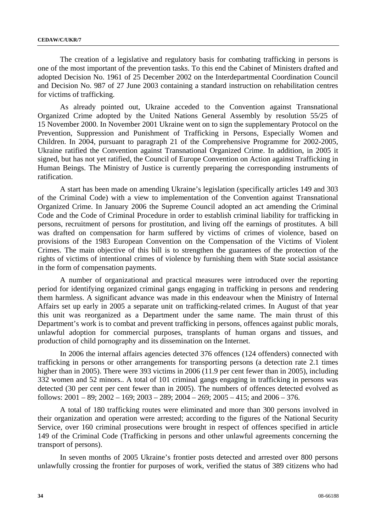The creation of a legislative and regulatory basis for combating trafficking in persons is one of the most important of the prevention tasks. To this end the Cabinet of Ministers drafted and adopted Decision No. 1961 of 25 December 2002 on the Interdepartmental Coordination Council and Decision No. 987 of 27 June 2003 containing a standard instruction on rehabilitation centres for victims of trafficking.

 As already pointed out, Ukraine acceded to the Convention against Transnational Organized Crime adopted by the United Nations General Assembly by resolution 55/25 of 15 November 2000. In November 2001 Ukraine went on to sign the supplementary Protocol on the Prevention, Suppression and Punishment of Trafficking in Persons, Especially Women and Children. In 2004, pursuant to paragraph 21 of the Comprehensive Programme for 2002-2005, Ukraine ratified the Convention against Transnational Organized Crime. In addition, in 2005 it signed, but has not yet ratified, the Council of Europe Convention on Action against Trafficking in Human Beings. The Ministry of Justice is currently preparing the corresponding instruments of ratification.

 A start has been made on amending Ukraine's legislation (specifically articles 149 and 303 of the Criminal Code) with a view to implementation of the Convention against Transnational Organized Crime. In January 2006 the Supreme Council adopted an act amending the Criminal Code and the Code of Criminal Procedure in order to establish criminal liability for trafficking in persons, recruitment of persons for prostitution, and living off the earnings of prostitutes. A bill was drafted on compensation for harm suffered by victims of crimes of violence, based on provisions of the 1983 European Convention on the Compensation of the Victims of Violent Crimes. The main objective of this bill is to strengthen the guarantees of the protection of the rights of victims of intentional crimes of violence by furnishing them with State social assistance in the form of compensation payments.

 A number of organizational and practical measures were introduced over the reporting period for identifying organized criminal gangs engaging in trafficking in persons and rendering them harmless. A significant advance was made in this endeavour when the Ministry of Internal Affairs set up early in 2005 a separate unit on trafficking-related crimes. In August of that year this unit was reorganized as a Department under the same name. The main thrust of this Department's work is to combat and prevent trafficking in persons, offences against public morals, unlawful adoption for commercial purposes, transplants of human organs and tissues, and production of child pornography and its dissemination on the Internet.

 In 2006 the internal affairs agencies detected 376 offences (124 offenders) connected with trafficking in persons or other arrangements for transporting persons (a detection rate 2.1 times higher than in 2005). There were 393 victims in 2006 (11.9 per cent fewer than in 2005), including 332 women and 52 minors.. A total of 101 criminal gangs engaging in trafficking in persons was detected (30 per cent per cent fewer than in 2005). The numbers of offences detected evolved as follows:  $2001 - 89$ ;  $2002 - 169$ ;  $2003 - 289$ ;  $2004 - 269$ ;  $2005 - 415$ ; and  $2006 - 376$ .

 A total of 180 trafficking routes were eliminated and more than 300 persons involved in their organization and operation were arrested; according to the figures of the National Security Service, over 160 criminal prosecutions were brought in respect of offences specified in article 149 of the Criminal Code (Trafficking in persons and other unlawful agreements concerning the transport of persons).

 In seven months of 2005 Ukraine's frontier posts detected and arrested over 800 persons unlawfully crossing the frontier for purposes of work, verified the status of 389 citizens who had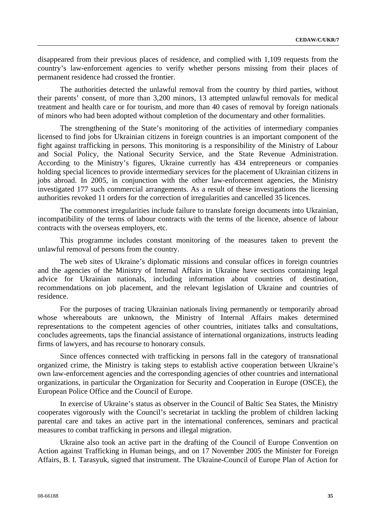disappeared from their previous places of residence, and complied with 1,109 requests from the country's law-enforcement agencies to verify whether persons missing from their places of permanent residence had crossed the frontier.

 The authorities detected the unlawful removal from the country by third parties, without their parents' consent, of more than 3,200 minors, 13 attempted unlawful removals for medical treatment and health care or for tourism, and more than 40 cases of removal by foreign nationals of minors who had been adopted without completion of the documentary and other formalities.

 The strengthening of the State's monitoring of the activities of intermediary companies licensed to find jobs for Ukrainian citizens in foreign countries is an important component of the fight against trafficking in persons. This monitoring is a responsibility of the Ministry of Labour and Social Policy, the National Security Service, and the State Revenue Administration. According to the Ministry's figures, Ukraine currently has 434 entrepreneurs or companies holding special licences to provide intermediary services for the placement of Ukrainian citizens in jobs abroad. In 2005, in conjunction with the other law-enforcement agencies, the Ministry investigated 177 such commercial arrangements. As a result of these investigations the licensing authorities revoked 11 orders for the correction of irregularities and cancelled 35 licences.

 The commonest irregularities include failure to translate foreign documents into Ukrainian, incompatibility of the terms of labour contracts with the terms of the licence, absence of labour contracts with the overseas employers, etc.

 This programme includes constant monitoring of the measures taken to prevent the unlawful removal of persons from the country.

 The web sites of Ukraine's diplomatic missions and consular offices in foreign countries and the agencies of the Ministry of Internal Affairs in Ukraine have sections containing legal advice for Ukrainian nationals, including information about countries of destination, recommendations on job placement, and the relevant legislation of Ukraine and countries of residence.

 For the purposes of tracing Ukrainian nationals living permanently or temporarily abroad whose whereabouts are unknown, the Ministry of Internal Affairs makes determined representations to the competent agencies of other countries, initiates talks and consultations, concludes agreements, taps the financial assistance of international organizations, instructs leading firms of lawyers, and has recourse to honorary consuls.

 Since offences connected with trafficking in persons fall in the category of transnational organized crime, the Ministry is taking steps to establish active cooperation between Ukraine's own law-enforcement agencies and the corresponding agencies of other countries and international organizations, in particular the Organization for Security and Cooperation in Europe (OSCE), the European Police Office and the Council of Europe.

 In exercise of Ukraine's status as observer in the Council of Baltic Sea States, the Ministry cooperates vigorously with the Council's secretariat in tackling the problem of children lacking parental care and takes an active part in the international conferences, seminars and practical measures to combat trafficking in persons and illegal migration.

 Ukraine also took an active part in the drafting of the Council of Europe Convention on Action against Trafficking in Human beings, and on 17 November 2005 the Minister for Foreign Affairs, B. I. Tarasyuk, signed that instrument. The Ukraine-Council of Europe Plan of Action for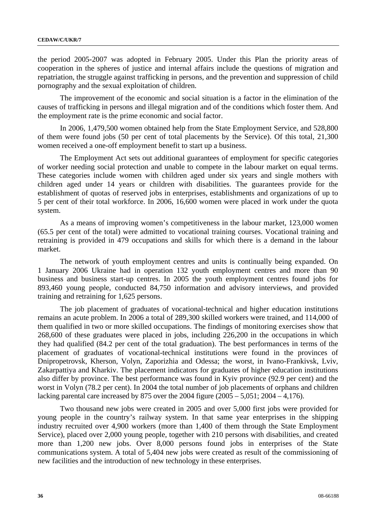the period 2005-2007 was adopted in February 2005. Under this Plan the priority areas of cooperation in the spheres of justice and internal affairs include the questions of migration and repatriation, the struggle against trafficking in persons, and the prevention and suppression of child pornography and the sexual exploitation of children.

 The improvement of the economic and social situation is a factor in the elimination of the causes of trafficking in persons and illegal migration and of the conditions which foster them. And the employment rate is the prime economic and social factor.

 In 2006, 1,479,500 women obtained help from the State Employment Service, and 528,800 of them were found jobs (50 per cent of total placements by the Service). Of this total, 21,300 women received a one-off employment benefit to start up a business.

 The Employment Act sets out additional guarantees of employment for specific categories of worker needing social protection and unable to compete in the labour market on equal terms. These categories include women with children aged under six years and single mothers with children aged under 14 years or children with disabilities. The guarantees provide for the establishment of quotas of reserved jobs in enterprises, establishments and organizations of up to 5 per cent of their total workforce. In 2006, 16,600 women were placed in work under the quota system.

 As a means of improving women's competitiveness in the labour market, 123,000 women (65.5 per cent of the total) were admitted to vocational training courses. Vocational training and retraining is provided in 479 occupations and skills for which there is a demand in the labour market.

 The network of youth employment centres and units is continually being expanded. On 1 January 2006 Ukraine had in operation 132 youth employment centres and more than 90 business and business start-up centres. In 2005 the youth employment centres found jobs for 893,460 young people, conducted 84,750 information and advisory interviews, and provided training and retraining for 1,625 persons.

 The job placement of graduates of vocational-technical and higher education institutions remains an acute problem. In 2006 a total of 289,300 skilled workers were trained, and 114,000 of them qualified in two or more skilled occupations. The findings of monitoring exercises show that 268,600 of these graduates were placed in jobs, including 226,200 in the occupations in which they had qualified (84.2 per cent of the total graduation). The best performances in terms of the placement of graduates of vocational-technical institutions were found in the provinces of Dnipropetrovsk, Kherson, Volyn, Zaporizhia and Odessa; the worst, in Ivano-Frankivsk, Lviv, Zakarpattiya and Kharkiv. The placement indicators for graduates of higher education institutions also differ by province. The best performance was found in Kyiv province (92.9 per cent) and the worst in Volyn (78.2 per cent). In 2004 the total number of job placements of orphans and children lacking parental care increased by 875 over the  $2004$  figure  $(2005 - 5,051; 2004 - 4,176)$ .

 Two thousand new jobs were created in 2005 and over 5,000 first jobs were provided for young people in the country's railway system. In that same year enterprises in the shipping industry recruited over 4,900 workers (more than 1,400 of them through the State Employment Service), placed over 2,000 young people, together with 210 persons with disabilities, and created more than 1,200 new jobs. Over 8,000 persons found jobs in enterprises of the State communications system. A total of 5,404 new jobs were created as result of the commissioning of new facilities and the introduction of new technology in these enterprises.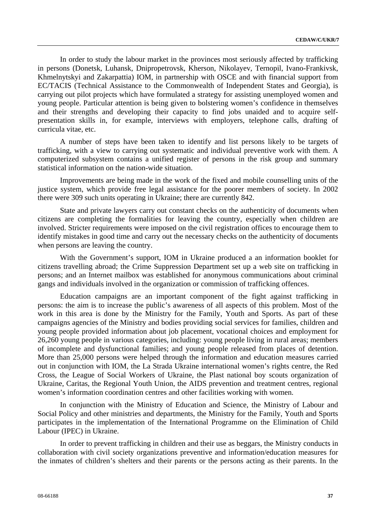In order to study the labour market in the provinces most seriously affected by trafficking in persons (Donetsk, Luhansk, Dnipropetrovsk, Kherson, Nikolayev, Ternopil, Ivano-Frankivsk, Khmelnytskyi and Zakarpattia) IOM, in partnership with OSCE and with financial support from EC/TACIS (Technical Assistance to the Commonwealth of Independent States and Georgia), is carrying out pilot projects which have formulated a strategy for assisting unemployed women and young people. Particular attention is being given to bolstering women's confidence in themselves and their strengths and developing their capacity to find jobs unaided and to acquire selfpresentation skills in, for example, interviews with employers, telephone calls, drafting of curricula vitae, etc.

 A number of steps have been taken to identify and list persons likely to be targets of trafficking, with a view to carrying out systematic and individual preventive work with them. A computerized subsystem contains a unified register of persons in the risk group and summary statistical information on the nation-wide situation.

 Improvements are being made in the work of the fixed and mobile counselling units of the justice system, which provide free legal assistance for the poorer members of society. In 2002 there were 309 such units operating in Ukraine; there are currently 842.

 State and private lawyers carry out constant checks on the authenticity of documents when citizens are completing the formalities for leaving the country, especially when children are involved. Stricter requirements were imposed on the civil registration offices to encourage them to identify mistakes in good time and carry out the necessary checks on the authenticity of documents when persons are leaving the country.

 With the Government's support, IOM in Ukraine produced a an information booklet for citizens travelling abroad; the Crime Suppression Department set up a web site on trafficking in persons; and an Internet mailbox was established for anonymous communications about criminal gangs and individuals involved in the organization or commission of trafficking offences.

 Education campaigns are an important component of the fight against trafficking in persons: the aim is to increase the public's awareness of all aspects of this problem. Most of the work in this area is done by the Ministry for the Family, Youth and Sports. As part of these campaigns agencies of the Ministry and bodies providing social services for families, children and young people provided information about job placement, vocational choices and employment for 26,260 young people in various categories, including: young people living in rural areas; members of incomplete and dysfunctional families; and young people released from places of detention. More than 25,000 persons were helped through the information and education measures carried out in conjunction with IOM, the La Strada Ukraine international women's rights centre, the Red Cross, the League of Social Workers of Ukraine, the Plast national boy scouts organization of Ukraine, Caritas, the Regional Youth Union, the AIDS prevention and treatment centres, regional women's information coordination centres and other facilities working with women.

 In conjunction with the Ministry of Education and Science, the Ministry of Labour and Social Policy and other ministries and departments, the Ministry for the Family, Youth and Sports participates in the implementation of the International Programme on the Elimination of Child Labour (IPEC) in Ukraine.

 In order to prevent trafficking in children and their use as beggars, the Ministry conducts in collaboration with civil society organizations preventive and information/education measures for the inmates of children's shelters and their parents or the persons acting as their parents. In the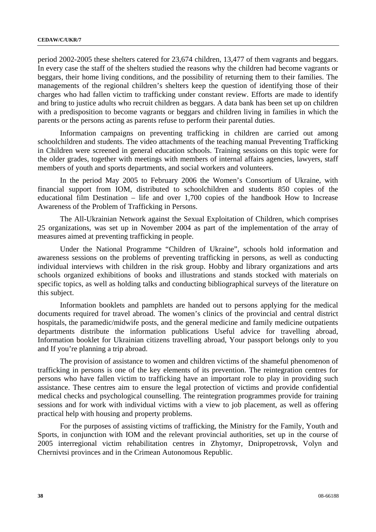period 2002-2005 these shelters catered for 23,674 children, 13,477 of them vagrants and beggars. In every case the staff of the shelters studied the reasons why the children had become vagrants or beggars, their home living conditions, and the possibility of returning them to their families. The managements of the regional children's shelters keep the question of identifying those of their charges who had fallen victim to trafficking under constant review. Efforts are made to identify and bring to justice adults who recruit children as beggars. A data bank has been set up on children with a predisposition to become vagrants or beggars and children living in families in which the parents or the persons acting as parents refuse to perform their parental duties.

 Information campaigns on preventing trafficking in children are carried out among schoolchildren and students. The video attachments of the teaching manual Preventing Trafficking in Children were screened in general education schools. Training sessions on this topic were for the older grades, together with meetings with members of internal affairs agencies, lawyers, staff members of youth and sports departments, and social workers and volunteers.

 In the period May 2005 to February 2006 the Women's Consortium of Ukraine, with financial support from IOM, distributed to schoolchildren and students 850 copies of the educational film Destination – life and over 1,700 copies of the handbook How to Increase Awareness of the Problem of Trafficking in Persons.

 The All-Ukrainian Network against the Sexual Exploitation of Children, which comprises 25 organizations, was set up in November 2004 as part of the implementation of the array of measures aimed at preventing trafficking in people.

 Under the National Programme "Children of Ukraine", schools hold information and awareness sessions on the problems of preventing trafficking in persons, as well as conducting individual interviews with children in the risk group. Hobby and library organizations and arts schools organized exhibitions of books and illustrations and stands stocked with materials on specific topics, as well as holding talks and conducting bibliographical surveys of the literature on this subject.

 Information booklets and pamphlets are handed out to persons applying for the medical documents required for travel abroad. The women's clinics of the provincial and central district hospitals, the paramedic/midwife posts, and the general medicine and family medicine outpatients departments distribute the information publications Useful advice for travelling abroad, Information booklet for Ukrainian citizens travelling abroad, Your passport belongs only to you and If you're planning a trip abroad.

 The provision of assistance to women and children victims of the shameful phenomenon of trafficking in persons is one of the key elements of its prevention. The reintegration centres for persons who have fallen victim to trafficking have an important role to play in providing such assistance. These centres aim to ensure the legal protection of victims and provide confidential medical checks and psychological counselling. The reintegration programmes provide for training sessions and for work with individual victims with a view to job placement, as well as offering practical help with housing and property problems.

 For the purposes of assisting victims of trafficking, the Ministry for the Family, Youth and Sports, in conjunction with IOM and the relevant provincial authorities, set up in the course of 2005 interregional victim rehabilitation centres in Zhytomyr, Dnipropetrovsk, Volyn and Chernivtsi provinces and in the Crimean Autonomous Republic.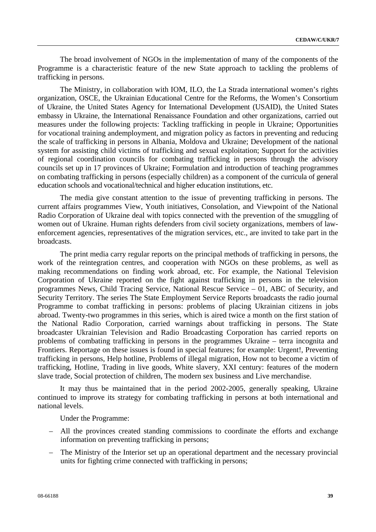The broad involvement of NGOs in the implementation of many of the components of the Programme is a characteristic feature of the new State approach to tackling the problems of trafficking in persons.

 The Ministry, in collaboration with IOM, ILO, the La Strada international women's rights organization, OSCE, the Ukrainian Educational Centre for the Reforms, the Women's Consortium of Ukraine, the United States Agency for International Development (USAID), the United States embassy in Ukraine, the International Renaissance Foundation and other organizations, carried out measures under the following projects: Tackling trafficking in people in Ukraine; Opportunities for vocational training andemployment, and migration policy as factors in preventing and reducing the scale of trafficking in persons in Albania, Moldova and Ukraine; Development of the national system for assisting child victims of trafficking and sexual exploitation; Support for the activities of regional coordination councils for combating trafficking in persons through the advisory councils set up in 17 provinces of Ukraine; Formulation and introduction of teaching programmes on combating trafficking in persons (especially children) as a component of the curricula of general education schools and vocational/technical and higher education institutions, etc.

 The media give constant attention to the issue of preventing trafficking in persons. The current affairs programmes View, Youth initiatives, Consolation, and Viewpoint of the National Radio Corporation of Ukraine deal with topics connected with the prevention of the smuggling of women out of Ukraine. Human rights defenders from civil society organizations, members of lawenforcement agencies, representatives of the migration services, etc., are invited to take part in the broadcasts.

 The print media carry regular reports on the principal methods of trafficking in persons, the work of the reintegration centres, and cooperation with NGOs on these problems, as well as making recommendations on finding work abroad, etc. For example, the National Television Corporation of Ukraine reported on the fight against trafficking in persons in the television programmes News, Child Tracing Service, National Rescue Service – 01, ABC of Security, and Security Territory. The series The State Employment Service Reports broadcasts the radio journal Programme to combat trafficking in persons: problems of placing Ukrainian citizens in jobs abroad. Twenty-two programmes in this series, which is aired twice a month on the first station of the National Radio Corporation, carried warnings about trafficking in persons. The State broadcaster Ukrainian Television and Radio Broadcasting Corporation has carried reports on problems of combating trafficking in persons in the programmes Ukraine – terra incognita and Frontiers. Reportage on these issues is found in special features; for example: Urgent!, Preventing trafficking in persons, Help hotline, Problems of illegal migration, How not to become a victim of trafficking, Hotline, Trading in live goods, White slavery, XXI century: features of the modern slave trade, Social protection of children, The modern sex business and Live merchandise.

 It may thus be maintained that in the period 2002-2005, generally speaking, Ukraine continued to improve its strategy for combating trafficking in persons at both international and national levels.

Under the Programme:

- All the provinces created standing commissions to coordinate the efforts and exchange information on preventing trafficking in persons;
- The Ministry of the Interior set up an operational department and the necessary provincial units for fighting crime connected with trafficking in persons;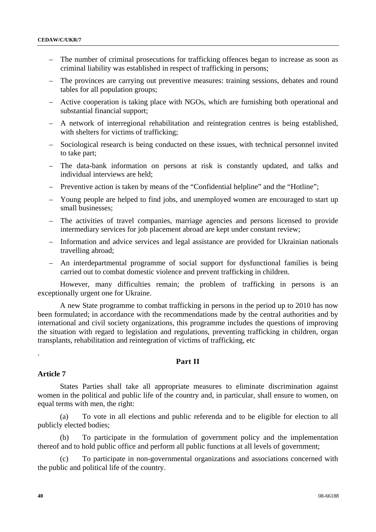- The number of criminal prosecutions for trafficking offences began to increase as soon as criminal liability was established in respect of trafficking in persons;
- The provinces are carrying out preventive measures: training sessions, debates and round tables for all population groups;
- Active cooperation is taking place with NGOs, which are furnishing both operational and substantial financial support;
- A network of interregional rehabilitation and reintegration centres is being established, with shelters for victims of trafficking;
- Sociological research is being conducted on these issues, with technical personnel invited to take part;
- The data-bank information on persons at risk is constantly updated, and talks and individual interviews are held;
- Preventive action is taken by means of the "Confidential helpline" and the "Hotline";
- Young people are helped to find jobs, and unemployed women are encouraged to start up small businesses;
- The activities of travel companies, marriage agencies and persons licensed to provide intermediary services for job placement abroad are kept under constant review;
- Information and advice services and legal assistance are provided for Ukrainian nationals travelling abroad;
- An interdepartmental programme of social support for dysfunctional families is being carried out to combat domestic violence and prevent trafficking in children.

 However, many difficulties remain; the problem of trafficking in persons is an exceptionally urgent one for Ukraine.

 A new State programme to combat trafficking in persons in the period up to 2010 has now been formulated; in accordance with the recommendations made by the central authorities and by international and civil society organizations, this programme includes the questions of improving the situation with regard to legislation and regulations, preventing trafficking in children, organ transplants, rehabilitation and reintegration of victims of trafficking, etc

# **Part II**

# **Article 7**

.

 States Parties shall take all appropriate measures to eliminate discrimination against women in the political and public life of the country and, in particular, shall ensure to women, on equal terms with men, the right:

 (a) To vote in all elections and public referenda and to be eligible for election to all publicly elected bodies;

 (b) To participate in the formulation of government policy and the implementation thereof and to hold public office and perform all public functions at all levels of government;

 (c) To participate in non-governmental organizations and associations concerned with the public and political life of the country.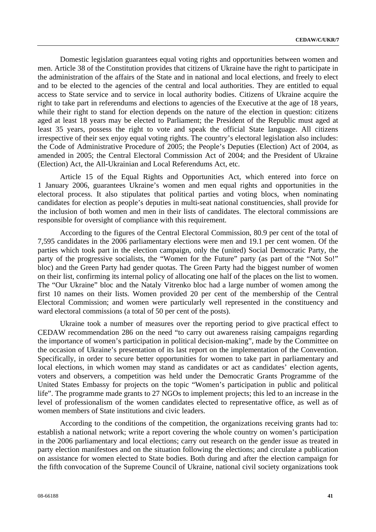Domestic legislation guarantees equal voting rights and opportunities between women and men. Article 38 of the Constitution provides that citizens of Ukraine have the right to participate in the administration of the affairs of the State and in national and local elections, and freely to elect and to be elected to the agencies of the central and local authorities. They are entitled to equal access to State service and to service in local authority bodies. Citizens of Ukraine acquire the right to take part in referendums and elections to agencies of the Executive at the age of 18 years, while their right to stand for election depends on the nature of the election in question: citizens aged at least 18 years may be elected to Parliament; the President of the Republic must aged at least 35 years, possess the right to vote and speak the official State language. All citizens irrespective of their sex enjoy equal voting rights. The country's electoral legislation also includes: the Code of Administrative Procedure of 2005; the People's Deputies (Election) Act of 2004, as amended in 2005; the Central Electoral Commission Act of 2004; and the President of Ukraine (Election) Act, the All-Ukrainian and Local Referendums Act, etc.

 Article 15 of the Equal Rights and Opportunities Act, which entered into force on 1 January 2006, guarantees Ukraine's women and men equal rights and opportunities in the electoral process. It also stipulates that political parties and voting blocs, when nominating candidates for election as people's deputies in multi-seat national constituencies, shall provide for the inclusion of both women and men in their lists of candidates. The electoral commissions are responsible for oversight of compliance with this requirement.

 According to the figures of the Central Electoral Commission, 80.9 per cent of the total of 7,595 candidates in the 2006 parliamentary elections were men and 19.1 per cent women. Of the parties which took part in the election campaign, only the (united) Social Democratic Party, the party of the progressive socialists, the "Women for the Future" party (as part of the "Not So!" bloc) and the Green Party had gender quotas. The Green Party had the biggest number of women on their list, confirming its internal policy of allocating one half of the places on the list to women. The "Our Ukraine" bloc and the Nataly Vitrenko bloc had a large number of women among the first 10 names on their lists. Women provided 20 per cent of the membership of the Central Electoral Commission; and women were particularly well represented in the constituency and ward electoral commissions (a total of 50 per cent of the posts).

 Ukraine took a number of measures over the reporting period to give practical effect to CEDAW recommendation 286 on the need "to carry out awareness raising campaigns regarding the importance of women's participation in political decision-making", made by the Committee on the occasion of Ukraine's presentation of its last report on the implementation of the Convention. Specifically, in order to secure better opportunities for women to take part in parliamentary and local elections, in which women may stand as candidates or act as candidates' election agents, voters and observers, a competition was held under the Democratic Grants Programme of the United States Embassy for projects on the topic "Women's participation in public and political life". The programme made grants to 27 NGOs to implement projects; this led to an increase in the level of professionalism of the women candidates elected to representative office, as well as of women members of State institutions and civic leaders.

 According to the conditions of the competition, the organizations receiving grants had to: establish a national network; write a report covering the whole country on women's participation in the 2006 parliamentary and local elections; carry out research on the gender issue as treated in party election manifestoes and on the situation following the elections; and circulate a publication on assistance for women elected to State bodies. Both during and after the election campaign for the fifth convocation of the Supreme Council of Ukraine, national civil society organizations took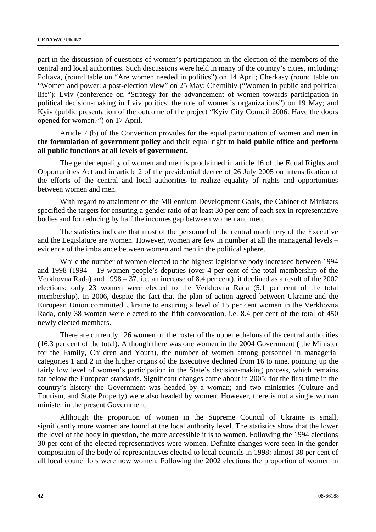part in the discussion of questions of women's participation in the election of the members of the central and local authorities. Such discussions were held in many of the country's cities, including: Poltava, (round table on "Are women needed in politics") on 14 April; Cherkasy (round table on "Women and power: a post-election view" on 25 May; Chernihiv ("Women in public and political life"); Lviv (conference on "Strategy for the advancement of women towards participation in political decision-making in Lviv politics: the role of women's organizations") on 19 May; and Kyiv (public presentation of the outcome of the project "Kyiv City Council 2006: Have the doors opened for women?") on 17 April.

 Article 7 (b) of the Convention provides for the equal participation of women and men **in the formulation of government policy** and their equal right **to hold public office and perform all public functions at all levels of government.** 

 The gender equality of women and men is proclaimed in article 16 of the Equal Rights and Opportunities Act and in article 2 of the presidential decree of 26 July 2005 on intensification of the efforts of the central and local authorities to realize equality of rights and opportunities between women and men.

 With regard to attainment of the Millennium Development Goals, the Cabinet of Ministers specified the targets for ensuring a gender ratio of at least 30 per cent of each sex in representative bodies and for reducing by half the incomes gap between women and men.

 The statistics indicate that most of the personnel of the central machinery of the Executive and the Legislature are women. However, women are few in number at all the managerial levels – evidence of the imbalance between women and men in the political sphere.

 While the number of women elected to the highest legislative body increased between 1994 and 1998 (1994 – 19 women people's deputies (over 4 per cent of the total membership of the Verkhovna Rada) and 1998 – 37, i.e. an increase of 8.4 per cent), it declined as a result of the 2002 elections: only 23 women were elected to the Verkhovna Rada (5.1 per cent of the total membership). In 2006, despite the fact that the plan of action agreed between Ukraine and the European Union committed Ukraine to ensuring a level of 15 per cent women in the Verkhovna Rada, only 38 women were elected to the fifth convocation, i.e. 8.4 per cent of the total of 450 newly elected members.

 There are currently 126 women on the roster of the upper echelons of the central authorities (16.3 per cent of the total). Although there was one women in the 2004 Government ( the Minister for the Family, Children and Youth), the number of women among personnel in managerial categories 1 and 2 in the higher organs of the Executive declined from 16 to nine, pointing up the fairly low level of women's participation in the State's decision-making process, which remains far below the European standards. Significant changes came about in 2005: for the first time in the country's history the Government was headed by a woman; and two ministries (Culture and Tourism, and State Property) were also headed by women. However, there is not a single woman minister in the present Government.

 Although the proportion of women in the Supreme Council of Ukraine is small, significantly more women are found at the local authority level. The statistics show that the lower the level of the body in question, the more accessible it is to women. Following the 1994 elections 30 per cent of the elected representatives were women. Definite changes were seen in the gender composition of the body of representatives elected to local councils in 1998: almost 38 per cent of all local councillors were now women. Following the 2002 elections the proportion of women in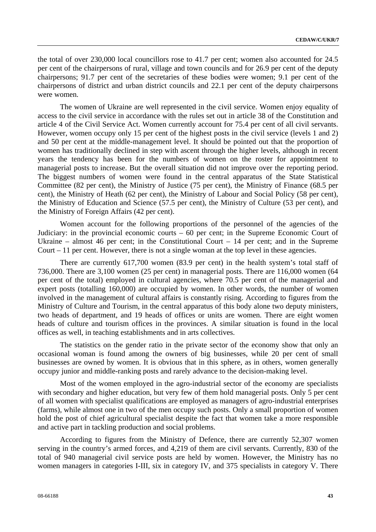the total of over 230,000 local councillors rose to 41.7 per cent; women also accounted for 24.5 per cent of the chairpersons of rural, village and town councils and for 26.9 per cent of the deputy chairpersons; 91.7 per cent of the secretaries of these bodies were women; 9.1 per cent of the chairpersons of district and urban district councils and 22.1 per cent of the deputy chairpersons were women.

 The women of Ukraine are well represented in the civil service. Women enjoy equality of access to the civil service in accordance with the rules set out in article 38 of the Constitution and article 4 of the Civil Service Act. Women currently account for 75.4 per cent of all civil servants. However, women occupy only 15 per cent of the highest posts in the civil service (levels 1 and 2) and 50 per cent at the middle-management level. It should be pointed out that the proportion of women has traditionally declined in step with ascent through the higher levels, although in recent years the tendency has been for the numbers of women on the roster for appointment to managerial posts to increase. But the overall situation did not improve over the reporting period. The biggest numbers of women were found in the central apparatus of the State Statistical Committee (82 per cent), the Ministry of Justice (75 per cent), the Ministry of Finance (68.5 per cent), the Ministry of Heath (62 per cent), the Ministry of Labour and Social Policy (58 per cent), the Ministry of Education and Science (57.5 per cent), the Ministry of Culture (53 per cent), and the Ministry of Foreign Affairs (42 per cent).

 Women account for the following proportions of the personnel of the agencies of the Judiciary: in the provincial economic courts – 60 per cent; in the Supreme Economic Court of Ukraine – almost 46 per cent; in the Constitutional Court – 14 per cent; and in the Supreme Court  $-11$  per cent. However, there is not a single woman at the top level in these agencies.

 There are currently 617,700 women (83.9 per cent) in the health system's total staff of 736,000. There are 3,100 women (25 per cent) in managerial posts. There are 116,000 women (64 per cent of the total) employed in cultural agencies, where 70.5 per cent of the managerial and expert posts (totalling 160,000) are occupied by women. In other words, the number of women involved in the management of cultural affairs is constantly rising. According to figures from the Ministry of Culture and Tourism, in the central apparatus of this body alone two deputy ministers, two heads of department, and 19 heads of offices or units are women. There are eight women heads of culture and tourism offices in the provinces. A similar situation is found in the local offices as well, in teaching establishments and in arts collectives.

 The statistics on the gender ratio in the private sector of the economy show that only an occasional woman is found among the owners of big businesses, while 20 per cent of small businesses are owned by women. It is obvious that in this sphere, as in others, women generally occupy junior and middle-ranking posts and rarely advance to the decision-making level.

 Most of the women employed in the agro-industrial sector of the economy are specialists with secondary and higher education, but very few of them hold managerial posts. Only 5 per cent of all women with specialist qualifications are employed as managers of agro-industrial enterprises (farms), while almost one in two of the men occupy such posts. Only a small proportion of women hold the post of chief agricultural specialist despite the fact that women take a more responsible and active part in tackling production and social problems.

 According to figures from the Ministry of Defence, there are currently 52,307 women serving in the country's armed forces, and 4,219 of them are civil servants. Currently, 830 of the total of 940 managerial civil service posts are held by women. However, the Ministry has no women managers in categories I-III, six in category IV, and 375 specialists in category V. There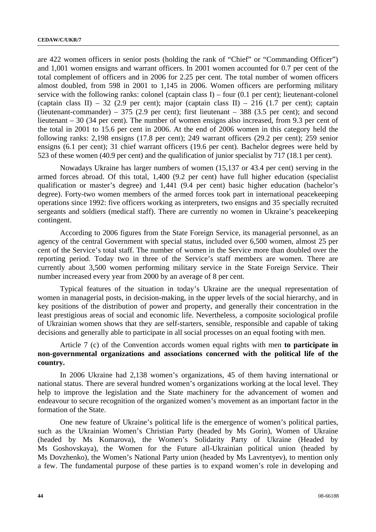are 422 women officers in senior posts (holding the rank of "Chief" or "Commanding Officer") and 1,001 women ensigns and warrant officers. In 2001 women accounted for 0.7 per cent of the total complement of officers and in 2006 for 2.25 per cent. The total number of women officers almost doubled, from 598 in 2001 to 1,145 in 2006. Women officers are performing military service with the following ranks: colonel (captain class I) – four (0.1 per cent); lieutenant-colonel (captain class II) – 32 (2.9 per cent); major (captain class II) – 216 (1.7 per cent); captain (lieutenant-commander) – 375 (2.9 per cent); first lieutenant – 388 (3.5 per cent); and second lieutenant – 30 (34 per cent). The number of women ensigns also increased, from 9.3 per cent of the total in 2001 to 15.6 per cent in 2006. At the end of 2006 women in this category held the following ranks: 2,198 ensigns (17.8 per cent); 249 warrant officers (29.2 per cent); 259 senior ensigns (6.1 per cent); 31 chief warrant officers (19.6 per cent). Bachelor degrees were held by 523 of these women (40.9 per cent) and the qualification of junior specialist by 717 (18.1 per cent).

 Nowadays Ukraine has larger numbers of women (15,137 or 43.4 per cent) serving in the armed forces abroad. Of this total, 1,400 (9.2 per cent) have full higher education (specialist qualification or master's degree) and 1,441 (9.4 per cent) basic higher education (bachelor's degree). Forty-two women members of the armed forces took part in international peacekeeping operations since 1992: five officers working as interpreters, two ensigns and 35 specially recruited sergeants and soldiers (medical staff). There are currently no women in Ukraine's peacekeeping contingent.

 According to 2006 figures from the State Foreign Service, its managerial personnel, as an agency of the central Government with special status, included over 6,500 women, almost 25 per cent of the Service's total staff. The number of women in the Service more than doubled over the reporting period. Today two in three of the Service's staff members are women. There are currently about 3,500 women performing military service in the State Foreign Service. Their number increased every year from 2000 by an average of 8 per cent.

 Typical features of the situation in today's Ukraine are the unequal representation of women in managerial posts, in decision-making, in the upper levels of the social hierarchy, and in key positions of the distribution of power and property, and generally their concentration in the least prestigious areas of social and economic life. Nevertheless, a composite sociological profile of Ukrainian women shows that they are self-starters, sensible, responsible and capable of taking decisions and generally able to participate in all social processes on an equal footing with men.

# Article 7 (c) of the Convention accords women equal rights with men **to participate in non-governmental organizations and associations concerned with the political life of the country.**

 In 2006 Ukraine had 2,138 women's organizations, 45 of them having international or national status. There are several hundred women's organizations working at the local level. They help to improve the legislation and the State machinery for the advancement of women and endeavour to secure recognition of the organized women's movement as an important factor in the formation of the State.

 One new feature of Ukraine's political life is the emergence of women's political parties, such as the Ukrainian Women's Christian Party (headed by Ms Gorin), Women of Ukraine (headed by Ms Komarova), the Women's Solidarity Party of Ukraine (Headed by Ms Goshovskaya), the Women for the Future all-Ukrainian political union (headed by Ms Dovzhenko), the Women's National Party union (headed by Ms Lavrentyev), to mention only a few. The fundamental purpose of these parties is to expand women's role in developing and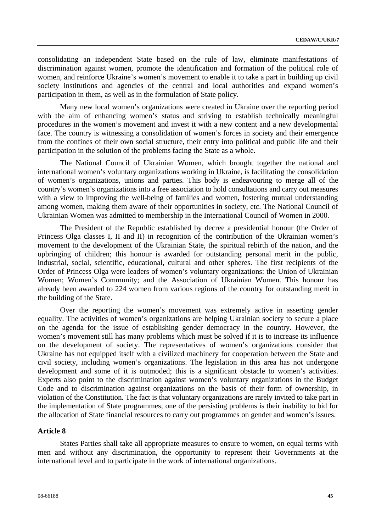consolidating an independent State based on the rule of law, eliminate manifestations of discrimination against women, promote the identification and formation of the political role of women, and reinforce Ukraine's women's movement to enable it to take a part in building up civil society institutions and agencies of the central and local authorities and expand women's participation in them, as well as in the formulation of State policy.

 Many new local women's organizations were created in Ukraine over the reporting period with the aim of enhancing women's status and striving to establish technically meaningful procedures in the women's movement and invest it with a new content and a new developmental face. The country is witnessing a consolidation of women's forces in society and their emergence from the confines of their own social structure, their entry into political and public life and their participation in the solution of the problems facing the State as a whole.

 The National Council of Ukrainian Women, which brought together the national and international women's voluntary organizations working in Ukraine, is facilitating the consolidation of women's organizations, unions and parties. This body is endeavouring to merge all of the country's women's organizations into a free association to hold consultations and carry out measures with a view to improving the well-being of families and women, fostering mutual understanding among women, making them aware of their opportunities in society, etc. The National Council of Ukrainian Women was admitted to membership in the International Council of Women in 2000.

 The President of the Republic established by decree a presidential honour (the Order of Princess Olga classes I, II and II) in recognition of the contribution of the Ukrainian women's movement to the development of the Ukrainian State, the spiritual rebirth of the nation, and the upbringing of children; this honour is awarded for outstanding personal merit in the public, industrial, social, scientific, educational, cultural and other spheres. The first recipients of the Order of Princess Olga were leaders of women's voluntary organizations: the Union of Ukrainian Women; Women's Community; and the Association of Ukrainian Women. This honour has already been awarded to 224 women from various regions of the country for outstanding merit in the building of the State.

 Over the reporting the women's movement was extremely active in asserting gender equality. The activities of women's organizations are helping Ukrainian society to secure a place on the agenda for the issue of establishing gender democracy in the country. However, the women's movement still has many problems which must be solved if it is to increase its influence on the development of society. The representatives of women's organizations consider that Ukraine has not equipped itself with a civilized machinery for cooperation between the State and civil society, including women's organizations. The legislation in this area has not undergone development and some of it is outmoded; this is a significant obstacle to women's activities. Experts also point to the discrimination against women's voluntary organizations in the Budget Code and to discrimination against organizations on the basis of their form of ownership, in violation of the Constitution. The fact is that voluntary organizations are rarely invited to take part in the implementation of State programmes; one of the persisting problems is their inability to bid for the allocation of State financial resources to carry out programmes on gender and women's issues.

### **Article 8**

 States Parties shall take all appropriate measures to ensure to women, on equal terms with men and without any discrimination, the opportunity to represent their Governments at the international level and to participate in the work of international organizations.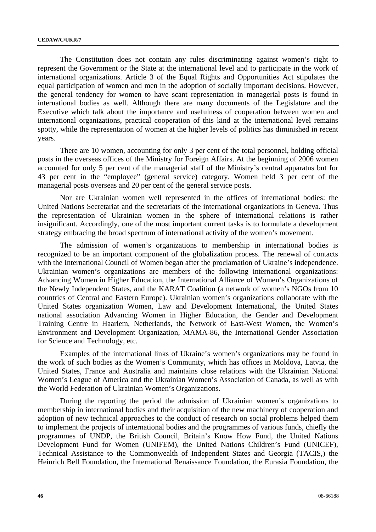The Constitution does not contain any rules discriminating against women's right to represent the Government or the State at the international level and to participate in the work of international organizations. Article 3 of the Equal Rights and Opportunities Act stipulates the equal participation of women and men in the adoption of socially important decisions. However, the general tendency for women to have scant representation in managerial posts is found in international bodies as well. Although there are many documents of the Legislature and the Executive which talk about the importance and usefulness of cooperation between women and international organizations, practical cooperation of this kind at the international level remains spotty, while the representation of women at the higher levels of politics has diminished in recent years.

 There are 10 women, accounting for only 3 per cent of the total personnel, holding official posts in the overseas offices of the Ministry for Foreign Affairs. At the beginning of 2006 women accounted for only 5 per cent of the managerial staff of the Ministry's central apparatus but for 43 per cent in the "employee" (general service) category. Women held 3 per cent of the managerial posts overseas and 20 per cent of the general service posts.

 Nor are Ukrainian women well represented in the offices of international bodies: the United Nations Secretariat and the secretariats of the international organizations in Geneva. Thus the representation of Ukrainian women in the sphere of international relations is rather insignificant. Accordingly, one of the most important current tasks is to formulate a development strategy embracing the broad spectrum of international activity of the women's movement.

 The admission of women's organizations to membership in international bodies is recognized to be an important component of the globalization process. The renewal of contacts with the International Council of Women began after the proclamation of Ukraine's independence. Ukrainian women's organizations are members of the following international organizations: Advancing Women in Higher Education, the International Alliance of Women's Organizations of the Newly Independent States, and the KARAT Coalition (a network of women's NGOs from 10 countries of Central and Eastern Europe). Ukrainian women's organizations collaborate with the United States organization Women, Law and Development International, the United States national association Advancing Women in Higher Education, the Gender and Development Training Centre in Haarlem, Netherlands, the Network of East-West Women, the Women's Environment and Development Organization, MAMA-86, the International Gender Association for Science and Technology, etc.

 Examples of the international links of Ukraine's women's organizations may be found in the work of such bodies as the Women's Community, which has offices in Moldova, Latvia, the United States, France and Australia and maintains close relations with the Ukrainian National Women's League of America and the Ukrainian Women's Association of Canada, as well as with the World Federation of Ukrainian Women's Organizations.

 During the reporting the period the admission of Ukrainian women's organizations to membership in international bodies and their acquisition of the new machinery of cooperation and adoption of new technical approaches to the conduct of research on social problems helped them to implement the projects of international bodies and the programmes of various funds, chiefly the programmes of UNDP, the British Council, Britain's Know How Fund, the United Nations Development Fund for Women (UNIFEM), the United Nations Children's Fund (UNICEF), Technical Assistance to the Commonwealth of Independent States and Georgia (TACIS,) the Heinrich Bell Foundation, the International Renaissance Foundation, the Eurasia Foundation, the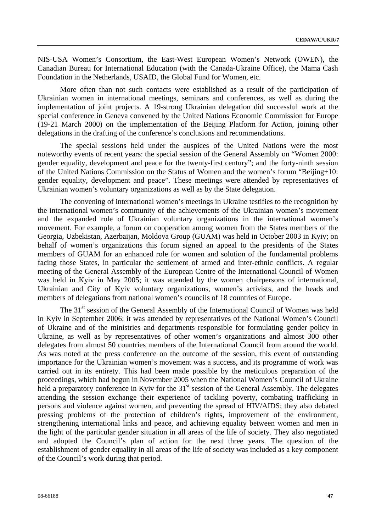NIS-USA Women's Consortium, the East-West European Women's Network (OWEN), the Canadian Bureau for International Education (with the Canada-Ukraine Office), the Mama Cash Foundation in the Netherlands, USAID, the Global Fund for Women, etc.

 More often than not such contacts were established as a result of the participation of Ukrainian women in international meetings, seminars and conferences, as well as during the implementation of joint projects. A 19-strong Ukrainian delegation did successful work at the special conference in Geneva convened by the United Nations Economic Commission for Europe (19-21 March 2000) on the implementation of the Beijing Platform for Action, joining other delegations in the drafting of the conference's conclusions and recommendations.

 The special sessions held under the auspices of the United Nations were the most noteworthy events of recent years: the special session of the General Assembly on "Women 2000: gender equality, development and peace for the twenty-first century"; and the forty-ninth session of the United Nations Commission on the Status of Women and the women's forum "Beijing+10: gender equality, development and peace". These meetings were attended by representatives of Ukrainian women's voluntary organizations as well as by the State delegation.

 The convening of international women's meetings in Ukraine testifies to the recognition by the international women's community of the achievements of the Ukrainian women's movement and the expanded role of Ukrainian voluntary organizations in the international women's movement. For example, a forum on cooperation among women from the States members of the Georgia, Uzbekistan, Azerbaijan, Moldova Group (GUAM) was held in October 2003 in Kyiv; on behalf of women's organizations this forum signed an appeal to the presidents of the States members of GUAM for an enhanced role for women and solution of the fundamental problems facing those States, in particular the settlement of armed and inter-ethnic conflicts. A regular meeting of the General Assembly of the European Centre of the International Council of Women was held in Kyiv in May 2005; it was attended by the women chairpersons of international, Ukrainian and City of Kyiv voluntary organizations, women's activists, and the heads and members of delegations from national women's councils of 18 countries of Europe.

The 31<sup>st</sup> session of the General Assembly of the International Council of Women was held in Kyiv in September 2006; it was attended by representatives of the National Women's Council of Ukraine and of the ministries and departments responsible for formulating gender policy in Ukraine, as well as by representatives of other women's organizations and almost 300 other delegates from almost 50 countries members of the International Council from around the world. As was noted at the press conference on the outcome of the session, this event of outstanding importance for the Ukrainian women's movement was a success, and its programme of work was carried out in its entirety. This had been made possible by the meticulous preparation of the proceedings, which had begun in November 2005 when the National Women's Council of Ukraine held a preparatory conference in Kyiv for the 31<sup>st</sup> session of the General Assembly. The delegates attending the session exchange their experience of tackling poverty, combating trafficking in persons and violence against women, and preventing the spread of HIV/AIDS; they also debated pressing problems of the protection of children's rights, improvement of the environment, strengthening international links and peace, and achieving equality between women and men in the light of the particular gender situation in all areas of the life of society. They also negotiated and adopted the Council's plan of action for the next three years. The question of the establishment of gender equality in all areas of the life of society was included as a key component of the Council's work during that period.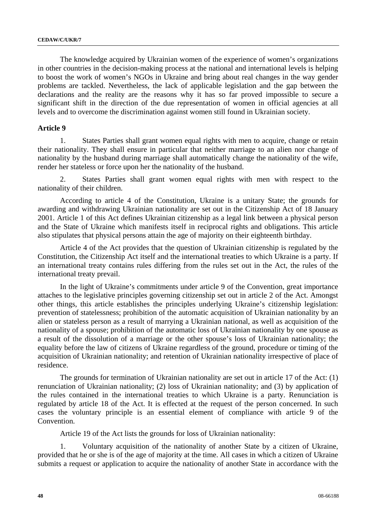The knowledge acquired by Ukrainian women of the experience of women's organizations in other countries in the decision-making process at the national and international levels is helping to boost the work of women's NGOs in Ukraine and bring about real changes in the way gender problems are tackled. Nevertheless, the lack of applicable legislation and the gap between the declarations and the reality are the reasons why it has so far proved impossible to secure a significant shift in the direction of the due representation of women in official agencies at all levels and to overcome the discrimination against women still found in Ukrainian society.

### **Article 9**

 1. States Parties shall grant women equal rights with men to acquire, change or retain their nationality. They shall ensure in particular that neither marriage to an alien nor change of nationality by the husband during marriage shall automatically change the nationality of the wife, render her stateless or force upon her the nationality of the husband.

 2. States Parties shall grant women equal rights with men with respect to the nationality of their children.

 According to article 4 of the Constitution, Ukraine is a unitary State; the grounds for awarding and withdrawing Ukrainian nationality are set out in the Citizenship Act of 18 January 2001. Article 1 of this Act defines Ukrainian citizenship as a legal link between a physical person and the State of Ukraine which manifests itself in reciprocal rights and obligations. This article also stipulates that physical persons attain the age of majority on their eighteenth birthday.

 Article 4 of the Act provides that the question of Ukrainian citizenship is regulated by the Constitution, the Citizenship Act itself and the international treaties to which Ukraine is a party. If an international treaty contains rules differing from the rules set out in the Act, the rules of the international treaty prevail.

 In the light of Ukraine's commitments under article 9 of the Convention, great importance attaches to the legislative principles governing citizenship set out in article 2 of the Act. Amongst other things, this article establishes the principles underlying Ukraine's citizenship legislation: prevention of statelessness; prohibition of the automatic acquisition of Ukrainian nationality by an alien or stateless person as a result of marrying a Ukrainian national, as well as acquisition of the nationality of a spouse; prohibition of the automatic loss of Ukrainian nationality by one spouse as a result of the dissolution of a marriage or the other spouse's loss of Ukrainian nationality; the equality before the law of citizens of Ukraine regardless of the ground, procedure or timing of the acquisition of Ukrainian nationality; and retention of Ukrainian nationality irrespective of place of residence.

 The grounds for termination of Ukrainian nationality are set out in article 17 of the Act: (1) renunciation of Ukrainian nationality; (2) loss of Ukrainian nationality; and (3) by application of the rules contained in the international treaties to which Ukraine is a party. Renunciation is regulated by article 18 of the Act. It is effected at the request of the person concerned. In such cases the voluntary principle is an essential element of compliance with article 9 of the Convention.

Article 19 of the Act lists the grounds for loss of Ukrainian nationality:

 1. Voluntary acquisition of the nationality of another State by a citizen of Ukraine, provided that he or she is of the age of majority at the time. All cases in which a citizen of Ukraine submits a request or application to acquire the nationality of another State in accordance with the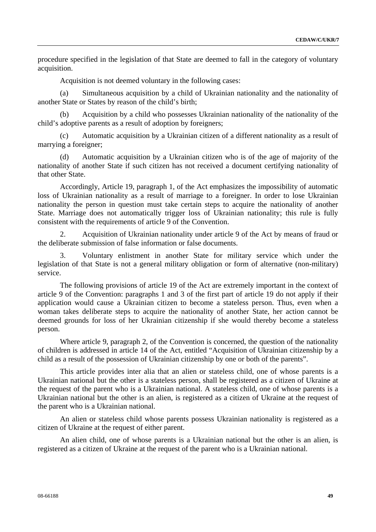procedure specified in the legislation of that State are deemed to fall in the category of voluntary acquisition.

Acquisition is not deemed voluntary in the following cases:

 (a) Simultaneous acquisition by a child of Ukrainian nationality and the nationality of another State or States by reason of the child's birth;

 (b) Acquisition by a child who possesses Ukrainian nationality of the nationality of the child's adoptive parents as a result of adoption by foreigners;

 (c) Automatic acquisition by a Ukrainian citizen of a different nationality as a result of marrying a foreigner;

 (d) Automatic acquisition by a Ukrainian citizen who is of the age of majority of the nationality of another State if such citizen has not received a document certifying nationality of that other State.

 Accordingly, Article 19, paragraph 1, of the Act emphasizes the impossibility of automatic loss of Ukrainian nationality as a result of marriage to a foreigner. In order to lose Ukrainian nationality the person in question must take certain steps to acquire the nationality of another State. Marriage does not automatically trigger loss of Ukrainian nationality; this rule is fully consistent with the requirements of article 9 of the Convention.

 2. Acquisition of Ukrainian nationality under article 9 of the Act by means of fraud or the deliberate submission of false information or false documents.

 3. Voluntary enlistment in another State for military service which under the legislation of that State is not a general military obligation or form of alternative (non-military) service.

 The following provisions of article 19 of the Act are extremely important in the context of article 9 of the Convention: paragraphs 1 and 3 of the first part of article 19 do not apply if their application would cause a Ukrainian citizen to become a stateless person. Thus, even when a woman takes deliberate steps to acquire the nationality of another State, her action cannot be deemed grounds for loss of her Ukrainian citizenship if she would thereby become a stateless person.

 Where article 9, paragraph 2, of the Convention is concerned, the question of the nationality of children is addressed in article 14 of the Act, entitled "Acquisition of Ukrainian citizenship by a child as a result of the possession of Ukrainian citizenship by one or both of the parents".

 This article provides inter alia that an alien or stateless child, one of whose parents is a Ukrainian national but the other is a stateless person, shall be registered as a citizen of Ukraine at the request of the parent who is a Ukrainian national. A stateless child, one of whose parents is a Ukrainian national but the other is an alien, is registered as a citizen of Ukraine at the request of the parent who is a Ukrainian national.

 An alien or stateless child whose parents possess Ukrainian nationality is registered as a citizen of Ukraine at the request of either parent.

 An alien child, one of whose parents is a Ukrainian national but the other is an alien, is registered as a citizen of Ukraine at the request of the parent who is a Ukrainian national.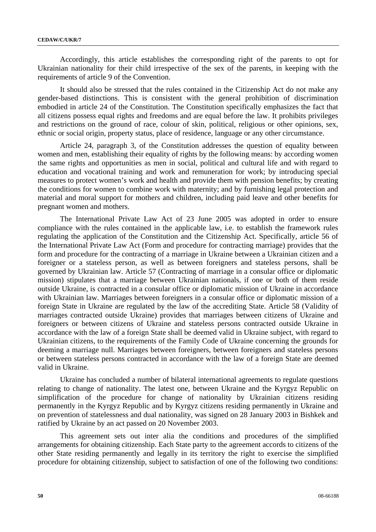Accordingly, this article establishes the corresponding right of the parents to opt for Ukrainian nationality for their child irrespective of the sex of the parents, in keeping with the requirements of article 9 of the Convention.

 It should also be stressed that the rules contained in the Citizenship Act do not make any gender-based distinctions. This is consistent with the general prohibition of discrimination embodied in article 24 of the Constitution. The Constitution specifically emphasizes the fact that all citizens possess equal rights and freedoms and are equal before the law. It prohibits privileges and restrictions on the ground of race, colour of skin, political, religious or other opinions, sex, ethnic or social origin, property status, place of residence, language or any other circumstance.

 Article 24, paragraph 3, of the Constitution addresses the question of equality between women and men, establishing their equality of rights by the following means: by according women the same rights and opportunities as men in social, political and cultural life and with regard to education and vocational training and work and remuneration for work; by introducing special measures to protect women's work and health and provide them with pension benefits; by creating the conditions for women to combine work with maternity; and by furnishing legal protection and material and moral support for mothers and children, including paid leave and other benefits for pregnant women and mothers.

 The International Private Law Act of 23 June 2005 was adopted in order to ensure compliance with the rules contained in the applicable law, i.e. to establish the framework rules regulating the application of the Constitution and the Citizenship Act. Specifically, article 56 of the International Private Law Act (Form and procedure for contracting marriage) provides that the form and procedure for the contracting of a marriage in Ukraine between a Ukrainian citizen and a foreigner or a stateless person, as well as between foreigners and stateless persons, shall be governed by Ukrainian law. Article 57 (Contracting of marriage in a consular office or diplomatic mission) stipulates that a marriage between Ukrainian nationals, if one or both of them reside outside Ukraine, is contracted in a consular office or diplomatic mission of Ukraine in accordance with Ukrainian law. Marriages between foreigners in a consular office or diplomatic mission of a foreign State in Ukraine are regulated by the law of the accrediting State. Article 58 (Validity of marriages contracted outside Ukraine) provides that marriages between citizens of Ukraine and foreigners or between citizens of Ukraine and stateless persons contracted outside Ukraine in accordance with the law of a foreign State shall be deemed valid in Ukraine subject, with regard to Ukrainian citizens, to the requirements of the Family Code of Ukraine concerning the grounds for deeming a marriage null. Marriages between foreigners, between foreigners and stateless persons or between stateless persons contracted in accordance with the law of a foreign State are deemed valid in Ukraine.

 Ukraine has concluded a number of bilateral international agreements to regulate questions relating to change of nationality. The latest one, between Ukraine and the Kyrgyz Republic on simplification of the procedure for change of nationality by Ukrainian citizens residing permanently in the Kyrgyz Republic and by Kyrgyz citizens residing permanently in Ukraine and on prevention of statelessness and dual nationality, was signed on 28 January 2003 in Bishkek and ratified by Ukraine by an act passed on 20 November 2003.

 This agreement sets out inter alia the conditions and procedures of the simplified arrangements for obtaining citizenship. Each State party to the agreement accords to citizens of the other State residing permanently and legally in its territory the right to exercise the simplified procedure for obtaining citizenship, subject to satisfaction of one of the following two conditions: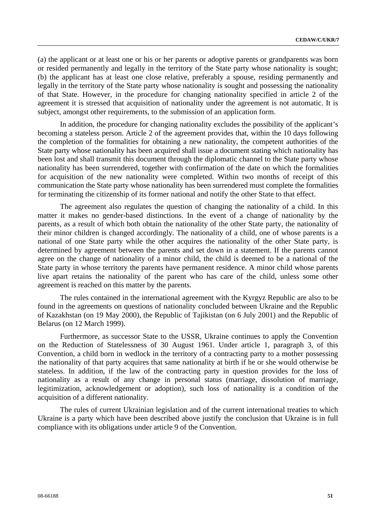(a) the applicant or at least one or his or her parents or adoptive parents or grandparents was born or resided permanently and legally in the territory of the State party whose nationality is sought; (b) the applicant has at least one close relative, preferably a spouse, residing permanently and legally in the territory of the State party whose nationality is sought and possessing the nationality of that State. However, in the procedure for changing nationality specified in article 2 of the agreement it is stressed that acquisition of nationality under the agreement is not automatic. It is subject, amongst other requirements, to the submission of an application form.

 In addition, the procedure for changing nationality excludes the possibility of the applicant's becoming a stateless person. Article 2 of the agreement provides that, within the 10 days following the completion of the formalities for obtaining a new nationality, the competent authorities of the State party whose nationality has been acquired shall issue a document stating which nationality has been lost and shall transmit this document through the diplomatic channel to the State party whose nationality has been surrendered, together with confirmation of the date on which the formalities for acquisition of the new nationality were completed. Within two months of receipt of this communication the State party whose nationality has been surrendered must complete the formalities for terminating the citizenship of its former national and notify the other State to that effect.

 The agreement also regulates the question of changing the nationality of a child. In this matter it makes no gender-based distinctions. In the event of a change of nationality by the parents, as a result of which both obtain the nationality of the other State party, the nationality of their minor children is changed accordingly. The nationality of a child, one of whose parents is a national of one State party while the other acquires the nationality of the other State party, is determined by agreement between the parents and set down in a statement. If the parents cannot agree on the change of nationality of a minor child, the child is deemed to be a national of the State party in whose territory the parents have permanent residence. A minor child whose parents live apart retains the nationality of the parent who has care of the child, unless some other agreement is reached on this matter by the parents.

 The rules contained in the international agreement with the Kyrgyz Republic are also to be found in the agreements on questions of nationality concluded between Ukraine and the Republic of Kazakhstan (on 19 May 2000), the Republic of Tajikistan (on 6 July 2001) and the Republic of Belarus (on 12 March 1999).

 Furthermore, as successor State to the USSR, Ukraine continues to apply the Convention on the Reduction of Statelessness of 30 August 1961. Under article 1, paragraph 3, of this Convention, a child born in wedlock in the territory of a contracting party to a mother possessing the nationality of that party acquires that same nationality at birth if he or she would otherwise be stateless. In addition, if the law of the contracting party in question provides for the loss of nationality as a result of any change in personal status (marriage, dissolution of marriage, legitimization, acknowledgement or adoption), such loss of nationality is a condition of the acquisition of a different nationality.

 The rules of current Ukrainian legislation and of the current international treaties to which Ukraine is a party which have been described above justify the conclusion that Ukraine is in full compliance with its obligations under article 9 of the Convention.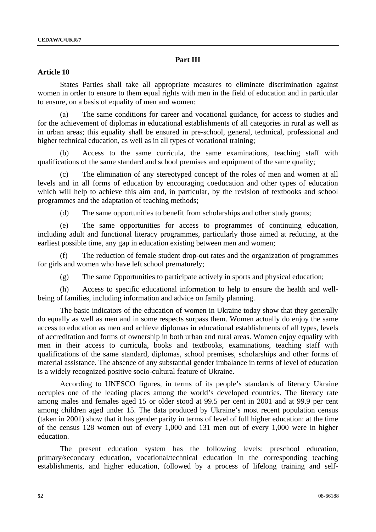# **Part III**

### **Article 10**

 States Parties shall take all appropriate measures to eliminate discrimination against women in order to ensure to them equal rights with men in the field of education and in particular to ensure, on a basis of equality of men and women:

 (a) The same conditions for career and vocational guidance, for access to studies and for the achievement of diplomas in educational establishments of all categories in rural as well as in urban areas; this equality shall be ensured in pre-school, general, technical, professional and higher technical education, as well as in all types of vocational training;

Access to the same curricula, the same examinations, teaching staff with qualifications of the same standard and school premises and equipment of the same quality;

 (c) The elimination of any stereotyped concept of the roles of men and women at all levels and in all forms of education by encouraging coeducation and other types of education which will help to achieve this aim and, in particular, by the revision of textbooks and school programmes and the adaptation of teaching methods;

(d) The same opportunities to benefit from scholarships and other study grants;

 (e) The same opportunities for access to programmes of continuing education, including adult and functional literacy programmes, particularly those aimed at reducing, at the earliest possible time, any gap in education existing between men and women;

 (f) The reduction of female student drop-out rates and the organization of programmes for girls and women who have left school prematurely;

(g) The same Opportunities to participate actively in sports and physical education;

 (h) Access to specific educational information to help to ensure the health and wellbeing of families, including information and advice on family planning.

 The basic indicators of the education of women in Ukraine today show that they generally do equally as well as men and in some respects surpass them. Women actually do enjoy the same access to education as men and achieve diplomas in educational establishments of all types, levels of accreditation and forms of ownership in both urban and rural areas. Women enjoy equality with men in their access to curricula, books and textbooks, examinations, teaching staff with qualifications of the same standard, diplomas, school premises, scholarships and other forms of material assistance. The absence of any substantial gender imbalance in terms of level of education is a widely recognized positive socio-cultural feature of Ukraine.

 According to UNESCO figures, in terms of its people's standards of literacy Ukraine occupies one of the leading places among the world's developed countries. The literacy rate among males and females aged 15 or older stood at 99.5 per cent in 2001 and at 99.9 per cent among children aged under 15. The data produced by Ukraine's most recent population census (taken in 2001) show that it has gender parity in terms of level of full higher education: at the time of the census 128 women out of every 1,000 and 131 men out of every 1,000 were in higher education.

 The present education system has the following levels: preschool education, primary/secondary education, vocational/technical education in the corresponding teaching establishments, and higher education, followed by a process of lifelong training and self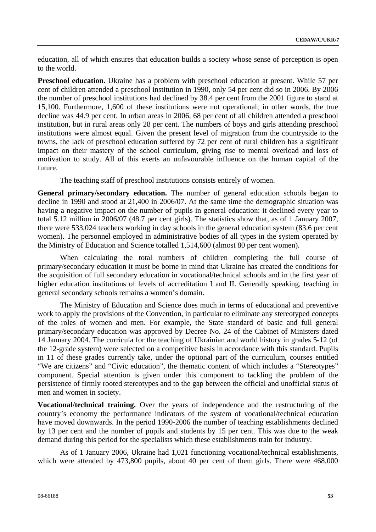education, all of which ensures that education builds a society whose sense of perception is open to the world.

**Preschool education.** Ukraine has a problem with preschool education at present. While 57 per cent of children attended a preschool institution in 1990, only 54 per cent did so in 2006. By 2006 the number of preschool institutions had declined by 38.4 per cent from the 2001 figure to stand at 15,100. Furthermore, 1,600 of these institutions were not operational; in other words, the true decline was 44.9 per cent. In urban areas in 2006, 68 per cent of all children attended a preschool institution, but in rural areas only 28 per cent. The numbers of boys and girls attending preschool institutions were almost equal. Given the present level of migration from the countryside to the towns, the lack of preschool education suffered by 72 per cent of rural children has a significant impact on their mastery of the school curriculum, giving rise to mental overload and loss of motivation to study. All of this exerts an unfavourable influence on the human capital of the future.

The teaching staff of preschool institutions consists entirely of women.

**General primary/secondary education.** The number of general education schools began to decline in 1990 and stood at 21,400 in 2006/07. At the same time the demographic situation was having a negative impact on the number of pupils in general education: it declined every year to total 5.12 million in 2006/07 (48.7 per cent girls). The statistics show that, as of 1 January 2007, there were 533,024 teachers working in day schools in the general education system (83.6 per cent women). The personnel employed in administrative bodies of all types in the system operated by the Ministry of Education and Science totalled 1,514,600 (almost 80 per cent women).

 When calculating the total numbers of children completing the full course of primary/secondary education it must be borne in mind that Ukraine has created the conditions for the acquisition of full secondary education in vocational/technical schools and in the first year of higher education institutions of levels of accreditation I and II. Generally speaking, teaching in general secondary schools remains a women's domain.

 The Ministry of Education and Science does much in terms of educational and preventive work to apply the provisions of the Convention, in particular to eliminate any stereotyped concepts of the roles of women and men. For example, the State standard of basic and full general primary/secondary education was approved by Decree No. 24 of the Cabinet of Ministers dated 14 January 2004. The curricula for the teaching of Ukrainian and world history in grades 5-12 (of the 12-grade system) were selected on a competitive basis in accordance with this standard. Pupils in 11 of these grades currently take, under the optional part of the curriculum, courses entitled "We are citizens" and "Civic education", the thematic content of which includes a "Stereotypes" component. Special attention is given under this component to tackling the problem of the persistence of firmly rooted stereotypes and to the gap between the official and unofficial status of men and women in society.

**Vocational/technical training.** Over the years of independence and the restructuring of the country's economy the performance indicators of the system of vocational/technical education have moved downwards. In the period 1990-2006 the number of teaching establishments declined by 13 per cent and the number of pupils and students by 15 per cent. This was due to the weak demand during this period for the specialists which these establishments train for industry.

 As of 1 January 2006, Ukraine had 1,021 functioning vocational/technical establishments, which were attended by 473,800 pupils, about 40 per cent of them girls. There were 468,000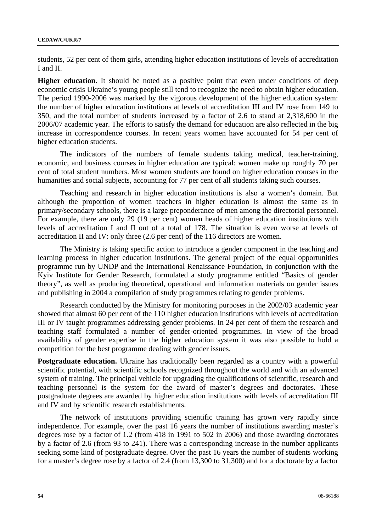students, 52 per cent of them girls, attending higher education institutions of levels of accreditation I and II.

**Higher education.** It should be noted as a positive point that even under conditions of deep economic crisis Ukraine's young people still tend to recognize the need to obtain higher education. The period 1990-2006 was marked by the vigorous development of the higher education system: the number of higher education institutions at levels of accreditation III and IV rose from 149 to 350, and the total number of students increased by a factor of 2.6 to stand at 2,318,600 in the 2006/07 academic year. The efforts to satisfy the demand for education are also reflected in the big increase in correspondence courses. In recent years women have accounted for 54 per cent of higher education students.

 The indicators of the numbers of female students taking medical, teacher-training, economic, and business courses in higher education are typical: women make up roughly 70 per cent of total student numbers. Most women students are found on higher education courses in the humanities and social subjects, accounting for 77 per cent of all students taking such courses.

 Teaching and research in higher education institutions is also a women's domain. But although the proportion of women teachers in higher education is almost the same as in primary/secondary schools, there is a large preponderance of men among the directorial personnel. For example, there are only 29 (19 per cent) women heads of higher education institutions with levels of accreditation I and II out of a total of 178. The situation is even worse at levels of accreditation II and IV: only three (2.6 per cent) of the 116 directors are women.

 The Ministry is taking specific action to introduce a gender component in the teaching and learning process in higher education institutions. The general project of the equal opportunities programme run by UNDP and the International Renaissance Foundation, in conjunction with the Kyiv Institute for Gender Research, formulated a study programme entitled "Basics of gender theory", as well as producing theoretical, operational and information materials on gender issues and publishing in 2004 a compilation of study programmes relating to gender problems.

 Research conducted by the Ministry for monitoring purposes in the 2002/03 academic year showed that almost 60 per cent of the 110 higher education institutions with levels of accreditation III or IV taught programmes addressing gender problems. In 24 per cent of them the research and teaching staff formulated a number of gender-oriented programmes. In view of the broad availability of gender expertise in the higher education system it was also possible to hold a competition for the best programme dealing with gender issues.

**Postgraduate education.** Ukraine has traditionally been regarded as a country with a powerful scientific potential, with scientific schools recognized throughout the world and with an advanced system of training. The principal vehicle for upgrading the qualifications of scientific, research and teaching personnel is the system for the award of master's degrees and doctorates. These postgraduate degrees are awarded by higher education institutions with levels of accreditation III and IV and by scientific research establishments.

 The network of institutions providing scientific training has grown very rapidly since independence. For example, over the past 16 years the number of institutions awarding master's degrees rose by a factor of 1.2 (from 418 in 1991 to 502 in 2006) and those awarding doctorates by a factor of 2.6 (from 93 to 241). There was a corresponding increase in the number applicants seeking some kind of postgraduate degree. Over the past 16 years the number of students working for a master's degree rose by a factor of 2.4 (from 13,300 to 31,300) and for a doctorate by a factor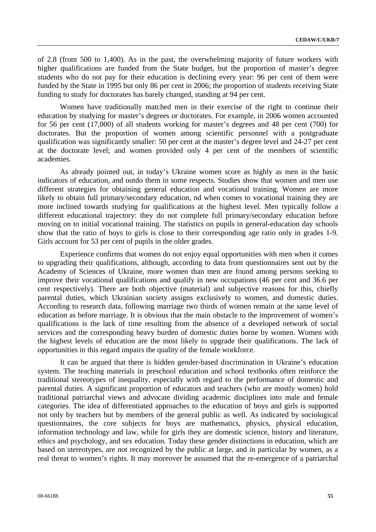of 2.8 (from 500 to 1,400). As in the past, the overwhelming majority of future workers with higher qualifications are funded from the State budget, but the proportion of master's degree students who do not pay for their education is declining every year: 96 per cent of them were funded by the State in 1995 but only 86 per cent in 2006; the proportion of students receiving State funding to study for doctorates has barely changed, standing at 94 per cent.

 Women have traditionally matched men in their exercise of the right to continue their education by studying for master's degrees or doctorates. For example, in 2006 women accounted for 56 per cent (17,000) of all students working for master's degrees and 48 per cent (700) for doctorates. But the proportion of women among scientific personnel with a postgraduate qualification was significantly smaller: 50 per cent at the master's degree level and 24-27 per cent at the doctorate level; and women provided only 4 per cent of the members of scientific academies.

 As already pointed out, in today's Ukraine women score as highly as men in the basic indicators of education, and outdo them in some respects. Studies show that women and men use different strategies for obtaining general education and vocational training. Women are more likely to obtain full primary/secondary education, nd when comes to vocational training they are more inclined towards studying for qualifications at the highest level. Men typically follow a different educational trajectory: they do not complete full primary/secondary education before moving on to initial vocational training. The statistics on pupils in general-education day schools show that the ratio of boys to girls is close to their corresponding age ratio only in grades 1-9. Girls account for 53 per cent of pupils in the older grades.

 Experience confirms that women do not enjoy equal opportunities with men when it comes to upgrading their qualifications, although, according to data from questionnaires sent out by the Academy of Sciences of Ukraine, more women than men are found among persons seeking to improve their vocational qualifications and qualify in new occupations (46 per cent and 36.6 per cent respectively). There are both objective (material) and subjective reasons for this, chiefly parental duties, which Ukrainian society assigns exclusively to women, and domestic duties. According to research data, following marriage two thirds of women remain at the same level of education as before marriage. It is obvious that the main obstacle to the improvement of women's qualifications is the lack of time resulting from the absence of a developed network of social services and the corresponding heavy burden of domestic duties borne by women. Women with the highest levels of education are the most likely to upgrade their qualifications. The lack of opportunities in this regard impairs the quality of the female workforce.

 It can be argued that there is hidden gender-based discrimination in Ukraine's education system. The teaching materials in preschool education and school textbooks often reinforce the traditional stereotypes of inequality, especially with regard to the performance of domestic and parental duties. A significant proportion of educators and teachers (who are mostly women) hold traditional patriarchal views and advocate dividing academic disciplines into male and female categories. The idea of differentiated approaches to the education of boys and girls is supported not only by teachers but by members of the general public as well. As indicated by sociological questionnaires, the core subjects for boys are mathematics, physics, physical education, information technology and law, while for girls they are domestic science, history and literature, ethics and psychology, and sex education. Today these gender distinctions in education, which are based on stereotypes, are not recognized by the public at large, and in particular by women, as a real threat to women's rights. It may moreover be assumed that the re-emergence of a patriarchal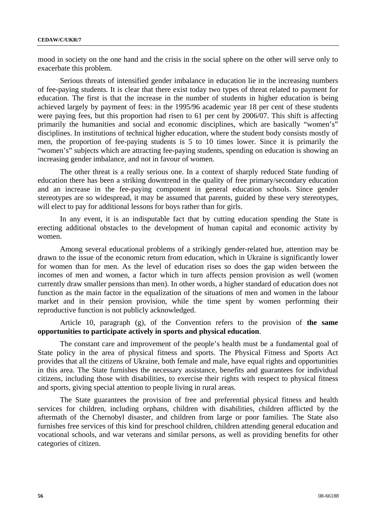mood in society on the one hand and the crisis in the social sphere on the other will serve only to exacerbate this problem.

 Serious threats of intensified gender imbalance in education lie in the increasing numbers of fee-paying students. It is clear that there exist today two types of threat related to payment for education. The first is that the increase in the number of students in higher education is being achieved largely by payment of fees: in the 1995/96 academic year 18 per cent of these students were paying fees, but this proportion had risen to 61 per cent by 2006/07. This shift is affecting primarily the humanities and social and economic disciplines, which are basically "women's" disciplines. In institutions of technical higher education, where the student body consists mostly of men, the proportion of fee-paying students is 5 to 10 times lower. Since it is primarily the "women's" subjects which are attracting fee-paying students, spending on education is showing an increasing gender imbalance, and not in favour of women.

 The other threat is a really serious one. In a context of sharply reduced State funding of education there has been a striking downtrend in the quality of free primary/secondary education and an increase in the fee-paying component in general education schools. Since gender stereotypes are so widespread, it may be assumed that parents, guided by these very stereotypes, will elect to pay for additional lessons for boys rather than for girls.

 In any event, it is an indisputable fact that by cutting education spending the State is erecting additional obstacles to the development of human capital and economic activity by women.

 Among several educational problems of a strikingly gender-related hue, attention may be drawn to the issue of the economic return from education, which in Ukraine is significantly lower for women than for men. As the level of education rises so does the gap widen between the incomes of men and women, a factor which in turn affects pension provision as well (women currently draw smaller pensions than men). In other words, a higher standard of education does not function as the main factor in the equalization of the situations of men and women in the labour market and in their pension provision, while the time spent by women performing their reproductive function is not publicly acknowledged.

 Article 10, paragraph (g), of the Convention refers to the provision of **the same opportunities to participate actively in sports and physical education**.

 The constant care and improvement of the people's health must be a fundamental goal of State policy in the area of physical fitness and sports. The Physical Fitness and Sports Act provides that all the citizens of Ukraine, both female and male, have equal rights and opportunities in this area. The State furnishes the necessary assistance, benefits and guarantees for individual citizens, including those with disabilities, to exercise their rights with respect to physical fitness and sports, giving special attention to people living in rural areas.

 The State guarantees the provision of free and preferential physical fitness and health services for children, including orphans, children with disabilities, children afflicted by the aftermath of the Chernobyl disaster, and children from large or poor families. The State also furnishes free services of this kind for preschool children, children attending general education and vocational schools, and war veterans and similar persons, as well as providing benefits for other categories of citizen.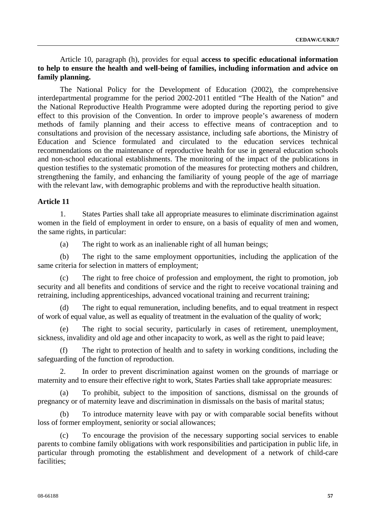Article 10, paragraph (h), provides for equal **access to specific educational information to help to ensure the health and well-being of families, including information and advice on family planning.**

 The National Policy for the Development of Education (2002), the comprehensive interdepartmental programme for the period 2002-2011 entitled "The Health of the Nation" and the National Reproductive Health Programme were adopted during the reporting period to give effect to this provision of the Convention. In order to improve people's awareness of modern methods of family planning and their access to effective means of contraception and to consultations and provision of the necessary assistance, including safe abortions, the Ministry of Education and Science formulated and circulated to the education services technical recommendations on the maintenance of reproductive health for use in general education schools and non-school educational establishments. The monitoring of the impact of the publications in question testifies to the systematic promotion of the measures for protecting mothers and children, strengthening the family, and enhancing the familiarity of young people of the age of marriage with the relevant law, with demographic problems and with the reproductive health situation.

# **Article 11**

 1. States Parties shall take all appropriate measures to eliminate discrimination against women in the field of employment in order to ensure, on a basis of equality of men and women, the same rights, in particular:

(a) The right to work as an inalienable right of all human beings;

 (b) The right to the same employment opportunities, including the application of the same criteria for selection in matters of employment;

 (c) The right to free choice of profession and employment, the right to promotion, job security and all benefits and conditions of service and the right to receive vocational training and retraining, including apprenticeships, advanced vocational training and recurrent training;

 (d) The right to equal remuneration, including benefits, and to equal treatment in respect of work of equal value, as well as equality of treatment in the evaluation of the quality of work;

 (e) The right to social security, particularly in cases of retirement, unemployment, sickness, invalidity and old age and other incapacity to work, as well as the right to paid leave;

 (f) The right to protection of health and to safety in working conditions, including the safeguarding of the function of reproduction.

 2. In order to prevent discrimination against women on the grounds of marriage or maternity and to ensure their effective right to work, States Parties shall take appropriate measures:

 (a) To prohibit, subject to the imposition of sanctions, dismissal on the grounds of pregnancy or of maternity leave and discrimination in dismissals on the basis of marital status;

 (b) To introduce maternity leave with pay or with comparable social benefits without loss of former employment, seniority or social allowances;

 (c) To encourage the provision of the necessary supporting social services to enable parents to combine family obligations with work responsibilities and participation in public life, in particular through promoting the establishment and development of a network of child-care facilities;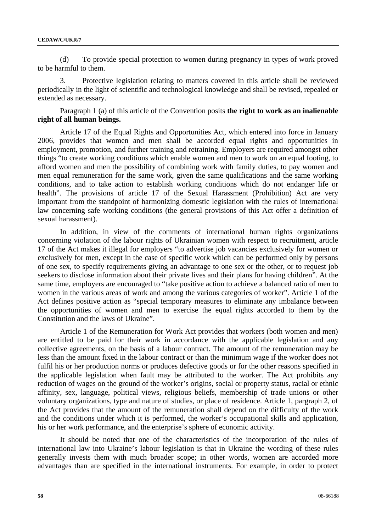(d) To provide special protection to women during pregnancy in types of work proved to be harmful to them.

 3. Protective legislation relating to matters covered in this article shall be reviewed periodically in the light of scientific and technological knowledge and shall be revised, repealed or extended as necessary.

 Paragraph 1 (a) of this article of the Convention posits **the right to work as an inalienable right of all human beings.**

 Article 17 of the Equal Rights and Opportunities Act, which entered into force in January 2006, provides that women and men shall be accorded equal rights and opportunities in employment, promotion, and further training and retraining. Employers are required amongst other things "to create working conditions which enable women and men to work on an equal footing, to afford women and men the possibility of combining work with family duties, to pay women and men equal remuneration for the same work, given the same qualifications and the same working conditions, and to take action to establish working conditions which do not endanger life or health". The provisions of article 17 of the Sexual Harassment (Prohibition) Act are very important from the standpoint of harmonizing domestic legislation with the rules of international law concerning safe working conditions (the general provisions of this Act offer a definition of sexual harassment).

 In addition, in view of the comments of international human rights organizations concerning violation of the labour rights of Ukrainian women with respect to recruitment, article 17 of the Act makes it illegal for employers "to advertise job vacancies exclusively for women or exclusively for men, except in the case of specific work which can be performed only by persons of one sex, to specify requirements giving an advantage to one sex or the other, or to request job seekers to disclose information about their private lives and their plans for having children". At the same time, employers are encouraged to "take positive action to achieve a balanced ratio of men to women in the various areas of work and among the various categories of worker". Article 1 of the Act defines positive action as "special temporary measures to eliminate any imbalance between the opportunities of women and men to exercise the equal rights accorded to them by the Constitution and the laws of Ukraine".

 Article 1 of the Remuneration for Work Act provides that workers (both women and men) are entitled to be paid for their work in accordance with the applicable legislation and any collective agreements, on the basis of a labour contract. The amount of the remuneration may be less than the amount fixed in the labour contract or than the minimum wage if the worker does not fulfil his or her production norms or produces defective goods or for the other reasons specified in the applicable legislation when fault may be attributed to the worker. The Act prohibits any reduction of wages on the ground of the worker's origins, social or property status, racial or ethnic affinity, sex, language, political views, religious beliefs, membership of trade unions or other voluntary organizations, type and nature of studies, or place of residence. Article 1, pargraph 2, of the Act provides that the amount of the remuneration shall depend on the difficulty of the work and the conditions under which it is performed, the worker's occupational skills and application, his or her work performance, and the enterprise's sphere of economic activity.

 It should be noted that one of the characteristics of the incorporation of the rules of international law into Ukraine's labour legislation is that in Ukraine the wording of these rules generally invests them with much broader scope; in other words, women are accorded more advantages than are specified in the international instruments. For example, in order to protect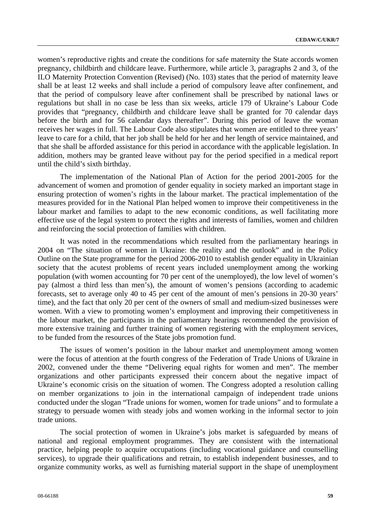women's reproductive rights and create the conditions for safe maternity the State accords women pregnancy, childbirth and childcare leave. Furthermore, while article 3, paragraphs 2 and 3, of the ILO Maternity Protection Convention (Revised) (No. 103) states that the period of maternity leave shall be at least 12 weeks and shall include a period of compulsory leave after confinement, and that the period of compulsory leave after confinement shall be prescribed by national laws or regulations but shall in no case be less than six weeks, article 179 of Ukraine's Labour Code provides that "pregnancy, childbirth and childcare leave shall be granted for 70 calendar days before the birth and for 56 calendar days thereafter". During this period of leave the woman receives her wages in full. The Labour Code also stipulates that women are entitled to three years' leave to care for a child, that her job shall be held for her and her length of service maintained, and that she shall be afforded assistance for this period in accordance with the applicable legislation. In addition, mothers may be granted leave without pay for the period specified in a medical report until the child's sixth birthday.

 The implementation of the National Plan of Action for the period 2001-2005 for the advancement of women and promotion of gender equality in society marked an important stage in ensuring protection of women's rights in the labour market. The practical implementation of the measures provided for in the National Plan helped women to improve their competitiveness in the labour market and families to adapt to the new economic conditions, as well facilitating more effective use of the legal system to protect the rights and interests of families, women and children and reinforcing the social protection of families with children.

 It was noted in the recommendations which resulted from the parliamentary hearings in 2004 on "The situation of women in Ukraine: the reality and the outlook" and in the Policy Outline on the State programme for the period 2006-2010 to establish gender equality in Ukrainian society that the acutest problems of recent years included unemployment among the working population (with women accounting for 70 per cent of the unemployed), the low level of women's pay (almost a third less than men's), the amount of women's pensions (according to academic forecasts, set to average only 40 to 45 per cent of the amount of men's pensions in 20-30 years' time), and the fact that only 20 per cent of the owners of small and medium-sized businesses were women. With a view to promoting women's employment and improving their competitiveness in the labour market, the participants in the parliamentary hearings recommended the provision of more extensive training and further training of women registering with the employment services, to be funded from the resources of the State jobs promotion fund.

 The issues of women's position in the labour market and unemployment among women were the focus of attention at the fourth congress of the Federation of Trade Unions of Ukraine in 2002, convened under the theme "Delivering equal rights for women and men". The member organizations and other participants expressed their concern about the negative impact of Ukraine's economic crisis on the situation of women. The Congress adopted a resolution calling on member organizations to join in the international campaign of independent trade unions conducted under the slogan "Trade unions for women, women for trade unions" and to formulate a strategy to persuade women with steady jobs and women working in the informal sector to join trade unions.

 The social protection of women in Ukraine's jobs market is safeguarded by means of national and regional employment programmes. They are consistent with the international practice, helping people to acquire occupations (including vocational guidance and counselling services), to upgrade their qualifications and retrain, to establish independent businesses, and to organize community works, as well as furnishing material support in the shape of unemployment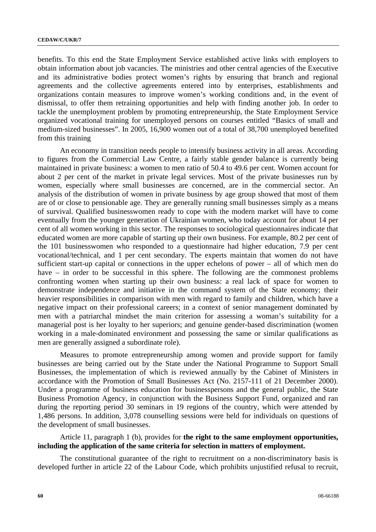benefits. To this end the State Employment Service established active links with employers to obtain information about job vacancies. The ministries and other central agencies of the Executive and its administrative bodies protect women's rights by ensuring that branch and regional agreements and the collective agreements entered into by enterprises, establishments and organizations contain measures to improve women's working conditions and, in the event of dismissal, to offer them retraining opportunities and help with finding another job. In order to tackle the unemployment problem by promoting entrepreneurship, the State Employment Service organized vocational training for unemployed persons on courses entitled "Basics of small and medium-sized businesses". In 2005, 16,900 women out of a total of 38,700 unemployed benefited from this training

 An economy in transition needs people to intensify business activity in all areas. According to figures from the Commercial Law Centre, a fairly stable gender balance is currently being maintained in private business: a women to men ratio of 50.4 to 49.6 per cent. Women account for about 2 per cent of the market in private legal services. Most of the private businesses run by women, especially where small businesses are concerned, are in the commercial sector. An analysis of the distribution of women in private business by age group showed that most of them are of or close to pensionable age. They are generally running small businesses simply as a means of survival. Qualified businesswomen ready to cope with the modern market will have to come eventually from the younger generation of Ukrainian women, who today account for about 14 per cent of all women working in this sector. The responses to sociological questionnaires indicate that educated women are more capable of starting up their own business. For example, 80.2 per cent of the 101 businesswomen who responded to a questionnaire had higher education, 7.9 per cent vocational/technical, and 1 per cent secondary. The experts maintain that women do not have sufficient start-up capital or connections in the upper echelons of power – all of which men do have – in order to be successful in this sphere. The following are the commonest problems confronting women when starting up their own business: a real lack of space for women to demonstrate independence and initiative in the command system of the State economy; their heavier responsibilities in comparison with men with regard to family and children, which have a negative impact on their professional careers; in a context of senior management dominated by men with a patriarchal mindset the main criterion for assessing a woman's suitability for a managerial post is her loyalty to her superiors; and genuine gender-based discrimination (women working in a male-dominated environment and possessing the same or similar qualifications as men are generally assigned a subordinate role).

 Measures to promote entrepreneurship among women and provide support for family businesses are being carried out by the State under the National Programme to Support Small Businesses, the implementation of which is reviewed annually by the Cabinet of Ministers in accordance with the Promotion of Small Businesses Act (No. 2157-111 of 21 December 2000). Under a programme of business education for businesspersons and the general public, the State Business Promotion Agency, in conjunction with the Business Support Fund, organized and ran during the reporting period 30 seminars in 19 regions of the country, which were attended by 1,486 persons. In addition, 3,078 counselling sessions were held for individuals on questions of the development of small businesses.

# Article 11, paragraph 1 (b), provides for **the right to the same employment opportunities, including the application of the same criteria for selection in matters of employment.**

 The constitutional guarantee of the right to recruitment on a non-discriminatory basis is developed further in article 22 of the Labour Code, which prohibits unjustified refusal to recruit,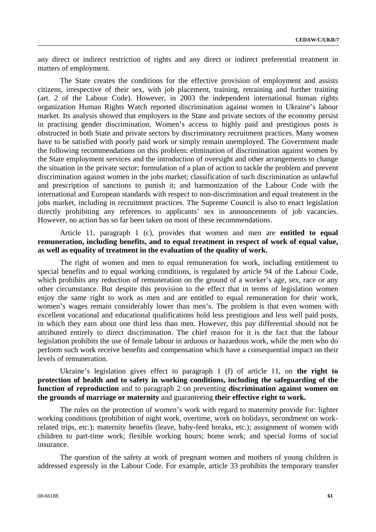any direct or indirect restriction of rights and any direct or indirect preferential treatment in matters of employment.

 The State creates the conditions for the effective provision of employment and assists citizens, irrespective of their sex, with job placement, training, retraining and further training (art. 2 of the Labour Code). However, in 2003 the independent international human rights organization Human Rights Watch reported discrimination against women in Ukraine's labour market. Its analysis showed that employers in the State and private sectors of the economy persist in practising gender discrimination. Women's access to highly paid and prestigious posts is obstructed in both State and private sectors by discriminatory recruitment practices. Many women have to be satisfied with poorly paid work or simply remain unemployed. The Government made the following recommendations on this problem: elimination of discrimination against women by the State employment services and the introduction of oversight and other arrangements to change the situation in the private sector; formulation of a plan of action to tackle the problem and prevent discrimination against women in the jobs market; classification of such discrimination as unlawful and prescription of sanctions to punish it; and harmonization of the Labour Code with the international and European standards with respect to non-discrimination and equal treatment in the jobs market, including in recruitment practices. The Supreme Council is also to enact legislation directly prohibiting any references to applicants' sex in announcements of job vacancies. However, no action has so far been taken on most of these recommendations.

 Article 11, paragraph 1 (c), provides that women and men are **entitled to equal remuneration, including benefits, and to equal treatment in respect of work of equal value, as well as equality of treatment in the evaluation of the quality of work.**

 The right of women and men to equal remuneration for work, including entitlement to special benefits and to equal working conditions, is regulated by article 94 of the Labour Code, which prohibits any reduction of remuneration on the ground of a worker's age, sex, race or any other circumstance. But despite this provision to the effect that in terms of legislation women enjoy the same right to work as men and are entitled to equal remuneration for their work, women's wages remain considerably lower than men's. The problem is that even women with excellent vocational and educational qualifications hold less prestigious and less well paid posts, in which they earn about one third less than men. However, this pay differential should not be attributed entirely to direct discrimination. The chief reason for it is the fact that the labour legislation prohibits the use of female labour in arduous or hazardous work, while the men who do perform such work receive benefits and compensation which have a consequential impact on their levels of remuneration.

 Ukraine's legislation gives effect to paragraph 1 (f) of article 11, on **the right to protection of health and to safety in working conditions, including the safeguarding of the function of reproduction** and to paragraph 2 on preventing **discrimination against women on the grounds of marriage or maternity** and guaranteeing **their effective right to work.** 

 The rules on the protection of women's work with regard to maternity provide for: lighter working conditions (prohibition of night work, overtime, work on holidays, secondment on workrelated trips, etc.); maternity benefits (leave, baby-feed breaks, etc.); assignment of women with children to part-time work; flexible working hours; home work; and special forms of social insurance.

 The question of the safety at work of pregnant women and mothers of young children is addressed expressly in the Labour Code. For example, article 33 prohibits the temporary transfer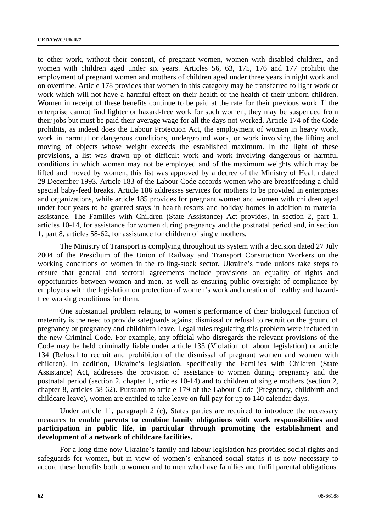to other work, without their consent, of pregnant women, women with disabled children, and women with children aged under six years. Articles 56, 63, 175, 176 and 177 prohibit the employment of pregnant women and mothers of children aged under three years in night work and on overtime. Article 178 provides that women in this category may be transferred to light work or work which will not have a harmful effect on their health or the health of their unborn children. Women in receipt of these benefits continue to be paid at the rate for their previous work. If the enterprise cannot find lighter or hazard-free work for such women, they may be suspended from their jobs but must be paid their average wage for all the days not worked. Article 174 of the Code prohibits, as indeed does the Labour Protection Act, the employment of women in heavy work, work in harmful or dangerous conditions, underground work, or work involving the lifting and moving of objects whose weight exceeds the established maximum. In the light of these provisions, a list was drawn up of difficult work and work involving dangerous or harmful conditions in which women may not be employed and of the maximum weights which may be lifted and moved by women; this list was approved by a decree of the Ministry of Health dated 29 December 1993. Article 183 of the Labour Code accords women who are breastfeeding a child special baby-feed breaks. Article 186 addresses services for mothers to be provided in enterprises and organizations, while article 185 provides for pregnant women and women with children aged under four years to be granted stays in health resorts and holiday homes in addition to material assistance. The Families with Children (State Assistance) Act provides, in section 2, part 1, articles 10-14, for assistance for women during pregnancy and the postnatal period and, in section 1, part 8, articles 58-62, for assistance for children of single mothers.

 The Ministry of Transport is complying throughout its system with a decision dated 27 July 2004 of the Presidium of the Union of Railway and Transport Construction Workers on the working conditions of women in the rolling-stock sector. Ukraine's trade unions take steps to ensure that general and sectoral agreements include provisions on equality of rights and opportunities between women and men, as well as ensuring public oversight of compliance by employers with the legislation on protection of women's work and creation of healthy and hazardfree working conditions for them.

 One substantial problem relating to women's performance of their biological function of maternity is the need to provide safeguards against dismissal or refusal to recruit on the ground of pregnancy or pregnancy and childbirth leave. Legal rules regulating this problem were included in the new Criminal Code. For example, any official who disregards the relevant provisions of the Code may be held criminally liable under article 133 (Violation of labour legislation) or article 134 (Refusal to recruit and prohibition of the dismissal of pregnant women and women with children). In addition, Ukraine's legislation, specifically the Families with Children (State Assistance) Act, addresses the provision of assistance to women during pregnancy and the postnatal period (section 2, chapter 1, articles 10-14) and to children of single mothers (section 2, chapter 8, articles 58-62). Pursuant to article 179 of the Labour Code (Pregnancy, childbirth and childcare leave), women are entitled to take leave on full pay for up to 140 calendar days.

 Under article 11, paragraph 2 (c), States parties are required to introduce the necessary measures to **enable parents to combine family obligations with work responsibilities and participation in public life, in particular through promoting the establishment and development of a network of childcare facilities.**

 For a long time now Ukraine's family and labour legislation has provided social rights and safeguards for women, but in view of women's enhanced social status it is now necessary to accord these benefits both to women and to men who have families and fulfil parental obligations.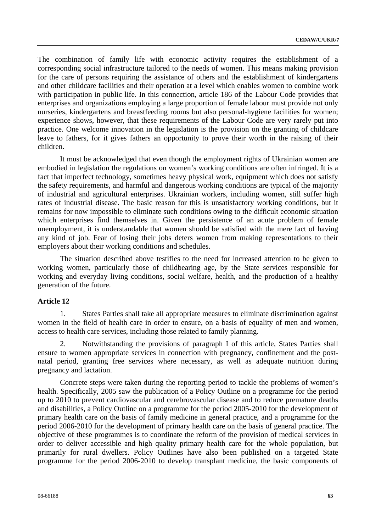The combination of family life with economic activity requires the establishment of a corresponding social infrastructure tailored to the needs of women. This means making provision for the care of persons requiring the assistance of others and the establishment of kindergartens and other childcare facilities and their operation at a level which enables women to combine work with participation in public life. In this connection, article 186 of the Labour Code provides that enterprises and organizations employing a large proportion of female labour must provide not only nurseries, kindergartens and breastfeeding rooms but also personal-hygiene facilities for women; experience shows, however, that these requirements of the Labour Code are very rarely put into practice. One welcome innovation in the legislation is the provision on the granting of childcare leave to fathers, for it gives fathers an opportunity to prove their worth in the raising of their children.

 It must be acknowledged that even though the employment rights of Ukrainian women are embodied in legislation the regulations on women's working conditions are often infringed. It is a fact that imperfect technology, sometimes heavy physical work, equipment which does not satisfy the safety requirements, and harmful and dangerous working conditions are typical of the majority of industrial and agricultural enterprises. Ukrainian workers, including women, still suffer high rates of industrial disease. The basic reason for this is unsatisfactory working conditions, but it remains for now impossible to eliminate such conditions owing to the difficult economic situation which enterprises find themselves in. Given the persistence of an acute problem of female unemployment, it is understandable that women should be satisfied with the mere fact of having any kind of job. Fear of losing their jobs deters women from making representations to their employers about their working conditions and schedules.

 The situation described above testifies to the need for increased attention to be given to working women, particularly those of childbearing age, by the State services responsible for working and everyday living conditions, social welfare, health, and the production of a healthy generation of the future.

# **Article 12**

 1. States Parties shall take all appropriate measures to eliminate discrimination against women in the field of health care in order to ensure, on a basis of equality of men and women, access to health care services, including those related to family planning.

 2. Notwithstanding the provisions of paragraph I of this article, States Parties shall ensure to women appropriate services in connection with pregnancy, confinement and the postnatal period, granting free services where necessary, as well as adequate nutrition during pregnancy and lactation.

 Concrete steps were taken during the reporting period to tackle the problems of women's health. Specifically, 2005 saw the publication of a Policy Outline on a programme for the period up to 2010 to prevent cardiovascular and cerebrovascular disease and to reduce premature deaths and disabilities, a Policy Outline on a programme for the period 2005-2010 for the development of primary health care on the basis of family medicine in general practice, and a programme for the period 2006-2010 for the development of primary health care on the basis of general practice. The objective of these programmes is to coordinate the reform of the provision of medical services in order to deliver accessible and high quality primary health care for the whole population, but primarily for rural dwellers. Policy Outlines have also been published on a targeted State programme for the period 2006-2010 to develop transplant medicine, the basic components of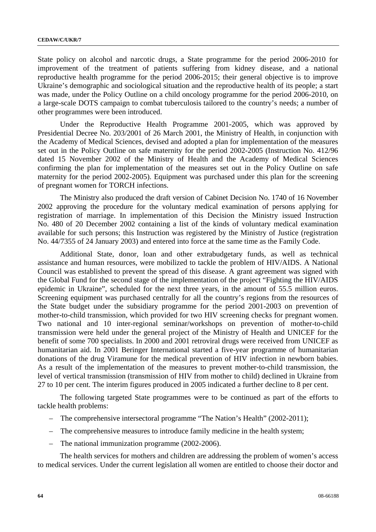State policy on alcohol and narcotic drugs, a State programme for the period 2006-2010 for improvement of the treatment of patients suffering from kidney disease, and a national reproductive health programme for the period 2006-2015; their general objective is to improve Ukraine's demographic and sociological situation and the reproductive health of its people; a start was made, under the Policy Outline on a child oncology programme for the period 2006-2010, on a large-scale DOTS campaign to combat tuberculosis tailored to the country's needs; a number of other programmes were been introduced.

 Under the Reproductive Health Programme 2001-2005, which was approved by Presidential Decree No. 203/2001 of 26 March 2001, the Ministry of Health, in conjunction with the Academy of Medical Sciences, devised and adopted a plan for implementation of the measures set out in the Policy Outline on safe maternity for the period 2002-2005 (Instruction No. 412/96 dated 15 November 2002 of the Ministry of Health and the Academy of Medical Sciences confirming the plan for implementation of the measures set out in the Policy Outline on safe maternity for the period 2002-2005). Equipment was purchased under this plan for the screening of pregnant women for TORCH infections.

 The Ministry also produced the draft version of Cabinet Decision No. 1740 of 16 November 2002 approving the procedure for the voluntary medical examination of persons applying for registration of marriage. In implementation of this Decision the Ministry issued Instruction No. 480 of 20 December 2002 containing a list of the kinds of voluntary medical examination available for such persons; this Instruction was registered by the Ministry of Justice (registration No. 44/7355 of 24 January 2003) and entered into force at the same time as the Family Code.

 Additional State, donor, loan and other extrabudgetary funds, as well as technical assistance and human resources, were mobilized to tackle the problem of HIV/AIDS. A National Council was established to prevent the spread of this disease. A grant agreement was signed with the Global Fund for the second stage of the implementation of the project "Fighting the HIV/AIDS epidemic in Ukraine", scheduled for the next three years, in the amount of 55.5 million euros. Screening equipment was purchased centrally for all the country's regions from the resources of the State budget under the subsidiary programme for the period 2001-2003 on prevention of mother-to-child transmission, which provided for two HIV screening checks for pregnant women. Two national and 10 inter-regional seminar/workshops on prevention of mother-to-child transmission were held under the general project of the Ministry of Health and UNICEF for the benefit of some 700 specialists. In 2000 and 2001 retroviral drugs were received from UNICEF as humanitarian aid. In 2001 Beringer International started a five-year programme of humanitarian donations of the drug Viramune for the medical prevention of HIV infection in newborn babies. As a result of the implementation of the measures to prevent mother-to-child transmission, the level of vertical transmission (transmission of HIV from mother to child) declined in Ukraine from 27 to 10 per cent. The interim figures produced in 2005 indicated a further decline to 8 per cent.

 The following targeted State programmes were to be continued as part of the efforts to tackle health problems:

- The comprehensive intersectoral programme "The Nation's Health" (2002-2011);
- The comprehensive measures to introduce family medicine in the health system;
- The national immunization programme (2002-2006).

 The health services for mothers and children are addressing the problem of women's access to medical services. Under the current legislation all women are entitled to choose their doctor and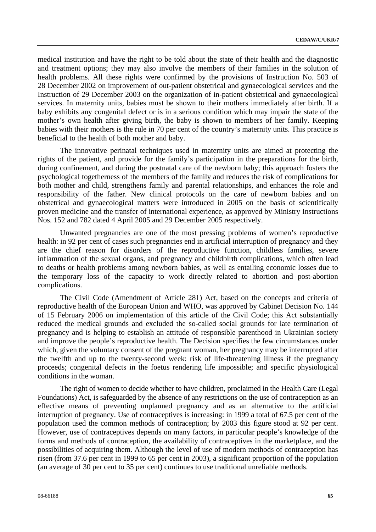medical institution and have the right to be told about the state of their health and the diagnostic and treatment options; they may also involve the members of their families in the solution of health problems. All these rights were confirmed by the provisions of Instruction No. 503 of 28 December 2002 on improvement of out-patient obstetrical and gynaecological services and the Instruction of 29 December 2003 on the organization of in-patient obstetrical and gynaecological services. In maternity units, babies must be shown to their mothers immediately after birth. If a baby exhibits any congenital defect or is in a serious condition which may impair the state of the mother's own health after giving birth, the baby is shown to members of her family. Keeping babies with their mothers is the rule in 70 per cent of the country's maternity units. This practice is beneficial to the health of both mother and baby.

 The innovative perinatal techniques used in maternity units are aimed at protecting the rights of the patient, and provide for the family's participation in the preparations for the birth, during confinement, and during the postnatal care of the newborn baby; this approach fosters the psychological togetherness of the members of the family and reduces the risk of complications for both mother and child, strengthens family and parental relationships, and enhances the role and responsibility of the father. New clinical protocols on the care of newborn babies and on obstetrical and gynaecological matters were introduced in 2005 on the basis of scientifically proven medicine and the transfer of international experience, as approved by Ministry Instructions Nos. 152 and 782 dated 4 April 2005 and 29 December 2005 respectively.

 Unwanted pregnancies are one of the most pressing problems of women's reproductive health: in 92 per cent of cases such pregnancies end in artificial interruption of pregnancy and they are the chief reason for disorders of the reproductive function, childless families, severe inflammation of the sexual organs, and pregnancy and childbirth complications, which often lead to deaths or health problems among newborn babies, as well as entailing economic losses due to the temporary loss of the capacity to work directly related to abortion and post-abortion complications.

 The Civil Code (Amendment of Article 281) Act, based on the concepts and criteria of reproductive health of the European Union and WHO, was approved by Cabinet Decision No. 144 of 15 February 2006 on implementation of this article of the Civil Code; this Act substantially reduced the medical grounds and excluded the so-called social grounds for late termination of pregnancy and is helping to establish an attitude of responsible parenthood in Ukrainian society and improve the people's reproductive health. The Decision specifies the few circumstances under which, given the voluntary consent of the pregnant woman, her pregnancy may be interrupted after the twelfth and up to the twenty-second week: risk of life-threatening illness if the pregnancy proceeds; congenital defects in the foetus rendering life impossible; and specific physiological conditions in the woman.

 The right of women to decide whether to have children, proclaimed in the Health Care (Legal Foundations) Act, is safeguarded by the absence of any restrictions on the use of contraception as an effective means of preventing unplanned pregnancy and as an alternative to the artificial interruption of pregnancy. Use of contraceptives is increasing: in 1999 a total of 67.5 per cent of the population used the common methods of contraception; by 2003 this figure stood at 92 per cent. However, use of contraceptives depends on many factors, in particular people's knowledge of the forms and methods of contraception, the availability of contraceptives in the marketplace, and the possibilities of acquiring them. Although the level of use of modern methods of contraception has risen (from 37.6 per cent in 1999 to 65 per cent in 2003), a significant proportion of the population (an average of 30 per cent to 35 per cent) continues to use traditional unreliable methods.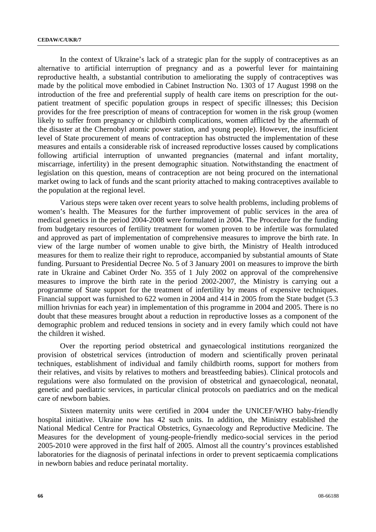In the context of Ukraine's lack of a strategic plan for the supply of contraceptives as an alternative to artificial interruption of pregnancy and as a powerful lever for maintaining reproductive health, a substantial contribution to ameliorating the supply of contraceptives was made by the political move embodied in Cabinet Instruction No. 1303 of 17 August 1998 on the introduction of the free and preferential supply of health care items on prescription for the outpatient treatment of specific population groups in respect of specific illnesses; this Decision provides for the free prescription of means of contraception for women in the risk group (women likely to suffer from pregnancy or childbirth complications, women afflicted by the aftermath of the disaster at the Chernobyl atomic power station, and young people). However, the insufficient level of State procurement of means of contraception has obstructed the implementation of these measures and entails a considerable risk of increased reproductive losses caused by complications following artificial interruption of unwanted pregnancies (maternal and infant mortality, miscarriage, infertility) in the present demographic situation. Notwithstanding the enactment of legislation on this question, means of contraception are not being procured on the international market owing to lack of funds and the scant priority attached to making contraceptives available to the population at the regional level.

 Various steps were taken over recent years to solve health problems, including problems of women's health. The Measures for the further improvement of public services in the area of medical genetics in the period 2004-2008 were formulated in 2004. The Procedure for the funding from budgetary resources of fertility treatment for women proven to be infertile was formulated and approved as part of implementation of comprehensive measures to improve the birth rate. In view of the large number of women unable to give birth, the Ministry of Health introduced measures for them to realize their right to reproduce, accompanied by substantial amounts of State funding. Pursuant to Presidential Decree No. 5 of 3 January 2001 on measures to improve the birth rate in Ukraine and Cabinet Order No. 355 of 1 July 2002 on approval of the comprehensive measures to improve the birth rate in the period 2002-2007, the Ministry is carrying out a programme of State support for the treatment of infertility by means of expensive techniques. Financial support was furnished to 622 women in 2004 and 414 in 2005 from the State budget (5.3 million hrivnias for each year) in implementation of this programme in 2004 and 2005. There is no doubt that these measures brought about a reduction in reproductive losses as a component of the demographic problem and reduced tensions in society and in every family which could not have the children it wished.

 Over the reporting period obstetrical and gynaecological institutions reorganized the provision of obstetrical services (introduction of modern and scientifically proven perinatal techniques, establishment of individual and family childbirth rooms, support for mothers from their relatives, and visits by relatives to mothers and breastfeeding babies). Clinical protocols and regulations were also formulated on the provision of obstetrical and gynaecological, neonatal, genetic and paediatric services, in particular clinical protocols on paediatrics and on the medical care of newborn babies.

 Sixteen maternity units were certified in 2004 under the UNICEF/WHO baby-friendly hospital initiative. Ukraine now has 42 such units. In addition, the Ministry established the National Medical Centre for Practical Obstetrics, Gynaecology and Reproductive Medicine. The Measures for the development of young-people-friendly medico-social services in the period 2005-2010 were approved in the first half of 2005. Almost all the country's provinces established laboratories for the diagnosis of perinatal infections in order to prevent septicaemia complications in newborn babies and reduce perinatal mortality.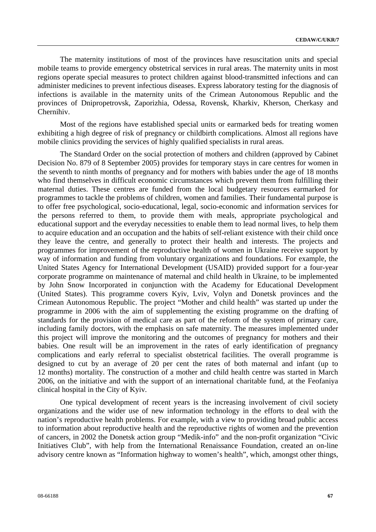The maternity institutions of most of the provinces have resuscitation units and special mobile teams to provide emergency obstetrical services in rural areas. The maternity units in most regions operate special measures to protect children against blood-transmitted infections and can administer medicines to prevent infectious diseases. Express laboratory testing for the diagnosis of infections is available in the maternity units of the Crimean Autonomous Republic and the provinces of Dnipropetrovsk, Zaporizhia, Odessa, Rovensk, Kharkiv, Kherson, Cherkasy and Chernihiv.

 Most of the regions have established special units or earmarked beds for treating women exhibiting a high degree of risk of pregnancy or childbirth complications. Almost all regions have mobile clinics providing the services of highly qualified specialists in rural areas.

 The Standard Order on the social protection of mothers and children (approved by Cabinet Decision No. 879 of 8 September 2005) provides for temporary stays in care centres for women in the seventh to ninth months of pregnancy and for mothers with babies under the age of 18 months who find themselves in difficult economic circumstances which prevent them from fulfilling their maternal duties. These centres are funded from the local budgetary resources earmarked for programmes to tackle the problems of children, women and families. Their fundamental purpose is to offer free psychological, socio-educational, legal, socio-economic and information services for the persons referred to them, to provide them with meals, appropriate psychological and educational support and the everyday necessities to enable them to lead normal lives, to help them to acquire education and an occupation and the habits of self-reliant existence with their child once they leave the centre, and generally to protect their health and interests. The projects and programmes for improvement of the reproductive health of women in Ukraine receive support by way of information and funding from voluntary organizations and foundations. For example, the United States Agency for International Development (USAID) provided support for a four-year corporate programme on maintenance of maternal and child health in Ukraine, to be implemented by John Snow Incorporated in conjunction with the Academy for Educational Development (United States). This programme covers Kyiv, Lviv, Volyn and Donetsk provinces and the Crimean Autonomous Republic. The project "Mother and child health" was started up under the programme in 2006 with the aim of supplementing the existing programme on the drafting of standards for the provision of medical care as part of the reform of the system of primary care, including family doctors, with the emphasis on safe maternity. The measures implemented under this project will improve the monitoring and the outcomes of pregnancy for mothers and their babies. One result will be an improvement in the rates of early identification of pregnancy complications and early referral to specialist obstetrical facilities. The overall programme is designed to cut by an average of 20 per cent the rates of both maternal and infant (up to 12 months) mortality. The construction of a mother and child health centre was started in March 2006, on the initiative and with the support of an international charitable fund, at the Feofaniya clinical hospital in the City of Kyiv.

 One typical development of recent years is the increasing involvement of civil society organizations and the wider use of new information technology in the efforts to deal with the nation's reproductive health problems. For example, with a view to providing broad public access to information about reproductive health and the reproductive rights of women and the prevention of cancers, in 2002 the Donetsk action group "Medik-info" and the non-profit organization "Civic Initiatives Club", with help from the International Renaissance Foundation, created an on-line advisory centre known as "Information highway to women's health", which, amongst other things,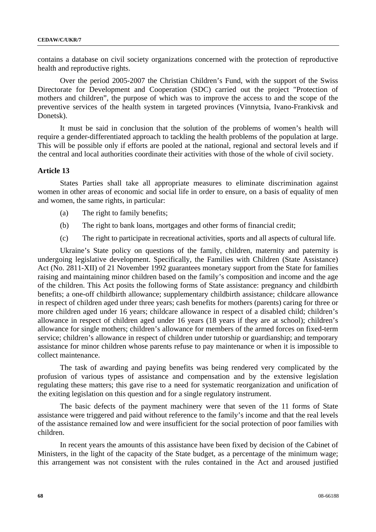contains a database on civil society organizations concerned with the protection of reproductive health and reproductive rights.

 Over the period 2005-2007 the Christian Children's Fund, with the support of the Swiss Directorate for Development and Cooperation (SDC) carried out the project "Protection of mothers and children", the purpose of which was to improve the access to and the scope of the preventive services of the health system in targeted provinces (Vinnytsia, Ivano-Frankivsk and Donetsk).

 It must be said in conclusion that the solution of the problems of women's health will require a gender-differentiated approach to tackling the health problems of the population at large. This will be possible only if efforts are pooled at the national, regional and sectoral levels and if the central and local authorities coordinate their activities with those of the whole of civil society.

# **Article 13**

 States Parties shall take all appropriate measures to eliminate discrimination against women in other areas of economic and social life in order to ensure, on a basis of equality of men and women, the same rights, in particular:

- (a) The right to family benefits;
- (b) The right to bank loans, mortgages and other forms of financial credit;
- (c) The right to participate in recreational activities, sports and all aspects of cultural life.

 Ukraine's State policy on questions of the family, children, maternity and paternity is undergoing legislative development. Specifically, the Families with Children (State Assistance) Act (No. 2811-XII) of 21 November 1992 guarantees monetary support from the State for families raising and maintaining minor children based on the family's composition and income and the age of the children. This Act posits the following forms of State assistance: pregnancy and childbirth benefits; a one-off childbirth allowance; supplementary childbirth assistance; childcare allowance in respect of children aged under three years; cash benefits for mothers (parents) caring for three or more children aged under 16 years; childcare allowance in respect of a disabled child; children's allowance in respect of children aged under 16 years (18 years if they are at school); children's allowance for single mothers; children's allowance for members of the armed forces on fixed-term service; children's allowance in respect of children under tutorship or guardianship; and temporary assistance for minor children whose parents refuse to pay maintenance or when it is impossible to collect maintenance.

 The task of awarding and paying benefits was being rendered very complicated by the profusion of various types of assistance and compensation and by the extensive legislation regulating these matters; this gave rise to a need for systematic reorganization and unification of the exiting legislation on this question and for a single regulatory instrument.

 The basic defects of the payment machinery were that seven of the 11 forms of State assistance were triggered and paid without reference to the family's income and that the real levels of the assistance remained low and were insufficient for the social protection of poor families with children.

 In recent years the amounts of this assistance have been fixed by decision of the Cabinet of Ministers, in the light of the capacity of the State budget, as a percentage of the minimum wage; this arrangement was not consistent with the rules contained in the Act and aroused justified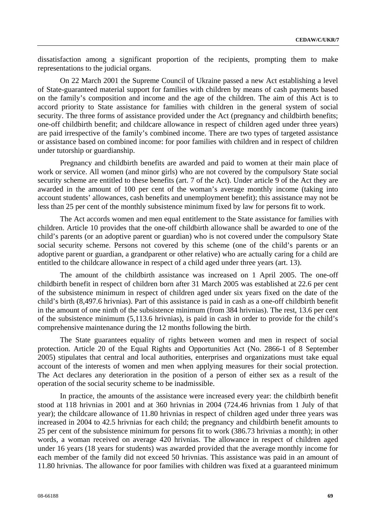dissatisfaction among a significant proportion of the recipients, prompting them to make representations to the judicial organs.

 On 22 March 2001 the Supreme Council of Ukraine passed a new Act establishing a level of State-guaranteed material support for families with children by means of cash payments based on the family's composition and income and the age of the children. The aim of this Act is to accord priority to State assistance for families with children in the general system of social security. The three forms of assistance provided under the Act (pregnancy and childbirth benefits; one-off childbirth benefit; and childcare allowance in respect of children aged under three years) are paid irrespective of the family's combined income. There are two types of targeted assistance or assistance based on combined income: for poor families with children and in respect of children under tutorship or guardianship.

 Pregnancy and childbirth benefits are awarded and paid to women at their main place of work or service. All women (and minor girls) who are not covered by the compulsory State social security scheme are entitled to these benefits (art. 7 of the Act). Under article 9 of the Act they are awarded in the amount of 100 per cent of the woman's average monthly income (taking into account students' allowances, cash benefits and unemployment benefit); this assistance may not be less than 25 per cent of the monthly subsistence minimum fixed by law for persons fit to work.

 The Act accords women and men equal entitlement to the State assistance for families with children. Article 10 provides that the one-off childbirth allowance shall be awarded to one of the child's parents (or an adoptive parent or guardian) who is not covered under the compulsory State social security scheme. Persons not covered by this scheme (one of the child's parents or an adoptive parent or guardian, a grandparent or other relative) who are actually caring for a child are entitled to the childcare allowance in respect of a child aged under three years (art. 13).

 The amount of the childbirth assistance was increased on 1 April 2005. The one-off childbirth benefit in respect of children born after 31 March 2005 was established at 22.6 per cent of the subsistence minimum in respect of children aged under six years fixed on the date of the child's birth (8,497.6 hrivnias). Part of this assistance is paid in cash as a one-off childbirth benefit in the amount of one ninth of the subsistence minimum (from 384 hrivnias). The rest, 13.6 per cent of the subsistence minimum (5,113.6 hrivnias), is paid in cash in order to provide for the child's comprehensive maintenance during the 12 months following the birth.

 The State guarantees equality of rights between women and men in respect of social protection. Article 20 of the Equal Rights and Opportunities Act (No. 2866-1 of 8 September 2005) stipulates that central and local authorities, enterprises and organizations must take equal account of the interests of women and men when applying measures for their social protection. The Act declares any deterioration in the position of a person of either sex as a result of the operation of the social security scheme to be inadmissible.

 In practice, the amounts of the assistance were increased every year: the childbirth benefit stood at 118 hrivnias in 2001 and at 360 hrivnias in 2004 (724.46 hrivnias from 1 July of that year); the childcare allowance of 11.80 hrivnias in respect of children aged under three years was increased in 2004 to 42.5 hrivnias for each child; the pregnancy and childbirth benefit amounts to 25 per cent of the subsistence minimum for persons fit to work (386.73 hrivnias a month); in other words, a woman received on average 420 hrivnias. The allowance in respect of children aged under 16 years (18 years for students) was awarded provided that the average monthly income for each member of the family did not exceed 50 hrivnias. This assistance was paid in an amount of 11.80 hrivnias. The allowance for poor families with children was fixed at a guaranteed minimum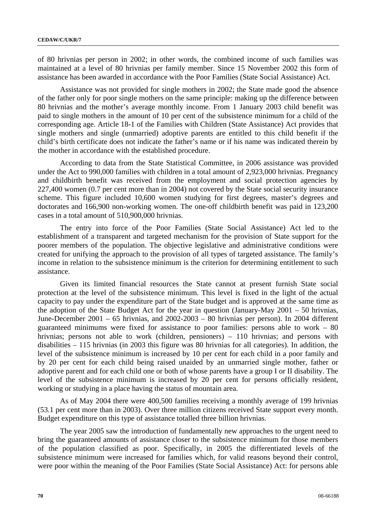of 80 hrivnias per person in 2002; in other words, the combined income of such families was maintained at a level of 80 hrivnias per family member. Since 15 November 2002 this form of assistance has been awarded in accordance with the Poor Families (State Social Assistance) Act.

 Assistance was not provided for single mothers in 2002; the State made good the absence of the father only for poor single mothers on the same principle: making up the difference between 80 hrivnias and the mother's average monthly income. From 1 January 2003 child benefit was paid to single mothers in the amount of 10 per cent of the subsistence minimum for a child of the corresponding age. Article 18-1 of the Families with Children (State Assistance) Act provides that single mothers and single (unmarried) adoptive parents are entitled to this child benefit if the child's birth certificate does not indicate the father's name or if his name was indicated therein by the mother in accordance with the established procedure.

 According to data from the State Statistical Committee, in 2006 assistance was provided under the Act to 990,000 families with children in a total amount of 2,923,000 hrivnias. Pregnancy and childbirth benefit was received from the employment and social protection agencies by 227,400 women (0.7 per cent more than in 2004) not covered by the State social security insurance scheme. This figure included 10,600 women studying for first degrees, master's degrees and doctorates and 166,900 non-working women. The one-off childbirth benefit was paid in 123,200 cases in a total amount of 510,900,000 hrivnias.

 The entry into force of the Poor Families (State Social Assistance) Act led to the establishment of a transparent and targeted mechanism for the provision of State support for the poorer members of the population. The objective legislative and administrative conditions were created for unifying the approach to the provision of all types of targeted assistance. The family's income in relation to the subsistence minimum is the criterion for determining entitlement to such assistance.

 Given its limited financial resources the State cannot at present furnish State social protection at the level of the subsistence minimum. This level is fixed in the light of the actual capacity to pay under the expenditure part of the State budget and is approved at the same time as the adoption of the State Budget Act for the year in question (January-May 2001 – 50 hrivnias, June-December 2001 – 65 hrivnias, and 2002-2003 – 80 hrivnias per person). In 2004 different guaranteed minimums were fixed for assistance to poor families: persons able to work – 80 hrivnias; persons not able to work (children, pensioners) – 110 hrivnias; and persons with disabilities – 115 hrivnias (in 2003 this figure was 80 hrivnias for all categories). In addition, the level of the subsistence minimum is increased by 10 per cent for each child in a poor family and by 20 per cent for each child being raised unaided by an unmarried single mother, father or adoptive parent and for each child one or both of whose parents have a group I or II disability. The level of the subsistence minimum is increased by 20 per cent for persons officially resident, working or studying in a place having the status of mountain area.

 As of May 2004 there were 400,500 families receiving a monthly average of 199 hrivnias (53.1 per cent more than in 2003). Over three million citizens received State support every month. Budget expenditure on this type of assistance totalled three billion hrivnias.

 The year 2005 saw the introduction of fundamentally new approaches to the urgent need to bring the guaranteed amounts of assistance closer to the subsistence minimum for those members of the population classified as poor. Specifically, in 2005 the differentiated levels of the subsistence minimum were increased for families which, for valid reasons beyond their control, were poor within the meaning of the Poor Families (State Social Assistance) Act: for persons able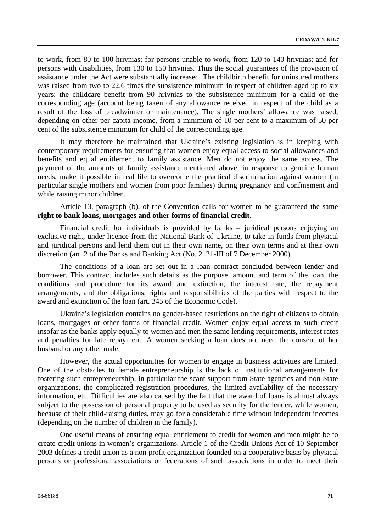to work, from 80 to 100 hrivnias; for persons unable to work, from 120 to 140 hrivnias; and for persons with disabilities, from 130 to 150 hrivnias. Thus the social guarantees of the provision of assistance under the Act were substantially increased. The childbirth benefit for uninsured mothers was raised from two to 22.6 times the subsistence minimum in respect of children aged up to six years; the childcare benefit from 90 hrivnias to the subsistence minimum for a child of the corresponding age (account being taken of any allowance received in respect of the child as a result of the loss of breadwinner or maintenance). The single mothers' allowance was raised, depending on other per capita income, from a minimum of 10 per cent to a maximum of 50 per cent of the subsistence minimum for child of the corresponding age.

 It may therefore be maintained that Ukraine's existing legislation is in keeping with contemporary requirements for ensuring that women enjoy equal access to social allowances and benefits and equal entitlement to family assistance. Men do not enjoy the same access. The payment of the amounts of family assistance mentioned above, in response to genuine human needs, make it possible in real life to overcome the practical discrimination against women (in particular single mothers and women from poor families) during pregnancy and confinement and while raising minor children.

 Article 13, paragraph (b), of the Convention calls for women to be guaranteed the same **right to bank loans, mortgages and other forms of financial credit**.

 Financial credit for individuals is provided by banks – juridical persons enjoying an exclusive right, under licence from the National Bank of Ukraine, to take in funds from physical and juridical persons and lend them out in their own name, on their own terms and at their own discretion (art. 2 of the Banks and Banking Act (No. 2121-III of 7 December 2000).

 The conditions of a loan are set out in a loan contract concluded between lender and borrower. This contract includes such details as the purpose, amount and term of the loan, the conditions and procedure for its award and extinction, the interest rate, the repayment arrangements, and the obligations, rights and responsibilities of the parties with respect to the award and extinction of the loan (art. 345 of the Economic Code).

 Ukraine's legislation contains no gender-based restrictions on the right of citizens to obtain loans, mortgages or other forms of financial credit. Women enjoy equal access to such credit insofar as the banks apply equally to women and men the same lending requirements, interest rates and penalties for late repayment. A women seeking a loan does not need the consent of her husband or any other male.

 However, the actual opportunities for women to engage in business activities are limited. One of the obstacles to female entrepreneurship is the lack of institutional arrangements for fostering such entrepreneurship, in particular the scant support from State agencies and non-State organizations, the complicated registration procedures, the limited availability of the necessary information, etc. Difficulties are also caused by the fact that the award of loans is almost always subject to the possession of personal property to be used as security for the lender, while women, because of their child-raising duties, may go for a considerable time without independent incomes (depending on the number of children in the family).

 One useful means of ensuring equal entitlement to credit for women and men might be to create credit unions in women's organizations. Article 1 of the Credit Unions Act of 10 September 2003 defines a credit union as a non-profit organization founded on a cooperative basis by physical persons or professional associations or federations of such associations in order to meet their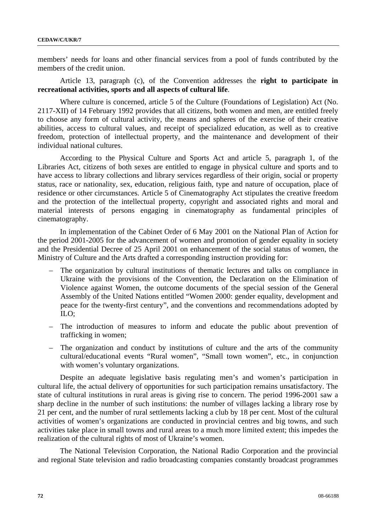members' needs for loans and other financial services from a pool of funds contributed by the members of the credit union.

 Article 13, paragraph (c), of the Convention addresses the **right to participate in recreational activities, sports and all aspects of cultural life**.

 Where culture is concerned, article 5 of the Culture (Foundations of Legislation) Act (No. 2117-XII) of 14 February 1992 provides that all citizens, both women and men, are entitled freely to choose any form of cultural activity, the means and spheres of the exercise of their creative abilities, access to cultural values, and receipt of specialized education, as well as to creative freedom, protection of intellectual property, and the maintenance and development of their individual national cultures.

 According to the Physical Culture and Sports Act and article 5, paragraph 1, of the Libraries Act, citizens of both sexes are entitled to engage in physical culture and sports and to have access to library collections and library services regardless of their origin, social or property status, race or nationality, sex, education, religious faith, type and nature of occupation, place of residence or other circumstances. Article 5 of Cinematography Act stipulates the creative freedom and the protection of the intellectual property, copyright and associated rights and moral and material interests of persons engaging in cinematography as fundamental principles of cinematography.

 In implementation of the Cabinet Order of 6 May 2001 on the National Plan of Action for the period 2001-2005 for the advancement of women and promotion of gender equality in society and the Presidential Decree of 25 April 2001 on enhancement of the social status of women, the Ministry of Culture and the Arts drafted a corresponding instruction providing for:

- The organization by cultural institutions of thematic lectures and talks on compliance in Ukraine with the provisions of the Convention, the Declaration on the Elimination of Violence against Women, the outcome documents of the special session of the General Assembly of the United Nations entitled "Women 2000: gender equality, development and peace for the twenty-first century", and the conventions and recommendations adopted by ILO;
- The introduction of measures to inform and educate the public about prevention of trafficking in women;
- The organization and conduct by institutions of culture and the arts of the community cultural/educational events "Rural women", "Small town women", etc., in conjunction with women's voluntary organizations.

 Despite an adequate legislative basis regulating men's and women's participation in cultural life, the actual delivery of opportunities for such participation remains unsatisfactory. The state of cultural institutions in rural areas is giving rise to concern. The period 1996-2001 saw a sharp decline in the number of such institutions: the number of villages lacking a library rose by 21 per cent, and the number of rural settlements lacking a club by 18 per cent. Most of the cultural activities of women's organizations are conducted in provincial centres and big towns, and such activities take place in small towns and rural areas to a much more limited extent; this impedes the realization of the cultural rights of most of Ukraine's women.

 The National Television Corporation, the National Radio Corporation and the provincial and regional State television and radio broadcasting companies constantly broadcast programmes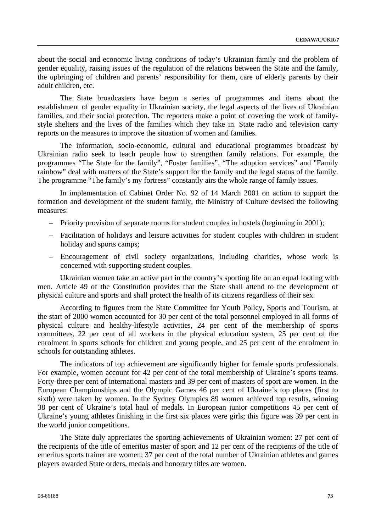about the social and economic living conditions of today's Ukrainian family and the problem of gender equality, raising issues of the regulation of the relations between the State and the family, the upbringing of children and parents' responsibility for them, care of elderly parents by their adult children, etc.

 The State broadcasters have begun a series of programmes and items about the establishment of gender equality in Ukrainian society, the legal aspects of the lives of Ukrainian families, and their social protection. The reporters make a point of covering the work of familystyle shelters and the lives of the families which they take in. State radio and television carry reports on the measures to improve the situation of women and families.

 The information, socio-economic, cultural and educational programmes broadcast by Ukrainian radio seek to teach people how to strengthen family relations. For example, the programmes "The State for the family", "Foster families", "The adoption services" and "Family rainbow" deal with matters of the State's support for the family and the legal status of the family. The programme "The family's my fortress" constantly airs the whole range of family issues.

 In implementation of Cabinet Order No. 92 of 14 March 2001 on action to support the formation and development of the student family, the Ministry of Culture devised the following measures:

- Priority provision of separate rooms for student couples in hostels (beginning in 2001);
- Facilitation of holidays and leisure activities for student couples with children in student holiday and sports camps;
- Encouragement of civil society organizations, including charities, whose work is concerned with supporting student couples.

 Ukrainian women take an active part in the country's sporting life on an equal footing with men. Article 49 of the Constitution provides that the State shall attend to the development of physical culture and sports and shall protect the health of its citizens regardless of their sex.

 According to figures from the State Committee for Youth Policy, Sports and Tourism, at the start of 2000 women accounted for 30 per cent of the total personnel employed in all forms of physical culture and healthy-lifestyle activities, 24 per cent of the membership of sports committees, 22 per cent of all workers in the physical education system, 25 per cent of the enrolment in sports schools for children and young people, and 25 per cent of the enrolment in schools for outstanding athletes.

 The indicators of top achievement are significantly higher for female sports professionals. For example, women account for 42 per cent of the total membership of Ukraine's sports teams. Forty-three per cent of international masters and 39 per cent of masters of sport are women. In the European Championships and the Olympic Games 46 per cent of Ukraine's top places (first to sixth) were taken by women. In the Sydney Olympics 89 women achieved top results, winning 38 per cent of Ukraine's total haul of medals. In European junior competitions 45 per cent of Ukraine's young athletes finishing in the first six places were girls; this figure was 39 per cent in the world junior competitions.

 The State duly appreciates the sporting achievements of Ukrainian women: 27 per cent of the recipients of the title of emeritus master of sport and 12 per cent of the recipients of the title of emeritus sports trainer are women; 37 per cent of the total number of Ukrainian athletes and games players awarded State orders, medals and honorary titles are women.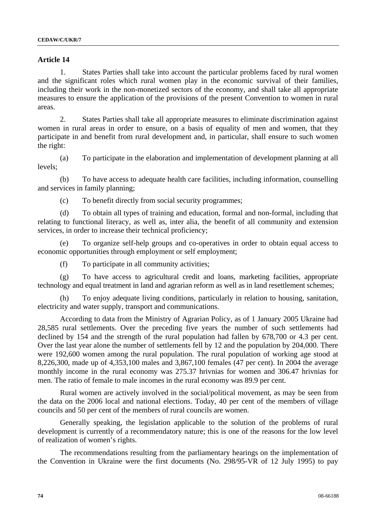# **Article 14**

 1. States Parties shall take into account the particular problems faced by rural women and the significant roles which rural women play in the economic survival of their families, including their work in the non-monetized sectors of the economy, and shall take all appropriate measures to ensure the application of the provisions of the present Convention to women in rural areas.

 2. States Parties shall take all appropriate measures to eliminate discrimination against women in rural areas in order to ensure, on a basis of equality of men and women, that they participate in and benefit from rural development and, in particular, shall ensure to such women the right:

 (a) To participate in the elaboration and implementation of development planning at all levels;

 (b) To have access to adequate health care facilities, including information, counselling and services in family planning;

(c) To benefit directly from social security programmes;

 (d) To obtain all types of training and education, formal and non-formal, including that relating to functional literacy, as well as, inter alia, the benefit of all community and extension services, in order to increase their technical proficiency;

 (e) To organize self-help groups and co-operatives in order to obtain equal access to economic opportunities through employment or self employment;

(f) To participate in all community activities;

 (g) To have access to agricultural credit and loans, marketing facilities, appropriate technology and equal treatment in land and agrarian reform as well as in land resettlement schemes;

 (h) To enjoy adequate living conditions, particularly in relation to housing, sanitation, electricity and water supply, transport and communications.

 According to data from the Ministry of Agrarian Policy, as of 1 January 2005 Ukraine had 28,585 rural settlements. Over the preceding five years the number of such settlements had declined by 154 and the strength of the rural population had fallen by 678,700 or 4.3 per cent. Over the last year alone the number of settlements fell by 12 and the population by 204,000. There were 192,600 women among the rural population. The rural population of working age stood at 8,226,300, made up of 4,353,100 males and 3,867,100 females (47 per cent). In 2004 the average monthly income in the rural economy was 275.37 hrivnias for women and 306.47 hrivnias for men. The ratio of female to male incomes in the rural economy was 89.9 per cent.

 Rural women are actively involved in the social/political movement, as may be seen from the data on the 2006 local and national elections. Today, 40 per cent of the members of village councils and 50 per cent of the members of rural councils are women.

 Generally speaking, the legislation applicable to the solution of the problems of rural development is currently of a recommendatory nature; this is one of the reasons for the low level of realization of women's rights.

 The recommendations resulting from the parliamentary hearings on the implementation of the Convention in Ukraine were the first documents (No. 298/95-VR of 12 July 1995) to pay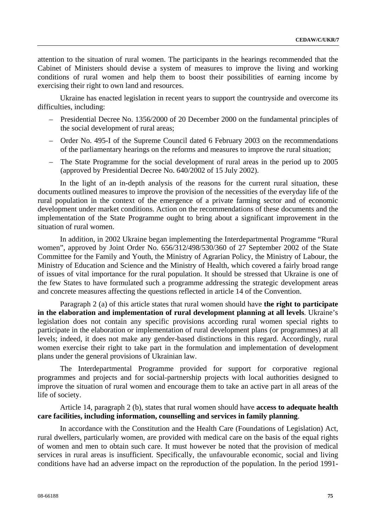attention to the situation of rural women. The participants in the hearings recommended that the Cabinet of Ministers should devise a system of measures to improve the living and working conditions of rural women and help them to boost their possibilities of earning income by exercising their right to own land and resources.

 Ukraine has enacted legislation in recent years to support the countryside and overcome its difficulties, including:

- Presidential Decree No. 1356/2000 of 20 December 2000 on the fundamental principles of the social development of rural areas;
- Order No. 495-I of the Supreme Council dated 6 February 2003 on the recommendations of the parliamentary hearings on the reforms and measures to improve the rural situation;
- The State Programme for the social development of rural areas in the period up to 2005 (approved by Presidential Decree No. 640/2002 of 15 July 2002).

 In the light of an in-depth analysis of the reasons for the current rural situation, these documents outlined measures to improve the provision of the necessities of the everyday life of the rural population in the context of the emergence of a private farming sector and of economic development under market conditions. Action on the recommendations of these documents and the implementation of the State Programme ought to bring about a significant improvement in the situation of rural women.

 In addition, in 2002 Ukraine began implementing the Interdepartmental Programme "Rural women", approved by Joint Order No. 656/312/498/530/360 of 27 September 2002 of the State Committee for the Family and Youth, the Ministry of Agrarian Policy, the Ministry of Labour, the Ministry of Education and Science and the Ministry of Health, which covered a fairly broad range of issues of vital importance for the rural population. It should be stressed that Ukraine is one of the few States to have formulated such a programme addressing the strategic development areas and concrete measures affecting the questions reflected in article 14 of the Convention.

 Paragraph 2 (a) of this article states that rural women should have **the right to participate in the elaboration and implementation of rural development planning at all levels**. Ukraine's legislation does not contain any specific provisions according rural women special rights to participate in the elaboration or implementation of rural development plans (or programmes) at all levels; indeed, it does not make any gender-based distinctions in this regard. Accordingly, rural women exercise their right to take part in the formulation and implementation of development plans under the general provisions of Ukrainian law.

 The Interdepartmental Programme provided for support for corporative regional programmes and projects and for social-partnership projects with local authorities designed to improve the situation of rural women and encourage them to take an active part in all areas of the life of society.

## Article 14, paragraph 2 (b), states that rural women should have **access to adequate health care facilities, including information, counselling and services in family planning**.

 In accordance with the Constitution and the Health Care (Foundations of Legislation) Act, rural dwellers, particularly women, are provided with medical care on the basis of the equal rights of women and men to obtain such care. It must however be noted that the provision of medical services in rural areas is insufficient. Specifically, the unfavourable economic, social and living conditions have had an adverse impact on the reproduction of the population. In the period 1991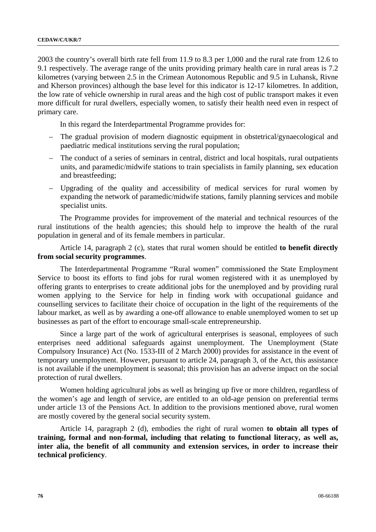2003 the country's overall birth rate fell from 11.9 to 8.3 per 1,000 and the rural rate from 12.6 to 9.1 respectively. The average range of the units providing primary health care in rural areas is 7.2 kilometres (varying between 2.5 in the Crimean Autonomous Republic and 9.5 in Luhansk, Rivne and Kherson provinces) although the base level for this indicator is 12-17 kilometres. In addition, the low rate of vehicle ownership in rural areas and the high cost of public transport makes it even more difficult for rural dwellers, especially women, to satisfy their health need even in respect of primary care.

In this regard the Interdepartmental Programme provides for:

- The gradual provision of modern diagnostic equipment in obstetrical/gynaecological and paediatric medical institutions serving the rural population;
- The conduct of a series of seminars in central, district and local hospitals, rural outpatients units, and paramedic/midwife stations to train specialists in family planning, sex education and breastfeeding;
- Upgrading of the quality and accessibility of medical services for rural women by expanding the network of paramedic/midwife stations, family planning services and mobile specialist units.

 The Programme provides for improvement of the material and technical resources of the rural institutions of the health agencies; this should help to improve the health of the rural population in general and of its female members in particular.

 Article 14, paragraph 2 (c), states that rural women should be entitled **to benefit directly from social security programmes**.

 The Interdepartmental Programme "Rural women" commissioned the State Employment Service to boost its efforts to find jobs for rural women registered with it as unemployed by offering grants to enterprises to create additional jobs for the unemployed and by providing rural women applying to the Service for help in finding work with occupational guidance and counselling services to facilitate their choice of occupation in the light of the requirements of the labour market, as well as by awarding a one-off allowance to enable unemployed women to set up businesses as part of the effort to encourage small-scale entrepreneurship.

 Since a large part of the work of agricultural enterprises is seasonal, employees of such enterprises need additional safeguards against unemployment. The Unemployment (State Compulsory Insurance) Act (No. 1533-III of 2 March 2000) provides for assistance in the event of temporary unemployment. However, pursuant to article 24, paragraph 3, of the Act, this assistance is not available if the unemployment is seasonal; this provision has an adverse impact on the social protection of rural dwellers.

 Women holding agricultural jobs as well as bringing up five or more children, regardless of the women's age and length of service, are entitled to an old-age pension on preferential terms under article 13 of the Pensions Act. In addition to the provisions mentioned above, rural women are mostly covered by the general social security system.

 Article 14, paragraph 2 (d), embodies the right of rural women **to obtain all types of training, formal and non-formal, including that relating to functional literacy, as well as, inter alia, the benefit of all community and extension services, in order to increase their technical proficiency**.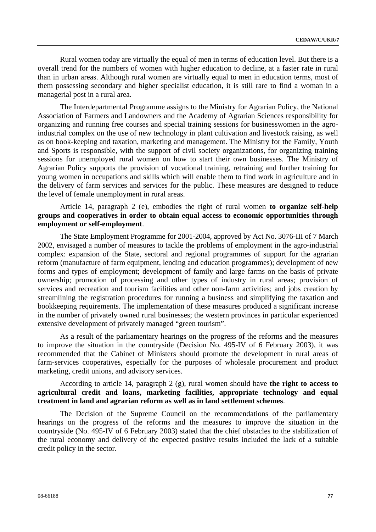Rural women today are virtually the equal of men in terms of education level. But there is a overall trend for the numbers of women with higher education to decline, at a faster rate in rural than in urban areas. Although rural women are virtually equal to men in education terms, most of them possessing secondary and higher specialist education, it is still rare to find a woman in a managerial post in a rural area.

 The Interdepartmental Programme assigns to the Ministry for Agrarian Policy, the National Association of Farmers and Landowners and the Academy of Agrarian Sciences responsibility for organizing and running free courses and special training sessions for businesswomen in the agroindustrial complex on the use of new technology in plant cultivation and livestock raising, as well as on book-keeping and taxation, marketing and management. The Ministry for the Family, Youth and Sports is responsible, with the support of civil society organizations, for organizing training sessions for unemployed rural women on how to start their own businesses. The Ministry of Agrarian Policy supports the provision of vocational training, retraining and further training for young women in occupations and skills which will enable them to find work in agriculture and in the delivery of farm services and services for the public. These measures are designed to reduce the level of female unemployment in rural areas.

# Article 14, paragraph 2 (e), embodie**s** the right of rural women **to organize self-help groups and cooperatives in order to obtain equal access to economic opportunities through employment or self-employment**.

 The State Employment Programme for 2001-2004, approved by Act No. 3076-III of 7 March 2002, envisaged a number of measures to tackle the problems of employment in the agro-industrial complex: expansion of the State, sectoral and regional programmes of support for the agrarian reform (manufacture of farm equipment, lending and education programmes); development of new forms and types of employment; development of family and large farms on the basis of private ownership; promotion of processing and other types of industry in rural areas; provision of services and recreation and tourism facilities and other non-farm activities; and jobs creation by streamlining the registration procedures for running a business and simplifying the taxation and bookkeeping requirements. The implementation of these measures produced a significant increase in the number of privately owned rural businesses; the western provinces in particular experienced extensive development of privately managed "green tourism".

 As a result of the parliamentary hearings on the progress of the reforms and the measures to improve the situation in the countryside (Decision No. 495-IV of 6 February 2003), it was recommended that the Cabinet of Ministers should promote the development in rural areas of farm-services cooperatives, especially for the purposes of wholesale procurement and product marketing, credit unions, and advisory services.

## According to article 14, paragraph 2 (g), rural women should have **the right to access to agricultural credit and loans, marketing facilities, appropriate technology and equal treatment in land and agrarian reform as well as in land settlement schemes**.

 The Decision of the Supreme Council on the recommendations of the parliamentary hearings on the progress of the reforms and the measures to improve the situation in the countryside (No. 495-IV of 6 February 2003) stated that the chief obstacles to the stabilization of the rural economy and delivery of the expected positive results included the lack of a suitable credit policy in the sector.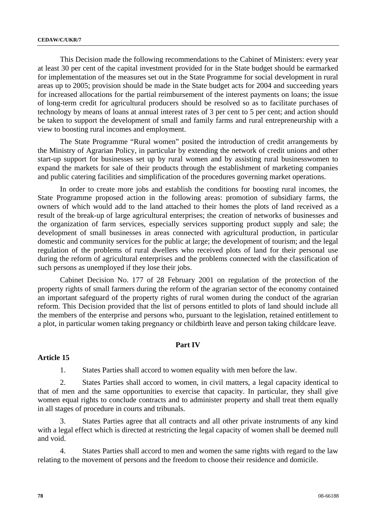This Decision made the following recommendations to the Cabinet of Ministers: every year at least 30 per cent of the capital investment provided for in the State budget should be earmarked for implementation of the measures set out in the State Programme for social development in rural areas up to 2005; provision should be made in the State budget acts for 2004 and succeeding years for increased allocations for the partial reimbursement of the interest payments on loans; the issue of long-term credit for agricultural producers should be resolved so as to facilitate purchases of technology by means of loans at annual interest rates of 3 per cent to 5 per cent; and action should be taken to support the development of small and family farms and rural entrepreneurship with a view to boosting rural incomes and employment.

 The State Programme "Rural women" posited the introduction of credit arrangements by the Ministry of Agrarian Policy, in particular by extending the network of credit unions and other start-up support for businesses set up by rural women and by assisting rural businesswomen to expand the markets for sale of their products through the establishment of marketing companies and public catering facilities and simplification of the procedures governing market operations.

 In order to create more jobs and establish the conditions for boosting rural incomes, the State Programme proposed action in the following areas: promotion of subsidiary farms, the owners of which would add to the land attached to their homes the plots of land received as a result of the break-up of large agricultural enterprises; the creation of networks of businesses and the organization of farm services, especially services supporting product supply and sale; the development of small businesses in areas connected with agricultural production, in particular domestic and community services for the public at large; the development of tourism; and the legal regulation of the problems of rural dwellers who received plots of land for their personal use during the reform of agricultural enterprises and the problems connected with the classification of such persons as unemployed if they lose their jobs.

 Cabinet Decision No. 177 of 28 February 2001 on regulation of the protection of the property rights of small farmers during the reform of the agrarian sector of the economy contained an important safeguard of the property rights of rural women during the conduct of the agrarian reform. This Decision provided that the list of persons entitled to plots of land should include all the members of the enterprise and persons who, pursuant to the legislation, retained entitlement to a plot, in particular women taking pregnancy or childbirth leave and person taking childcare leave.

## **Part IV**

# **Article 15**

1. States Parties shall accord to women equality with men before the law.

 2. States Parties shall accord to women, in civil matters, a legal capacity identical to that of men and the same opportunities to exercise that capacity. In particular, they shall give women equal rights to conclude contracts and to administer property and shall treat them equally in all stages of procedure in courts and tribunals.

 3. States Parties agree that all contracts and all other private instruments of any kind with a legal effect which is directed at restricting the legal capacity of women shall be deemed null and void.

States Parties shall accord to men and women the same rights with regard to the law relating to the movement of persons and the freedom to choose their residence and domicile.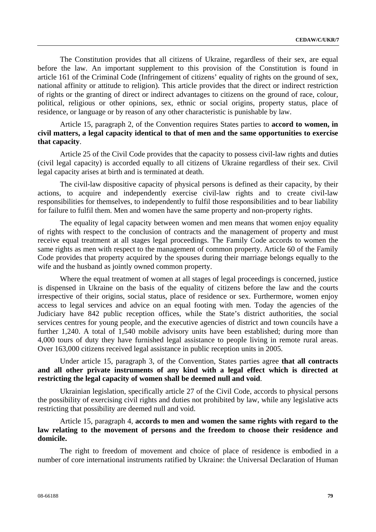The Constitution provides that all citizens of Ukraine, regardless of their sex, are equal before the law. An important supplement to this provision of the Constitution is found in article 161 of the Criminal Code (Infringement of citizens' equality of rights on the ground of sex, national affinity or attitude to religion). This article provides that the direct or indirect restriction of rights or the granting of direct or indirect advantages to citizens on the ground of race, colour, political, religious or other opinions, sex, ethnic or social origins, property status, place of residence, or language or by reason of any other characteristic is punishable by law.

#### Article 15, paragraph 2, of the Convention requires States parties to **accord to women, in civil matters, a legal capacity identical to that of men and the same opportunities to exercise that capacity**.

 Article 25 of the Civil Code provides that the capacity to possess civil-law rights and duties (civil legal capacity) is accorded equally to all citizens of Ukraine regardless of their sex. Civil legal capacity arises at birth and is terminated at death.

 The civil-law dispositive capacity of physical persons is defined as their capacity, by their actions, to acquire and independently exercise civil-law rights and to create civil-law responsibilities for themselves, to independently to fulfil those responsibilities and to bear liability for failure to fulfil them. Men and women have the same property and non-property rights.

 The equality of legal capacity between women and men means that women enjoy equality of rights with respect to the conclusion of contracts and the management of property and must receive equal treatment at all stages legal proceedings. The Family Code accords to women the same rights as men with respect to the management of common property. Article 60 of the Family Code provides that property acquired by the spouses during their marriage belongs equally to the wife and the husband as jointly owned common property.

 Where the equal treatment of women at all stages of legal proceedings is concerned, justice is dispensed in Ukraine on the basis of the equality of citizens before the law and the courts irrespective of their origins, social status, place of residence or sex. Furthermore, women enjoy access to legal services and advice on an equal footing with men. Today the agencies of the Judiciary have 842 public reception offices, while the State's district authorities, the social services centres for young people, and the executive agencies of district and town councils have a further 1,240. A total of 1,540 mobile advisory units have been established; during more than 4,000 tours of duty they have furnished legal assistance to people living in remote rural areas. Over 163,000 citizens received legal assistance in public reception units in 2005.

 Under article 15, paragraph 3, of the Convention, States parties agree **that all contracts and all other private instruments of any kind with a legal effect which is directed at restricting the legal capacity of women shall be deemed null and void**.

 Ukrainian legislation, specifically article 27 of the Civil Code, accords to physical persons the possibility of exercising civil rights and duties not prohibited by law, while any legislative acts restricting that possibility are deemed null and void.

 Article 15, paragraph 4, **accords to men and women the same rights with regard to the law relating to the movement of persons and the freedom to choose their residence and domicile.**

 The right to freedom of movement and choice of place of residence is embodied in a number of core international instruments ratified by Ukraine: the Universal Declaration of Human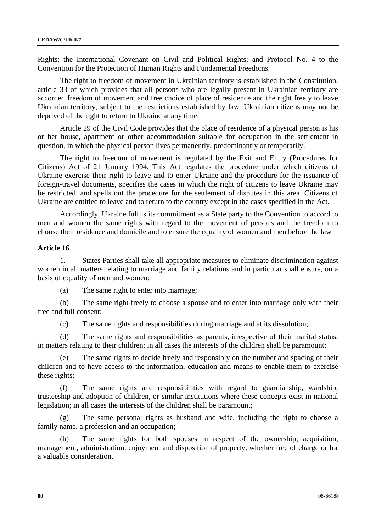Rights; the International Covenant on Civil and Political Rights; and Protocol No. 4 to the Convention for the Protection of Human Rights and Fundamental Freedoms.

 The right to freedom of movement in Ukrainian territory is established in the Constitution, article 33 of which provides that all persons who are legally present in Ukrainian territory are accorded freedom of movement and free choice of place of residence and the right freely to leave Ukrainian territory, subject to the restrictions established by law. Ukrainian citizens may not be deprived of the right to return to Ukraine at any time.

 Article 29 of the Civil Code provides that the place of residence of a physical person is his or her house, apartment or other accommodation suitable for occupation in the settlement in question, in which the physical person lives permanently, predominantly or temporarily.

 The right to freedom of movement is regulated by the Exit and Entry (Procedures for Citizens) Act of 21 January 1994. This Act regulates the procedure under which citizens of Ukraine exercise their right to leave and to enter Ukraine and the procedure for the issuance of foreign-travel documents, specifies the cases in which the right of citizens to leave Ukraine may be restricted, and spells out the procedure for the settlement of disputes in this area. Citizens of Ukraine are entitled to leave and to return to the country except in the cases specified in the Act.

 Accordingly, Ukraine fulfils its commitment as a State party to the Convention to accord to men and women the same rights with regard to the movement of persons and the freedom to choose their residence and domicile and to ensure the equality of women and men before the law

# **Article 16**

 1. States Parties shall take all appropriate measures to eliminate discrimination against women in all matters relating to marriage and family relations and in particular shall ensure, on a basis of equality of men and women:

(a) The same right to enter into marriage;

 (b) The same right freely to choose a spouse and to enter into marriage only with their free and full consent;

(c) The same rights and responsibilities during marriage and at its dissolution;

 (d) The same rights and responsibilities as parents, irrespective of their marital status, in matters relating to their children; in all cases the interests of the children shall be paramount;

 (e) The same rights to decide freely and responsibly on the number and spacing of their children and to have access to the information, education and means to enable them to exercise these rights;

 (f) The same rights and responsibilities with regard to guardianship, wardship, trusteeship and adoption of children, or similar institutions where these concepts exist in national legislation; in all cases the interests of the children shall be paramount;

 (g) The same personal rights as husband and wife, including the right to choose a family name, a profession and an occupation;

 (h) The same rights for both spouses in respect of the ownership, acquisition, management, administration, enjoyment and disposition of property, whether free of charge or for a valuable consideration.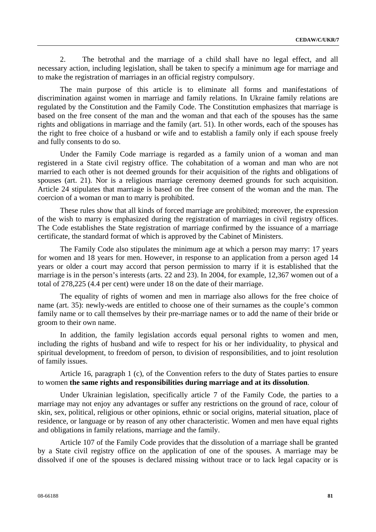2. The betrothal and the marriage of a child shall have no legal effect, and all necessary action, including legislation, shall be taken to specify a minimum age for marriage and to make the registration of marriages in an official registry compulsory.

 The main purpose of this article is to eliminate all forms and manifestations of discrimination against women in marriage and family relations. In Ukraine family relations are regulated by the Constitution and the Family Code. The Constitution emphasizes that marriage is based on the free consent of the man and the woman and that each of the spouses has the same rights and obligations in marriage and the family (art. 51). In other words, each of the spouses has the right to free choice of a husband or wife and to establish a family only if each spouse freely and fully consents to do so.

 Under the Family Code marriage is regarded as a family union of a woman and man registered in a State civil registry office. The cohabitation of a woman and man who are not married to each other is not deemed grounds for their acquisition of the rights and obligations of spouses (art. 21). Nor is a religious marriage ceremony deemed grounds for such acquisition. Article 24 stipulates that marriage is based on the free consent of the woman and the man. The coercion of a woman or man to marry is prohibited.

 These rules show that all kinds of forced marriage are prohibited; moreover, the expression of the wish to marry is emphasized during the registration of marriages in civil registry offices. The Code establishes the State registration of marriage confirmed by the issuance of a marriage certificate, the standard format of which is approved by the Cabinet of Ministers.

 The Family Code also stipulates the minimum age at which a person may marry: 17 years for women and 18 years for men. However, in response to an application from a person aged 14 years or older a court may accord that person permission to marry if it is established that the marriage is in the person's interests (arts. 22 and 23). In 2004, for example, 12,367 women out of a total of 278,225 (4.4 per cent) were under 18 on the date of their marriage.

 The equality of rights of women and men in marriage also allows for the free choice of name (art. 35): newly-weds are entitled to choose one of their surnames as the couple's common family name or to call themselves by their pre-marriage names or to add the name of their bride or groom to their own name.

 In addition, the family legislation accords equal personal rights to women and men, including the rights of husband and wife to respect for his or her individuality, to physical and spiritual development, to freedom of person, to division of responsibilities, and to joint resolution of family issues.

 Article 16, paragraph 1 (c), of the Convention refers to the duty of States parties to ensure to women **the same rights and responsibilities during marriage and at its dissolution**.

 Under Ukrainian legislation, specifically article 7 of the Family Code, the parties to a marriage may not enjoy any advantages or suffer any restrictions on the ground of race, colour of skin, sex, political, religious or other opinions, ethnic or social origins, material situation, place of residence, or language or by reason of any other characteristic. Women and men have equal rights and obligations in family relations, marriage and the family.

 Article 107 of the Family Code provides that the dissolution of a marriage shall be granted by a State civil registry office on the application of one of the spouses. A marriage may be dissolved if one of the spouses is declared missing without trace or to lack legal capacity or is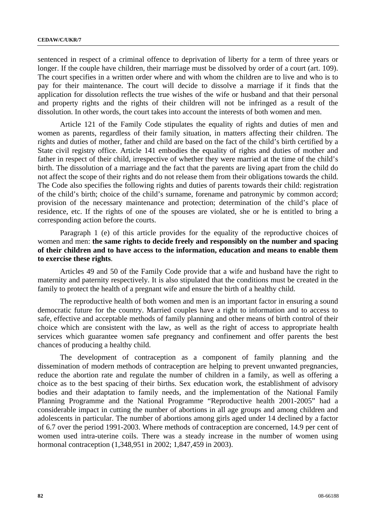sentenced in respect of a criminal offence to deprivation of liberty for a term of three years or longer. If the couple have children, their marriage must be dissolved by order of a court (art. 109). The court specifies in a written order where and with whom the children are to live and who is to pay for their maintenance. The court will decide to dissolve a marriage if it finds that the application for dissolution reflects the true wishes of the wife or husband and that their personal and property rights and the rights of their children will not be infringed as a result of the dissolution. In other words, the court takes into account the interests of both women and men.

 Article 121 of the Family Code stipulates the equality of rights and duties of men and women as parents, regardless of their family situation, in matters affecting their children. The rights and duties of mother, father and child are based on the fact of the child's birth certified by a State civil registry office. Article 141 embodies the equality of rights and duties of mother and father in respect of their child, irrespective of whether they were married at the time of the child's birth. The dissolution of a marriage and the fact that the parents are living apart from the child do not affect the scope of their rights and do not release them from their obligations towards the child. The Code also specifies the following rights and duties of parents towards their child: registration of the child's birth; choice of the child's surname, forename and patronymic by common accord; provision of the necessary maintenance and protection; determination of the child's place of residence, etc. If the rights of one of the spouses are violated, she or he is entitled to bring a corresponding action before the courts.

 Paragraph 1 (e) of this article provides for the equality of the reproductive choices of women and men: **the same rights to decide freely and responsibly on the number and spacing of their children and to have access to the information, education and means to enable them to exercise these rights**.

 Articles 49 and 50 of the Family Code provide that a wife and husband have the right to maternity and paternity respectively. It is also stipulated that the conditions must be created in the family to protect the health of a pregnant wife and ensure the birth of a healthy child.

 The reproductive health of both women and men is an important factor in ensuring a sound democratic future for the country. Married couples have a right to information and to access to safe, effective and acceptable methods of family planning and other means of birth control of their choice which are consistent with the law, as well as the right of access to appropriate health services which guarantee women safe pregnancy and confinement and offer parents the best chances of producing a healthy child.

 The development of contraception as a component of family planning and the dissemination of modern methods of contraception are helping to prevent unwanted pregnancies, reduce the abortion rate and regulate the number of children in a family, as well as offering a choice as to the best spacing of their births. Sex education work, the establishment of advisory bodies and their adaptation to family needs, and the implementation of the National Family Planning Programme and the National Programme "Reproductive health 2001-2005" had a considerable impact in cutting the number of abortions in all age groups and among children and adolescents in particular. The number of abortions among girls aged under 14 declined by a factor of 6.7 over the period 1991-2003. Where methods of contraception are concerned, 14.9 per cent of women used intra-uterine coils. There was a steady increase in the number of women using hormonal contraception (1,348,951 in 2002; 1,847,459 in 2003).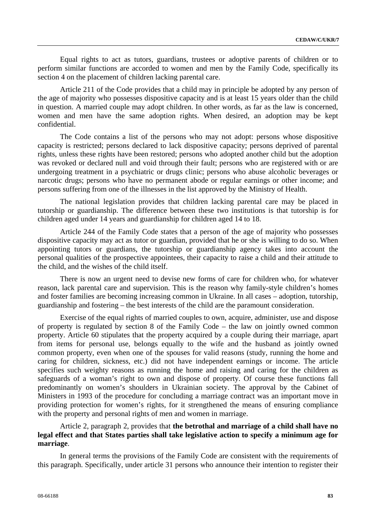Equal rights to act as tutors, guardians, trustees or adoptive parents of children or to perform similar functions are accorded to women and men by the Family Code, specifically its section 4 on the placement of children lacking parental care.

 Article 211 of the Code provides that a child may in principle be adopted by any person of the age of majority who possesses dispositive capacity and is at least 15 years older than the child in question. A married couple may adopt children. In other words, as far as the law is concerned, women and men have the same adoption rights. When desired, an adoption may be kept confidential.

 The Code contains a list of the persons who may not adopt: persons whose dispositive capacity is restricted; persons declared to lack dispositive capacity; persons deprived of parental rights, unless these rights have been restored; persons who adopted another child but the adoption was revoked or declared null and void through their fault; persons who are registered with or are undergoing treatment in a psychiatric or drugs clinic; persons who abuse alcoholic beverages or narcotic drugs; persons who have no permanent abode or regular earnings or other income; and persons suffering from one of the illnesses in the list approved by the Ministry of Health.

 The national legislation provides that children lacking parental care may be placed in tutorship or guardianship. The difference between these two institutions is that tutorship is for children aged under 14 years and guardianship for children aged 14 to 18.

 Article 244 of the Family Code states that a person of the age of majority who possesses dispositive capacity may act as tutor or guardian, provided that he or she is willing to do so. When appointing tutors or guardians, the tutorship or guardianship agency takes into account the personal qualities of the prospective appointees, their capacity to raise a child and their attitude to the child, and the wishes of the child itself.

 There is now an urgent need to devise new forms of care for children who, for whatever reason, lack parental care and supervision. This is the reason why family-style children's homes and foster families are becoming increasing common in Ukraine. In all cases – adoption, tutorship, guardianship and fostering – the best interests of the child are the paramount consideration.

 Exercise of the equal rights of married couples to own, acquire, administer, use and dispose of property is regulated by section 8 of the Family Code – the law on jointly owned common property. Article 60 stipulates that the property acquired by a couple during their marriage, apart from items for personal use, belongs equally to the wife and the husband as jointly owned common property, even when one of the spouses for valid reasons (study, running the home and caring for children, sickness, etc.) did not have independent earnings or income. The article specifies such weighty reasons as running the home and raising and caring for the children as safeguards of a woman's right to own and dispose of property. Of course these functions fall predominantly on women's shoulders in Ukrainian society. The approval by the Cabinet of Ministers in 1993 of the procedure for concluding a marriage contract was an important move in providing protection for women's rights, for it strengthened the means of ensuring compliance with the property and personal rights of men and women in marriage.

 Article 2, paragraph 2, provides that **the betrothal and marriage of a child shall have no legal effect and that States parties shall take legislative action to specify a minimum age for marriage**.

 In general terms the provisions of the Family Code are consistent with the requirements of this paragraph. Specifically, under article 31 persons who announce their intention to register their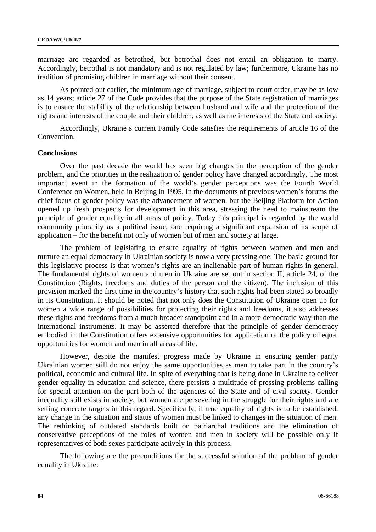marriage are regarded as betrothed, but betrothal does not entail an obligation to marry. Accordingly, betrothal is not mandatory and is not regulated by law; furthermore, Ukraine has no tradition of promising children in marriage without their consent.

 As pointed out earlier, the minimum age of marriage, subject to court order, may be as low as 14 years; article 27 of the Code provides that the purpose of the State registration of marriages is to ensure the stability of the relationship between husband and wife and the protection of the rights and interests of the couple and their children, as well as the interests of the State and society.

 Accordingly, Ukraine's current Family Code satisfies the requirements of article 16 of the Convention.

#### **Conclusions**

 Over the past decade the world has seen big changes in the perception of the gender problem, and the priorities in the realization of gender policy have changed accordingly. The most important event in the formation of the world's gender perceptions was the Fourth World Conference on Women, held in Beijing in 1995. In the documents of previous women's forums the chief focus of gender policy was the advancement of women, but the Beijing Platform for Action opened up fresh prospects for development in this area, stressing the need to mainstream the principle of gender equality in all areas of policy. Today this principal is regarded by the world community primarily as a political issue, one requiring a significant expansion of its scope of application – for the benefit not only of women but of men and society at large.

 The problem of legislating to ensure equality of rights between women and men and nurture an equal democracy in Ukrainian society is now a very pressing one. The basic ground for this legislative process is that women's rights are an inalienable part of human rights in general. The fundamental rights of women and men in Ukraine are set out in section II, article 24, of the Constitution (Rights, freedoms and duties of the person and the citizen). The inclusion of this provision marked the first time in the country's history that such rights had been stated so broadly in its Constitution. It should be noted that not only does the Constitution of Ukraine open up for women a wide range of possibilities for protecting their rights and freedoms, it also addresses these rights and freedoms from a much broader standpoint and in a more democratic way than the international instruments. It may be asserted therefore that the principle of gender democracy embodied in the Constitution offers extensive opportunities for application of the policy of equal opportunities for women and men in all areas of life.

 However, despite the manifest progress made by Ukraine in ensuring gender parity Ukrainian women still do not enjoy the same opportunities as men to take part in the country's political, economic and cultural life. In spite of everything that is being done in Ukraine to deliver gender equality in education and science, there persists a multitude of pressing problems calling for special attention on the part both of the agencies of the State and of civil society. Gender inequality still exists in society, but women are persevering in the struggle for their rights and are setting concrete targets in this regard. Specifically, if true equality of rights is to be established, any change in the situation and status of women must be linked to changes in the situation of men. The rethinking of outdated standards built on patriarchal traditions and the elimination of conservative perceptions of the roles of women and men in society will be possible only if representatives of both sexes participate actively in this process.

 The following are the preconditions for the successful solution of the problem of gender equality in Ukraine: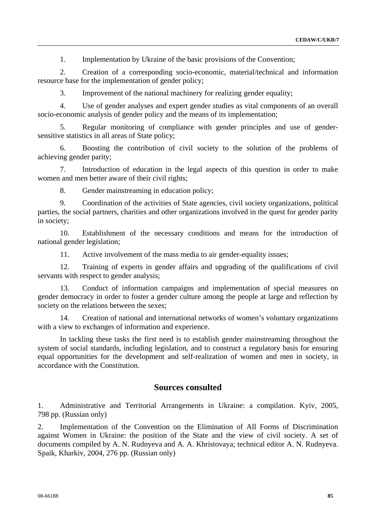1. Implementation by Ukraine of the basic provisions of the Convention;

 2. Creation of a corresponding socio-economic, material/technical and information resource base for the implementation of gender policy;

3. Improvement of the national machinery for realizing gender equality;

 4. Use of gender analyses and expert gender studies as vital components of an overall socio-economic analysis of gender policy and the means of its implementation;

 5. Regular monitoring of compliance with gender principles and use of gendersensitive statistics in all areas of State policy;

 6. Boosting the contribution of civil society to the solution of the problems of achieving gender parity;

 7. Introduction of education in the legal aspects of this question in order to make women and men better aware of their civil rights;

8. Gender mainstreaming in education policy;

 9. Coordination of the activities of State agencies, civil society organizations, political parties, the social partners, charities and other organizations involved in the quest for gender parity in society;

 10. Establishment of the necessary conditions and means for the introduction of national gender legislation;

11. Active involvement of the mass media to air gender-equality issues;

 12. Training of experts in gender affairs and upgrading of the qualifications of civil servants with respect to gender analysis;

 13. Conduct of information campaigns and implementation of special measures on gender democracy in order to foster a gender culture among the people at large and reflection by society on the relations between the sexes;

 14. Creation of national and international networks of women's voluntary organizations with a view to exchanges of information and experience.

 In tackling these tasks the first need is to establish gender mainstreaming throughout the system of social standards, including legislation, and to construct a regulatory basis for ensuring equal opportunities for the development and self-realization of women and men in society, in accordance with the Constitution.

# **Sources consulted**

1. Administrative and Territorial Arrangements in Ukraine: a compilation. Kyiv, 2005, 798 pp. (Russian only)

2. Implementation of the Convention on the Elimination of All Forms of Discrimination against Women in Ukraine: the position of the State and the view of civil society. A set of documents compiled by A. N. Rudnyeva and A. A. Khristovaya; technical editor A. N. Rudnyeva. Spaik, Kharkiv, 2004, 276 pp. (Russian only)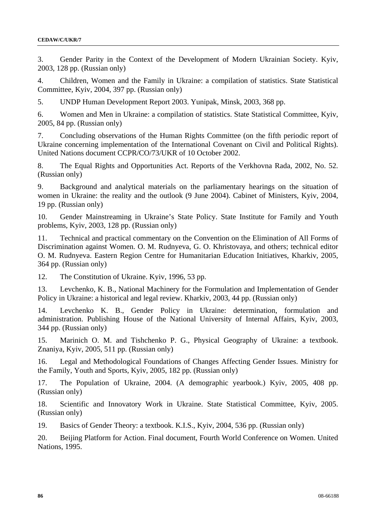3. Gender Parity in the Context of the Development of Modern Ukrainian Society. Kyiv, 2003, 128 pp. (Russian only)

4. Children, Women and the Family in Ukraine: a compilation of statistics. State Statistical Committee, Kyiv, 2004, 397 pp. (Russian only)

5. UNDP Human Development Report 2003. Yunipak, Minsk, 2003, 368 pp.

6. Women and Men in Ukraine: a compilation of statistics. State Statistical Committee, Kyiv, 2005, 84 pp. (Russian only)

7. Concluding observations of the Human Rights Committee (on the fifth periodic report of Ukraine concerning implementation of the International Covenant on Civil and Political Rights). United Nations document CCPR/CO/73/UKR of 10 October 2002.

8. The Equal Rights and Opportunities Act. Reports of the Verkhovna Rada, 2002, No. 52. (Russian only)

9. Background and analytical materials on the parliamentary hearings on the situation of women in Ukraine: the reality and the outlook (9 June 2004). Cabinet of Ministers, Kyiv, 2004, 19 pp. (Russian only)

10. Gender Mainstreaming in Ukraine's State Policy. State Institute for Family and Youth problems, Kyiv, 2003, 128 pp. (Russian only)

11. Technical and practical commentary on the Convention on the Elimination of All Forms of Discrimination against Women. O. M. Rudnyeva, G. O. Khristovaya, and others; technical editor O. M. Rudnyeva. Eastern Region Centre for Humanitarian Education Initiatives, Kharkiv, 2005, 364 pp. (Russian only)

12. The Constitution of Ukraine. Kyiv, 1996, 53 pp.

13. Levchenko, K. B., National Machinery for the Formulation and Implementation of Gender Policy in Ukraine: a historical and legal review. Kharkiv, 2003, 44 pp. (Russian only)

14. Levchenko K. B., Gender Policy in Ukraine: determination, formulation and administration. Publishing House of the National University of Internal Affairs, Kyiv, 2003, 344 pp. (Russian only)

15. Marinich O. M. and Tishchenko P. G., Physical Geography of Ukraine: a textbook. Znaniya, Kyiv, 2005, 511 pp. (Russian only)

16. Legal and Methodological Foundations of Changes Affecting Gender Issues. Ministry for the Family, Youth and Sports, Kyiv, 2005, 182 pp. (Russian only)

17. The Population of Ukraine, 2004. (A demographic yearbook.) Kyiv, 2005, 408 pp. (Russian only)

18. Scientific and Innovatory Work in Ukraine. State Statistical Committee, Kyiv, 2005. (Russian only)

19. Basics of Gender Theory: a textbook. K.I.S., Kyiv, 2004, 536 pp. (Russian only)

20. Beijing Platform for Action. Final document, Fourth World Conference on Women. United Nations, 1995.